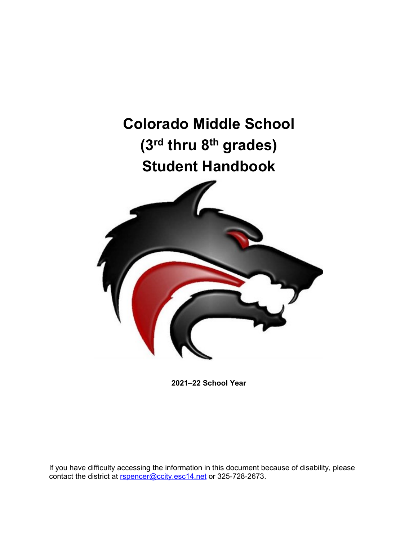<span id="page-0-0"></span>

**2021–22 School Year**

If you have difficulty accessing the information in this document because of disability, please contact the district at [rspencer@ccity.esc14.net](mailto:rspencer@ccity.esc14.net) or 325-728-2673.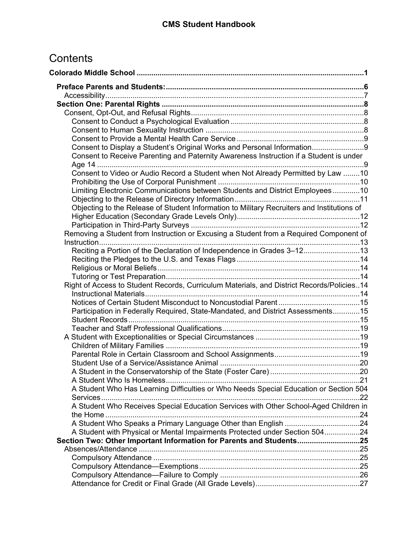# **Contents**

| Consent to Display a Student's Original Works and Personal Information9<br>Consent to Receive Parenting and Paternity Awareness Instruction if a Student is under<br>Consent to Video or Audio Record a Student when Not Already Permitted by Law 10<br>Limiting Electronic Communications between Students and District Employees10<br>Objecting to the Release of Student Information to Military Recruiters and Institutions of<br>Removing a Student from Instruction or Excusing a Student from a Required Component of<br>Reciting a Portion of the Declaration of Independence in Grades 3-1213<br>Right of Access to Student Records, Curriculum Materials, and District Records/Policies14<br>Participation in Federally Required, State-Mandated, and District Assessments15<br>A Student in the Conservatorship of the State (Foster Care)<br>A Student Who Has Learning Difficulties or Who Needs Special Education or Section 504<br>A Student Who Receives Special Education Services with Other School-Aged Children in<br>A Student with Physical or Mental Impairments Protected under Section 50424<br>Section Two: Other Important Information for Parents and Students25 |
|----------------------------------------------------------------------------------------------------------------------------------------------------------------------------------------------------------------------------------------------------------------------------------------------------------------------------------------------------------------------------------------------------------------------------------------------------------------------------------------------------------------------------------------------------------------------------------------------------------------------------------------------------------------------------------------------------------------------------------------------------------------------------------------------------------------------------------------------------------------------------------------------------------------------------------------------------------------------------------------------------------------------------------------------------------------------------------------------------------------------------------------------------------------------------------------------|
|                                                                                                                                                                                                                                                                                                                                                                                                                                                                                                                                                                                                                                                                                                                                                                                                                                                                                                                                                                                                                                                                                                                                                                                              |
|                                                                                                                                                                                                                                                                                                                                                                                                                                                                                                                                                                                                                                                                                                                                                                                                                                                                                                                                                                                                                                                                                                                                                                                              |
|                                                                                                                                                                                                                                                                                                                                                                                                                                                                                                                                                                                                                                                                                                                                                                                                                                                                                                                                                                                                                                                                                                                                                                                              |
|                                                                                                                                                                                                                                                                                                                                                                                                                                                                                                                                                                                                                                                                                                                                                                                                                                                                                                                                                                                                                                                                                                                                                                                              |
|                                                                                                                                                                                                                                                                                                                                                                                                                                                                                                                                                                                                                                                                                                                                                                                                                                                                                                                                                                                                                                                                                                                                                                                              |
|                                                                                                                                                                                                                                                                                                                                                                                                                                                                                                                                                                                                                                                                                                                                                                                                                                                                                                                                                                                                                                                                                                                                                                                              |
|                                                                                                                                                                                                                                                                                                                                                                                                                                                                                                                                                                                                                                                                                                                                                                                                                                                                                                                                                                                                                                                                                                                                                                                              |
|                                                                                                                                                                                                                                                                                                                                                                                                                                                                                                                                                                                                                                                                                                                                                                                                                                                                                                                                                                                                                                                                                                                                                                                              |
|                                                                                                                                                                                                                                                                                                                                                                                                                                                                                                                                                                                                                                                                                                                                                                                                                                                                                                                                                                                                                                                                                                                                                                                              |
|                                                                                                                                                                                                                                                                                                                                                                                                                                                                                                                                                                                                                                                                                                                                                                                                                                                                                                                                                                                                                                                                                                                                                                                              |
|                                                                                                                                                                                                                                                                                                                                                                                                                                                                                                                                                                                                                                                                                                                                                                                                                                                                                                                                                                                                                                                                                                                                                                                              |
|                                                                                                                                                                                                                                                                                                                                                                                                                                                                                                                                                                                                                                                                                                                                                                                                                                                                                                                                                                                                                                                                                                                                                                                              |
|                                                                                                                                                                                                                                                                                                                                                                                                                                                                                                                                                                                                                                                                                                                                                                                                                                                                                                                                                                                                                                                                                                                                                                                              |
|                                                                                                                                                                                                                                                                                                                                                                                                                                                                                                                                                                                                                                                                                                                                                                                                                                                                                                                                                                                                                                                                                                                                                                                              |
|                                                                                                                                                                                                                                                                                                                                                                                                                                                                                                                                                                                                                                                                                                                                                                                                                                                                                                                                                                                                                                                                                                                                                                                              |
|                                                                                                                                                                                                                                                                                                                                                                                                                                                                                                                                                                                                                                                                                                                                                                                                                                                                                                                                                                                                                                                                                                                                                                                              |
|                                                                                                                                                                                                                                                                                                                                                                                                                                                                                                                                                                                                                                                                                                                                                                                                                                                                                                                                                                                                                                                                                                                                                                                              |
|                                                                                                                                                                                                                                                                                                                                                                                                                                                                                                                                                                                                                                                                                                                                                                                                                                                                                                                                                                                                                                                                                                                                                                                              |
|                                                                                                                                                                                                                                                                                                                                                                                                                                                                                                                                                                                                                                                                                                                                                                                                                                                                                                                                                                                                                                                                                                                                                                                              |
|                                                                                                                                                                                                                                                                                                                                                                                                                                                                                                                                                                                                                                                                                                                                                                                                                                                                                                                                                                                                                                                                                                                                                                                              |
|                                                                                                                                                                                                                                                                                                                                                                                                                                                                                                                                                                                                                                                                                                                                                                                                                                                                                                                                                                                                                                                                                                                                                                                              |
|                                                                                                                                                                                                                                                                                                                                                                                                                                                                                                                                                                                                                                                                                                                                                                                                                                                                                                                                                                                                                                                                                                                                                                                              |
|                                                                                                                                                                                                                                                                                                                                                                                                                                                                                                                                                                                                                                                                                                                                                                                                                                                                                                                                                                                                                                                                                                                                                                                              |
|                                                                                                                                                                                                                                                                                                                                                                                                                                                                                                                                                                                                                                                                                                                                                                                                                                                                                                                                                                                                                                                                                                                                                                                              |
|                                                                                                                                                                                                                                                                                                                                                                                                                                                                                                                                                                                                                                                                                                                                                                                                                                                                                                                                                                                                                                                                                                                                                                                              |
|                                                                                                                                                                                                                                                                                                                                                                                                                                                                                                                                                                                                                                                                                                                                                                                                                                                                                                                                                                                                                                                                                                                                                                                              |
|                                                                                                                                                                                                                                                                                                                                                                                                                                                                                                                                                                                                                                                                                                                                                                                                                                                                                                                                                                                                                                                                                                                                                                                              |
|                                                                                                                                                                                                                                                                                                                                                                                                                                                                                                                                                                                                                                                                                                                                                                                                                                                                                                                                                                                                                                                                                                                                                                                              |
|                                                                                                                                                                                                                                                                                                                                                                                                                                                                                                                                                                                                                                                                                                                                                                                                                                                                                                                                                                                                                                                                                                                                                                                              |
|                                                                                                                                                                                                                                                                                                                                                                                                                                                                                                                                                                                                                                                                                                                                                                                                                                                                                                                                                                                                                                                                                                                                                                                              |
|                                                                                                                                                                                                                                                                                                                                                                                                                                                                                                                                                                                                                                                                                                                                                                                                                                                                                                                                                                                                                                                                                                                                                                                              |
|                                                                                                                                                                                                                                                                                                                                                                                                                                                                                                                                                                                                                                                                                                                                                                                                                                                                                                                                                                                                                                                                                                                                                                                              |
|                                                                                                                                                                                                                                                                                                                                                                                                                                                                                                                                                                                                                                                                                                                                                                                                                                                                                                                                                                                                                                                                                                                                                                                              |
|                                                                                                                                                                                                                                                                                                                                                                                                                                                                                                                                                                                                                                                                                                                                                                                                                                                                                                                                                                                                                                                                                                                                                                                              |
|                                                                                                                                                                                                                                                                                                                                                                                                                                                                                                                                                                                                                                                                                                                                                                                                                                                                                                                                                                                                                                                                                                                                                                                              |
|                                                                                                                                                                                                                                                                                                                                                                                                                                                                                                                                                                                                                                                                                                                                                                                                                                                                                                                                                                                                                                                                                                                                                                                              |
|                                                                                                                                                                                                                                                                                                                                                                                                                                                                                                                                                                                                                                                                                                                                                                                                                                                                                                                                                                                                                                                                                                                                                                                              |
|                                                                                                                                                                                                                                                                                                                                                                                                                                                                                                                                                                                                                                                                                                                                                                                                                                                                                                                                                                                                                                                                                                                                                                                              |
|                                                                                                                                                                                                                                                                                                                                                                                                                                                                                                                                                                                                                                                                                                                                                                                                                                                                                                                                                                                                                                                                                                                                                                                              |
|                                                                                                                                                                                                                                                                                                                                                                                                                                                                                                                                                                                                                                                                                                                                                                                                                                                                                                                                                                                                                                                                                                                                                                                              |
|                                                                                                                                                                                                                                                                                                                                                                                                                                                                                                                                                                                                                                                                                                                                                                                                                                                                                                                                                                                                                                                                                                                                                                                              |
|                                                                                                                                                                                                                                                                                                                                                                                                                                                                                                                                                                                                                                                                                                                                                                                                                                                                                                                                                                                                                                                                                                                                                                                              |
|                                                                                                                                                                                                                                                                                                                                                                                                                                                                                                                                                                                                                                                                                                                                                                                                                                                                                                                                                                                                                                                                                                                                                                                              |
|                                                                                                                                                                                                                                                                                                                                                                                                                                                                                                                                                                                                                                                                                                                                                                                                                                                                                                                                                                                                                                                                                                                                                                                              |
|                                                                                                                                                                                                                                                                                                                                                                                                                                                                                                                                                                                                                                                                                                                                                                                                                                                                                                                                                                                                                                                                                                                                                                                              |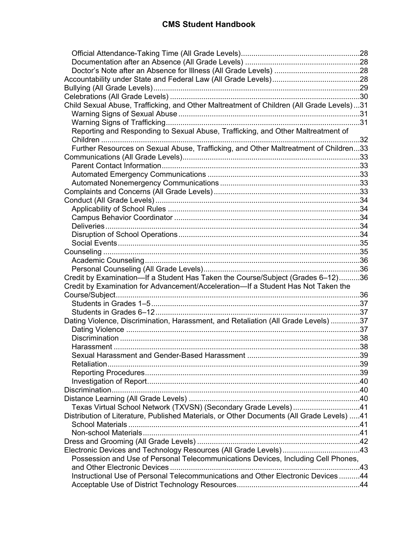| Child Sexual Abuse, Trafficking, and Other Maltreatment of Children (All Grade Levels)31  |  |
|-------------------------------------------------------------------------------------------|--|
|                                                                                           |  |
|                                                                                           |  |
| Reporting and Responding to Sexual Abuse, Trafficking, and Other Maltreatment of          |  |
|                                                                                           |  |
| Further Resources on Sexual Abuse, Trafficking, and Other Maltreatment of Children33      |  |
|                                                                                           |  |
|                                                                                           |  |
|                                                                                           |  |
|                                                                                           |  |
|                                                                                           |  |
|                                                                                           |  |
|                                                                                           |  |
|                                                                                           |  |
|                                                                                           |  |
|                                                                                           |  |
|                                                                                           |  |
|                                                                                           |  |
|                                                                                           |  |
|                                                                                           |  |
| Credit by Examination—If a Student Has Taken the Course/Subject (Grades 6-12)36           |  |
| Credit by Examination for Advancement/Acceleration-If a Student Has Not Taken the         |  |
|                                                                                           |  |
|                                                                                           |  |
|                                                                                           |  |
| Dating Violence, Discrimination, Harassment, and Retaliation (All Grade Levels) 37        |  |
|                                                                                           |  |
|                                                                                           |  |
|                                                                                           |  |
|                                                                                           |  |
|                                                                                           |  |
|                                                                                           |  |
|                                                                                           |  |
|                                                                                           |  |
|                                                                                           |  |
| Texas Virtual School Network (TXVSN) (Secondary Grade Levels)41                           |  |
| Distribution of Literature, Published Materials, or Other Documents (All Grade Levels) 41 |  |
|                                                                                           |  |
|                                                                                           |  |
|                                                                                           |  |
| Electronic Devices and Technology Resources (All Grade Levels) 43                         |  |
| Possession and Use of Personal Telecommunications Devices, Including Cell Phones,         |  |
|                                                                                           |  |
| Instructional Use of Personal Telecommunications and Other Electronic Devices44           |  |
|                                                                                           |  |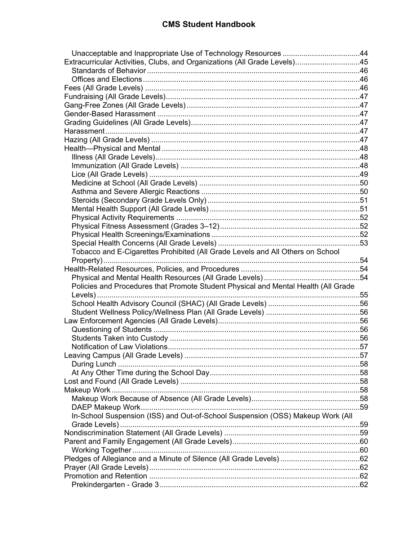| Extracurricular Activities, Clubs, and Organizations (All Grade Levels)45          |  |
|------------------------------------------------------------------------------------|--|
|                                                                                    |  |
|                                                                                    |  |
|                                                                                    |  |
|                                                                                    |  |
|                                                                                    |  |
|                                                                                    |  |
|                                                                                    |  |
|                                                                                    |  |
|                                                                                    |  |
|                                                                                    |  |
|                                                                                    |  |
|                                                                                    |  |
|                                                                                    |  |
|                                                                                    |  |
|                                                                                    |  |
|                                                                                    |  |
|                                                                                    |  |
|                                                                                    |  |
|                                                                                    |  |
|                                                                                    |  |
|                                                                                    |  |
| Tobacco and E-Cigarettes Prohibited (All Grade Levels and All Others on School     |  |
|                                                                                    |  |
|                                                                                    |  |
|                                                                                    |  |
|                                                                                    |  |
|                                                                                    |  |
| Policies and Procedures that Promote Student Physical and Mental Health (All Grade |  |
|                                                                                    |  |
|                                                                                    |  |
|                                                                                    |  |
|                                                                                    |  |
|                                                                                    |  |
|                                                                                    |  |
|                                                                                    |  |
|                                                                                    |  |
|                                                                                    |  |
|                                                                                    |  |
|                                                                                    |  |
|                                                                                    |  |
|                                                                                    |  |
|                                                                                    |  |
| In-School Suspension (ISS) and Out-of-School Suspension (OSS) Makeup Work (All     |  |
|                                                                                    |  |
|                                                                                    |  |
|                                                                                    |  |
|                                                                                    |  |
|                                                                                    |  |
|                                                                                    |  |
|                                                                                    |  |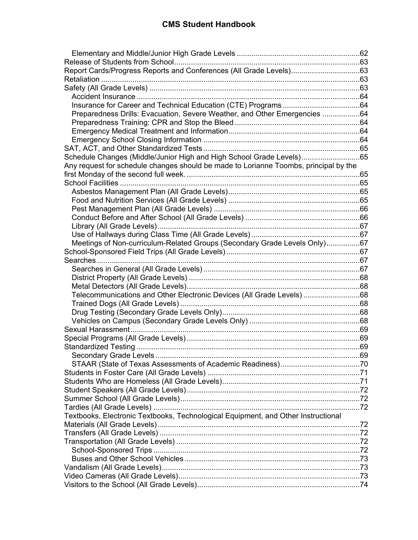| Report Cards/Progress Reports and Conferences (All Grade Levels)63                   |  |
|--------------------------------------------------------------------------------------|--|
|                                                                                      |  |
|                                                                                      |  |
|                                                                                      |  |
|                                                                                      |  |
| Preparedness Drills: Evacuation, Severe Weather, and Other Emergencies 64            |  |
|                                                                                      |  |
|                                                                                      |  |
|                                                                                      |  |
|                                                                                      |  |
| Schedule Changes (Middle/Junior High and High School Grade Levels)65                 |  |
| Any request for schedule changes should be made to Lorianne Toombs, principal by the |  |
|                                                                                      |  |
|                                                                                      |  |
|                                                                                      |  |
|                                                                                      |  |
|                                                                                      |  |
|                                                                                      |  |
|                                                                                      |  |
|                                                                                      |  |
| Meetings of Non-curriculum-Related Groups (Secondary Grade Levels Only)67            |  |
|                                                                                      |  |
|                                                                                      |  |
|                                                                                      |  |
|                                                                                      |  |
|                                                                                      |  |
| Telecommunications and Other Electronic Devices (All Grade Levels) 68                |  |
| Trained Dogs (All Grade Levels) ………………………………………………………………………………68                     |  |
|                                                                                      |  |
|                                                                                      |  |
|                                                                                      |  |
|                                                                                      |  |
|                                                                                      |  |
|                                                                                      |  |
|                                                                                      |  |
|                                                                                      |  |
|                                                                                      |  |
|                                                                                      |  |
|                                                                                      |  |
|                                                                                      |  |
| Textbooks, Electronic Textbooks, Technological Equipment, and Other Instructional    |  |
|                                                                                      |  |
|                                                                                      |  |
|                                                                                      |  |
|                                                                                      |  |
|                                                                                      |  |
|                                                                                      |  |
|                                                                                      |  |
|                                                                                      |  |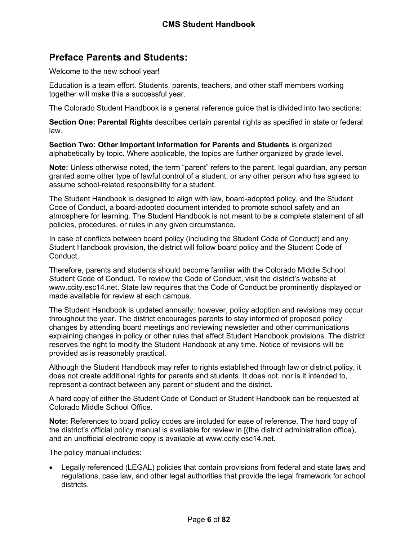## <span id="page-6-0"></span>**Preface Parents and Students:**

Welcome to the new school year!

Education is a team effort. Students, parents, teachers, and other staff members working together will make this a successful year.

The Colorado Student Handbook is a general reference guide that is divided into two sections:

**Section One: Parental Rights** describes certain parental rights as specified in state or federal law.

**Section Two: Other Important Information for Parents and Students** is organized alphabetically by topic. Where applicable, the topics are further organized by grade level.

**Note:** Unless otherwise noted, the term "parent" refers to the parent, legal guardian, any person granted some other type of lawful control of a student, or any other person who has agreed to assume school-related responsibility for a student.

The Student Handbook is designed to align with law, board-adopted policy, and the Student Code of Conduct, a board-adopted document intended to promote school safety and an atmosphere for learning. The Student Handbook is not meant to be a complete statement of all policies, procedures, or rules in any given circumstance.

In case of conflicts between board policy (including the Student Code of Conduct) and any Student Handbook provision, the district will follow board policy and the Student Code of Conduct.

Therefore, parents and students should become familiar with the Colorado Middle School Student Code of Conduct. To review the Code of Conduct, visit the district's website at www.ccity.esc14.net. State law requires that the Code of Conduct be prominently displayed or made available for review at each campus.

The Student Handbook is updated annually; however, policy adoption and revisions may occur throughout the year. The district encourages parents to stay informed of proposed policy changes by attending board meetings and reviewing newsletter and other communications explaining changes in policy or other rules that affect Student Handbook provisions. The district reserves the right to modify the Student Handbook at any time. Notice of revisions will be provided as is reasonably practical.

Although the Student Handbook may refer to rights established through law or district policy, it does not create additional rights for parents and students. It does not, nor is it intended to, represent a contract between any parent or student and the district.

A hard copy of either the Student Code of Conduct or Student Handbook can be requested at Colorado Middle School Office.

**Note:** References to board policy codes are included for ease of reference. The hard copy of the district's official policy manual is available for review in [(the district administration office), and an unofficial electronic copy is available at www.ccity.esc14.net.

The policy manual includes:

 Legally referenced (LEGAL) policies that contain provisions from federal and state laws and regulations, case law, and other legal authorities that provide the legal framework for school districts.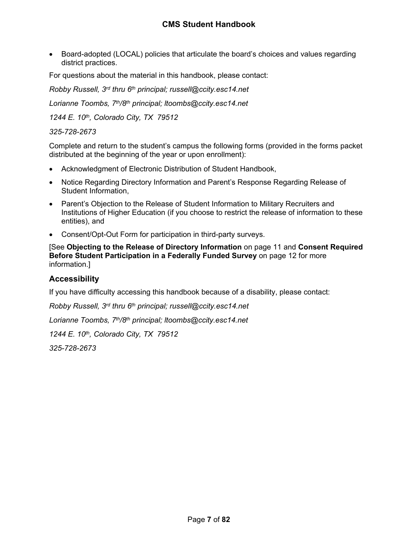• Board-adopted (LOCAL) policies that articulate the board's choices and values regarding district practices.

For questions about the material in this handbook, please contact:

*Robby Russell, 3rd thru 6th principal; russell@ccity.esc14.net*

*Lorianne Toombs, 7th/8th principal; ltoombs@ccity.esc14.net*

*1244 E. 10th, Colorado City, TX 79512*

#### *325-728-2673*

Complete and return to the student's campus the following forms (provided in the forms packet distributed at the beginning of the year or upon enrollment):

- Acknowledgment of Electronic Distribution of Student Handbook,
- Notice Regarding Directory Information and Parent's Response Regarding Release of Student Information,
- Parent's Objection to the Release of Student Information to Military Recruiters and Institutions of Higher Education (if you choose to restrict the release of information to these entities), and
- Consent/Opt-Out Form for participation in third-party surveys.

[See **Objecting to the Release of Directory Information** on page [11](#page-11-0) and **Consent Required Before Student Participation in a Federally Funded Survey** on page [12](#page-12-2) for more information.]

## <span id="page-7-0"></span>**Accessibility**

If you have difficulty accessing this handbook because of a disability, please contact:

*Robby Russell, 3rd thru 6th principal; russell@ccity.esc14.net*

*Lorianne Toombs, 7th/8th principal; ltoombs@ccity.esc14.net*

*1244 E. 10th, Colorado City, TX 79512*

*325-728-2673*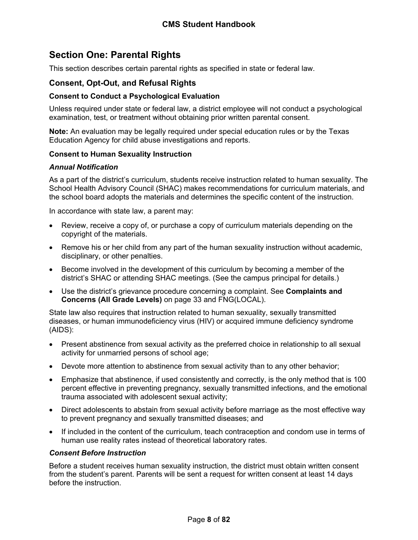## <span id="page-8-0"></span>**Section One: Parental Rights**

This section describes certain parental rights as specified in state or federal law.

## <span id="page-8-1"></span>**Consent, Opt-Out, and Refusal Rights**

#### <span id="page-8-2"></span>**Consent to Conduct a Psychological Evaluation**

Unless required under state or federal law, a district employee will not conduct a psychological examination, test, or treatment without obtaining prior written parental consent.

**Note:** An evaluation may be legally required under special education rules or by the Texas Education Agency for child abuse investigations and reports.

#### <span id="page-8-3"></span>**Consent to Human Sexuality Instruction**

#### *Annual Notification*

As a part of the district's curriculum, students receive instruction related to human sexuality. The School Health Advisory Council (SHAC) makes recommendations for curriculum materials, and the school board adopts the materials and determines the specific content of the instruction.

In accordance with state law, a parent may:

- Review, receive a copy of, or purchase a copy of curriculum materials depending on the copyright of the materials.
- Remove his or her child from any part of the human sexuality instruction without academic, disciplinary, or other penalties.
- Become involved in the development of this curriculum by becoming a member of the district's SHAC or attending SHAC meetings. (See the campus principal for details.)
- Use the district's grievance procedure concerning a complaint. See **Complaints and Concerns (All Grade Levels)** on page [33](#page-34-1) and FNG(LOCAL).

State law also requires that instruction related to human sexuality, sexually transmitted diseases, or human immunodeficiency virus (HIV) or acquired immune deficiency syndrome (AIDS):

- Present abstinence from sexual activity as the preferred choice in relationship to all sexual activity for unmarried persons of school age;
- Devote more attention to abstinence from sexual activity than to any other behavior;
- Emphasize that abstinence, if used consistently and correctly, is the only method that is 100 percent effective in preventing pregnancy, sexually transmitted infections, and the emotional trauma associated with adolescent sexual activity;
- Direct adolescents to abstain from sexual activity before marriage as the most effective way to prevent pregnancy and sexually transmitted diseases; and
- If included in the content of the curriculum, teach contraception and condom use in terms of human use reality rates instead of theoretical laboratory rates.

#### *Consent Before Instruction*

Before a student receives human sexuality instruction, the district must obtain written consent from the student's parent. Parents will be sent a request for written consent at least 14 days before the instruction.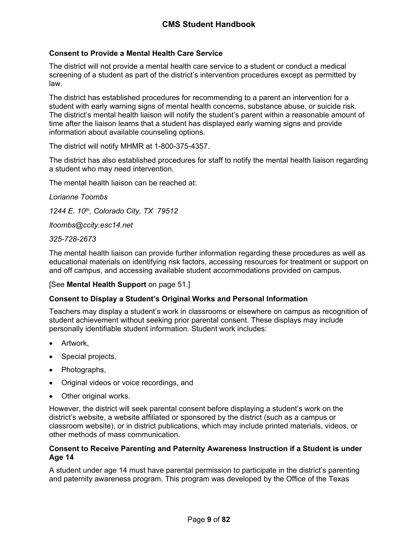## <span id="page-9-0"></span>**Consent to Provide a Mental Health Care Service**

The district will not provide a mental health care service to a student or conduct a medical screening of a student as part of the district's intervention procedures except as permitted by law.

The district has established procedures for recommending to a parent an intervention for a student with early warning signs of mental health concerns, substance abuse, or suicide risk. The district's mental health liaison will notify the student's parent within a reasonable amount of time after the liaison learns that a student has displayed early warning signs and provide information about available counseling options.

The district will notify MHMR at 1-800-375-4357.

The district has also established procedures for staff to notify the mental health liaison regarding a student who may need intervention.

The mental health liaison can be reached at:

*Lorianne Toombs 1244 E. 10th, Colorado City, TX 79512 ltoombs@ccity.esc14.net 325-728-2673*

The mental health liaison can provide further information regarding these procedures as well as educational materials on identifying risk factors, accessing resources for treatment or support on and off campus, and accessing available student accommodations provided on campus.

## [See **Mental Health Support** on page [51.](#page-51-2)]

## <span id="page-9-1"></span>**Consent to Display a Student's Original Works and Personal Information**

Teachers may display a student's work in classrooms or elsewhere on campus as recognition of student achievement without seeking prior parental consent. These displays may include personally identifiable student information. Student work includes:

- Artwork,
- Special projects,
- Photographs,
- Original videos or voice recordings, and
- Other original works.

However, the district will seek parental consent before displaying a student's work on the district's website, a website affiliated or sponsored by the district (such as a campus or classroom website), or in district publications, which may include printed materials, videos, or other methods of mass communication.

#### <span id="page-9-2"></span>**Consent to Receive Parenting and Paternity Awareness Instruction if a Student is under Age 14**

A student under age 14 must have parental permission to participate in the district's parenting and paternity awareness program. This program was developed by the Office of the Texas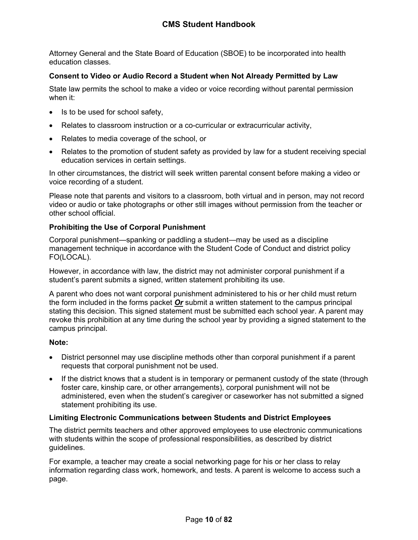Attorney General and the State Board of Education (SBOE) to be incorporated into health education classes.

## <span id="page-10-0"></span>**Consent to Video or Audio Record a Student when Not Already Permitted by Law**

State law permits the school to make a video or voice recording without parental permission when it:

- Is to be used for school safety,
- Relates to classroom instruction or a co-curricular or extracurricular activity,
- Relates to media coverage of the school, or
- Relates to the promotion of student safety as provided by law for a student receiving special education services in certain settings.

In other circumstances, the district will seek written parental consent before making a video or voice recording of a student.

Please note that parents and visitors to a classroom, both virtual and in person, may not record video or audio or take photographs or other still images without permission from the teacher or other school official.

## <span id="page-10-1"></span>**Prohibiting the Use of Corporal Punishment**

Corporal punishment—spanking or paddling a student—may be used as a discipline management technique in accordance with the Student Code of Conduct and district policy FO(LOCAL).

However, in accordance with law, the district may not administer corporal punishment if a student's parent submits a signed, written statement prohibiting its use.

A parent who does not want corporal punishment administered to his or her child must return the form included in the forms packet *Or* submit a written statement to the campus principal stating this decision. This signed statement must be submitted each school year. A parent may revoke this prohibition at any time during the school year by providing a signed statement to the campus principal.

## **Note:**

- District personnel may use discipline methods other than corporal punishment if a parent requests that corporal punishment not be used.
- If the district knows that a student is in temporary or permanent custody of the state (through foster care, kinship care, or other arrangements), corporal punishment will not be administered, even when the student's caregiver or caseworker has not submitted a signed statement prohibiting its use.

## <span id="page-10-2"></span>**Limiting Electronic Communications between Students and District Employees**

The district permits teachers and other approved employees to use electronic communications with students within the scope of professional responsibilities, as described by district guidelines.

For example, a teacher may create a social networking page for his or her class to relay information regarding class work, homework, and tests. A parent is welcome to access such a page.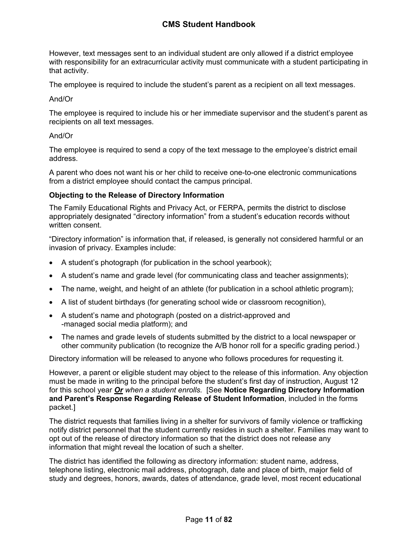However, text messages sent to an individual student are only allowed if a district employee with responsibility for an extracurricular activity must communicate with a student participating in that activity.

The employee is required to include the student's parent as a recipient on all text messages.

### And/Or

The employee is required to include his or her immediate supervisor and the student's parent as recipients on all text messages.

#### And/Or

The employee is required to send a copy of the text message to the employee's district email address.

A parent who does not want his or her child to receive one-to-one electronic communications from a district employee should contact the campus principal.

## <span id="page-11-0"></span>**Objecting to the Release of Directory Information**

The Family Educational Rights and Privacy Act, or FERPA, permits the district to disclose appropriately designated "directory information" from a student's education records without written consent.

"Directory information" is information that, if released, is generally not considered harmful or an invasion of privacy. Examples include:

- A student's photograph (for publication in the school yearbook);
- A student's name and grade level (for communicating class and teacher assignments);
- The name, weight, and height of an athlete (for publication in a school athletic program);
- A list of student birthdays (for generating school wide or classroom recognition),
- A student's name and photograph (posted on a district-approved and -managed social media platform); and
- The names and grade levels of students submitted by the district to a local newspaper or other community publication (to recognize the A/B honor roll for a specific grading period.)

Directory information will be released to anyone who follows procedures for requesting it.

However, a parent or eligible student may object to the release of this information. Any objection must be made in writing to the principal before the student's first day of instruction, August 12 for this school year *Or when a student enrolls.* [See **Notice Regarding Directory Information and Parent's Response Regarding Release of Student Information**, included in the forms packet.]

The district requests that families living in a shelter for survivors of family violence or trafficking notify district personnel that the student currently resides in such a shelter. Families may want to opt out of the release of directory information so that the district does not release any information that might reveal the location of such a shelter.

The district has identified the following as directory information: student name, address, telephone listing, electronic mail address, photograph, date and place of birth, major field of study and degrees, honors, awards, dates of attendance, grade level, most recent educational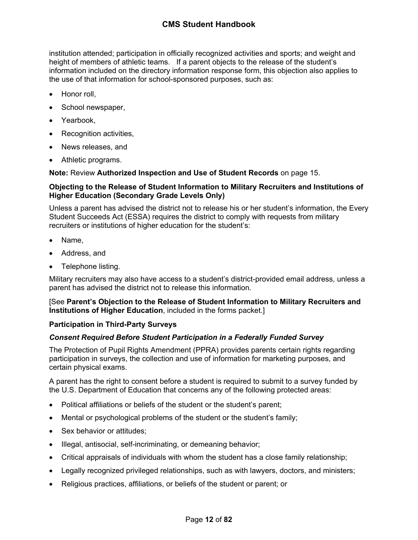institution attended; participation in officially recognized activities and sports; and weight and height of members of athletic teams. If a parent objects to the release of the student's information included on the directory information response form, this objection also applies to the use of that information for school-sponsored purposes, such as:

- Honor roll,
- School newspaper,
- Yearbook,
- Recognition activities,
- News releases, and
- Athletic programs.

**Note:** Review **Authorized Inspection and Use of Student Records** on page [15](#page-15-3).

#### <span id="page-12-0"></span>**Objecting to the Release of Student Information to Military Recruiters and Institutions of Higher Education (Secondary Grade Levels Only)**

Unless a parent has advised the district not to release his or her student's information, the Every Student Succeeds Act (ESSA) requires the district to comply with requests from military recruiters or institutions of higher education for the student's:

- Name,
- Address, and
- Telephone listing.

Military recruiters may also have access to a student's district-provided email address, unless a parent has advised the district not to release this information.

[See **Parent's Objection to the Release of Student Information to Military Recruiters and Institutions of Higher Education**, included in the forms packet.]

## <span id="page-12-1"></span>**Participation in Third-Party Surveys**

## <span id="page-12-2"></span>*Consent Required Before Student Participation in a Federally Funded Survey*

The Protection of Pupil Rights Amendment (PPRA) provides parents certain rights regarding participation in surveys, the collection and use of information for marketing purposes, and certain physical exams.

A parent has the right to consent before a student is required to submit to a survey funded by the U.S. Department of Education that concerns any of the following protected areas:

- Political affiliations or beliefs of the student or the student's parent;
- Mental or psychological problems of the student or the student's family;
- Sex behavior or attitudes;
- Illegal, antisocial, self-incriminating, or demeaning behavior;
- Critical appraisals of individuals with whom the student has a close family relationship;
- Legally recognized privileged relationships, such as with lawyers, doctors, and ministers;
- Religious practices, affiliations, or beliefs of the student or parent; or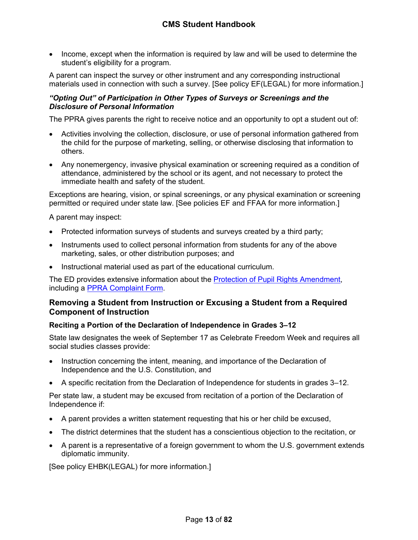• Income, except when the information is required by law and will be used to determine the student's eligibility for a program.

A parent can inspect the survey or other instrument and any corresponding instructional materials used in connection with such a survey. [See policy EF(LEGAL) for more information.]

## *"Opting Out" of Participation in Other Types of Surveys or Screenings and the Disclosure of Personal Information*

The PPRA gives parents the right to receive notice and an opportunity to opt a student out of:

- Activities involving the collection, disclosure, or use of personal information gathered from the child for the purpose of marketing, selling, or otherwise disclosing that information to others.
- Any nonemergency, invasive physical examination or screening required as a condition of attendance, administered by the school or its agent, and not necessary to protect the immediate health and safety of the student.

Exceptions are hearing, vision, or spinal screenings, or any physical examination or screening permitted or required under state law. [See policies EF and FFAA for more information.]

A parent may inspect:

- Protected information surveys of students and surveys created by a third party;
- Instruments used to collect personal information from students for any of the above marketing, sales, or other distribution purposes; and
- Instructional material used as part of the educational curriculum.

The ED provides extensive information about the [Protection of Pupil Rights Amendment,](https://studentprivacy.ed.gov/resources/protection-pupil-rights-amendment-ppra-general-guidance) including a [PPRA Complaint Form.](https://studentprivacy.ed.gov/file-a-complaint)

## <span id="page-13-0"></span>**Removing a Student from Instruction or Excusing a Student from a Required Component of Instruction**

## <span id="page-13-1"></span>**Reciting a Portion of the Declaration of Independence in Grades 3–12**

State law designates the week of September 17 as Celebrate Freedom Week and requires all social studies classes provide:

- Instruction concerning the intent, meaning, and importance of the Declaration of Independence and the U.S. Constitution, and
- A specific recitation from the Declaration of Independence for students in grades 3–12.

Per state law, a student may be excused from recitation of a portion of the Declaration of Independence if:

- A parent provides a written statement requesting that his or her child be excused,
- The district determines that the student has a conscientious objection to the recitation, or
- A parent is a representative of a foreign government to whom the U.S. government extends diplomatic immunity.

[See policy EHBK(LEGAL) for more information.]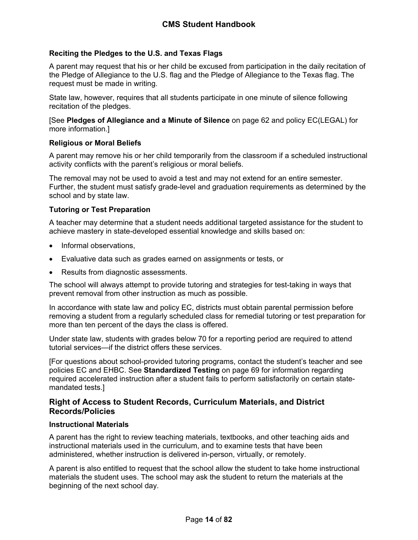## <span id="page-14-0"></span>**Reciting the Pledges to the U.S. and Texas Flags**

A parent may request that his or her child be excused from participation in the daily recitation of the Pledge of Allegiance to the U.S. flag and the Pledge of Allegiance to the Texas flag. The request must be made in writing.

State law, however, requires that all students participate in one minute of silence following recitation of the pledges.

[See **Pledges of Allegiance and a Minute of Silence** on page [62](#page-62-0) and policy EC(LEGAL) for more information.]

#### <span id="page-14-1"></span>**Religious or Moral Beliefs**

A parent may remove his or her child temporarily from the classroom if a scheduled instructional activity conflicts with the parent's religious or moral beliefs.

The removal may not be used to avoid a test and may not extend for an entire semester. Further, the student must satisfy grade-level and graduation requirements as determined by the school and by state law.

## <span id="page-14-2"></span>**Tutoring or Test Preparation**

A teacher may determine that a student needs additional targeted assistance for the student to achieve mastery in state-developed essential knowledge and skills based on:

- Informal observations,
- Evaluative data such as grades earned on assignments or tests, or
- Results from diagnostic assessments.

The school will always attempt to provide tutoring and strategies for test-taking in ways that prevent removal from other instruction as much as possible.

In accordance with state law and policy EC, districts must obtain parental permission before removing a student from a regularly scheduled class for remedial tutoring or test preparation for more than ten percent of the days the class is offered.

Under state law, students with grades below 70 for a reporting period are required to attend tutorial services—if the district offers these services.

[For questions about school-provided tutoring programs, contact the student's teacher and see policies EC and EHBC. See **Standardized Testing** on page [69](#page-69-3) for information regarding required accelerated instruction after a student fails to perform satisfactorily on certain statemandated tests.]

## <span id="page-14-3"></span>**Right of Access to Student Records, Curriculum Materials, and District Records/Policies**

## <span id="page-14-4"></span>**Instructional Materials**

A parent has the right to review teaching materials, textbooks, and other teaching aids and instructional materials used in the curriculum, and to examine tests that have been administered, whether instruction is delivered in-person, virtually, or remotely.

A parent is also entitled to request that the school allow the student to take home instructional materials the student uses. The school may ask the student to return the materials at the beginning of the next school day.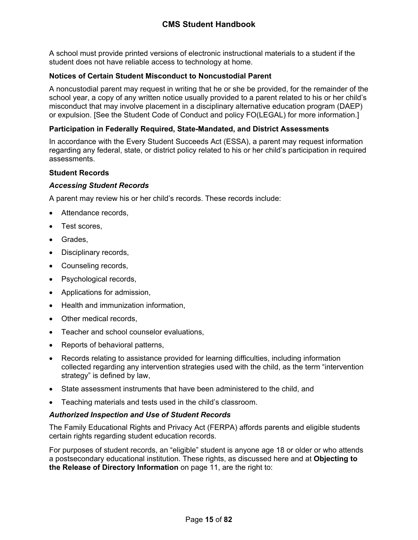A school must provide printed versions of electronic instructional materials to a student if the student does not have reliable access to technology at home.

## <span id="page-15-0"></span>**Notices of Certain Student Misconduct to Noncustodial Parent**

A noncustodial parent may request in writing that he or she be provided, for the remainder of the school year, a copy of any written notice usually provided to a parent related to his or her child's misconduct that may involve placement in a disciplinary alternative education program (DAEP) or expulsion. [See the Student Code of Conduct and policy FO(LEGAL) for more information.]

## <span id="page-15-1"></span>**Participation in Federally Required, State-Mandated, and District Assessments**

In accordance with the Every Student Succeeds Act (ESSA), a parent may request information regarding any federal, state, or district policy related to his or her child's participation in required assessments.

## <span id="page-15-2"></span>**Student Records**

## *Accessing Student Records*

A parent may review his or her child's records. These records include:

- Attendance records,
- Test scores,
- Grades,
- Disciplinary records,
- Counseling records,
- Psychological records,
- Applications for admission,
- Health and immunization information,
- Other medical records,
- Teacher and school counselor evaluations,
- Reports of behavioral patterns,
- Records relating to assistance provided for learning difficulties, including information collected regarding any intervention strategies used with the child, as the term "intervention strategy" is defined by law,
- State assessment instruments that have been administered to the child, and
- Teaching materials and tests used in the child's classroom.

## <span id="page-15-3"></span>*Authorized Inspection and Use of Student Records*

The Family Educational Rights and Privacy Act (FERPA) affords parents and eligible students certain rights regarding student education records.

For purposes of student records, an "eligible" student is anyone age 18 or older or who attends a postsecondary educational institution. These rights, as discussed here and at **Objecting to the Release of Directory Information** on page [11,](#page-11-0) are the right to: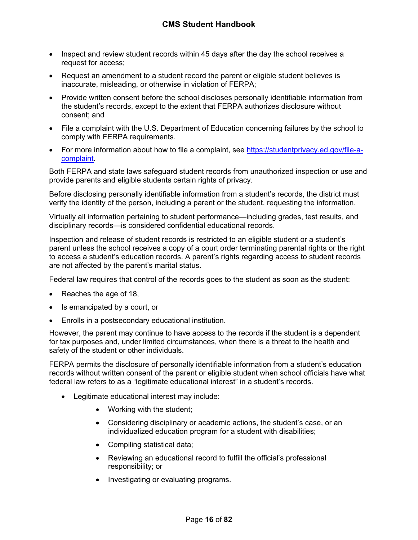- Inspect and review student records within 45 days after the day the school receives a request for access;
- Request an amendment to a student record the parent or eligible student believes is inaccurate, misleading, or otherwise in violation of FERPA;
- Provide written consent before the school discloses personally identifiable information from the student's records, except to the extent that FERPA authorizes disclosure without consent; and
- File a complaint with the U.S. Department of Education concerning failures by the school to comply with FERPA requirements.
- For more information about how to file a complaint, see [https://studentprivacy.ed.gov/file-a](https://studentprivacy.ed.gov/file-a-complaint)[complaint](https://studentprivacy.ed.gov/file-a-complaint).

Both FERPA and state laws safeguard student records from unauthorized inspection or use and provide parents and eligible students certain rights of privacy.

Before disclosing personally identifiable information from a student's records, the district must verify the identity of the person, including a parent or the student, requesting the information.

Virtually all information pertaining to student performance—including grades, test results, and disciplinary records—is considered confidential educational records.

Inspection and release of student records is restricted to an eligible student or a student's parent unless the school receives a copy of a court order terminating parental rights or the right to access a student's education records. A parent's rights regarding access to student records are not affected by the parent's marital status.

Federal law requires that control of the records goes to the student as soon as the student:

- Reaches the age of 18,
- Is emancipated by a court, or
- Enrolls in a postsecondary educational institution.

However, the parent may continue to have access to the records if the student is a dependent for tax purposes and, under limited circumstances, when there is a threat to the health and safety of the student or other individuals.

FERPA permits the disclosure of personally identifiable information from a student's education records without written consent of the parent or eligible student when school officials have what federal law refers to as a "legitimate educational interest" in a student's records.

- Legitimate educational interest may include:
	- Working with the student;
	- Considering disciplinary or academic actions, the student's case, or an individualized education program for a student with disabilities;
	- Compiling statistical data;
	- Reviewing an educational record to fulfill the official's professional responsibility; or
	- Investigating or evaluating programs.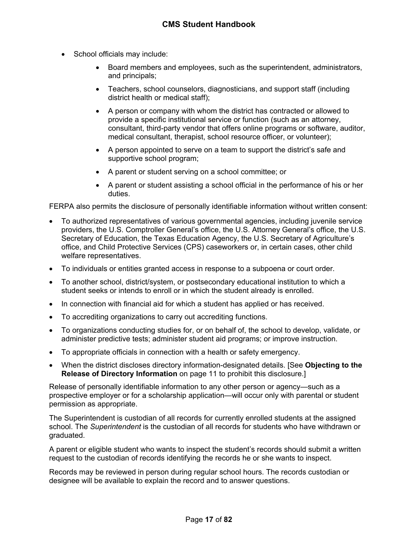- School officials may include:
	- Board members and employees, such as the superintendent, administrators, and principals;
	- Teachers, school counselors, diagnosticians, and support staff (including district health or medical staff);
	- A person or company with whom the district has contracted or allowed to provide a specific institutional service or function (such as an attorney, consultant, third-party vendor that offers online programs or software, auditor, medical consultant, therapist, school resource officer, or volunteer);
	- A person appointed to serve on a team to support the district's safe and supportive school program;
	- A parent or student serving on a school committee; or
	- A parent or student assisting a school official in the performance of his or her duties.

FERPA also permits the disclosure of personally identifiable information without written consent:

- To authorized representatives of various governmental agencies, including juvenile service providers, the U.S. Comptroller General's office, the U.S. Attorney General's office, the U.S. Secretary of Education, the Texas Education Agency, the U.S. Secretary of Agriculture's office, and Child Protective Services (CPS) caseworkers or, in certain cases, other child welfare representatives.
- To individuals or entities granted access in response to a subpoena or court order.
- To another school, district/system, or postsecondary educational institution to which a student seeks or intends to enroll or in which the student already is enrolled.
- In connection with financial aid for which a student has applied or has received.
- To accrediting organizations to carry out accrediting functions.
- To organizations conducting studies for, or on behalf of, the school to develop, validate, or administer predictive tests; administer student aid programs; or improve instruction.
- To appropriate officials in connection with a health or safety emergency.
- When the district discloses directory information-designated details. [See **Objecting to the Release of Directory Information** on page [11](#page-11-0) to prohibit this disclosure.]

Release of personally identifiable information to any other person or agency—such as a prospective employer or for a scholarship application—will occur only with parental or student permission as appropriate.

The Superintendent is custodian of all records for currently enrolled students at the assigned school. The *Superintendent* is the custodian of all records for students who have withdrawn or graduated.

A parent or eligible student who wants to inspect the student's records should submit a written request to the custodian of records identifying the records he or she wants to inspect.

Records may be reviewed in person during regular school hours. The records custodian or designee will be available to explain the record and to answer questions.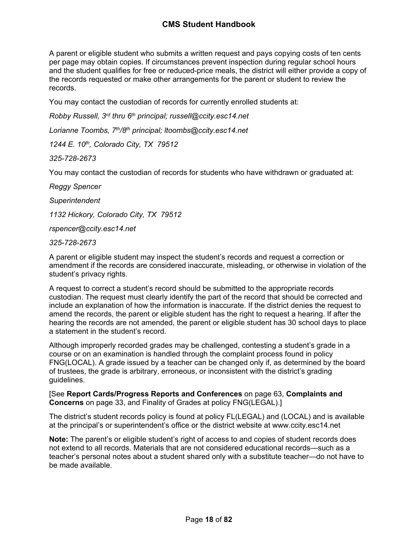A parent or eligible student who submits a written request and pays copying costs of ten cents per page may obtain copies. If circumstances prevent inspection during regular school hours and the student qualifies for free or reduced-price meals, the district will either provide a copy of the records requested or make other arrangements for the parent or student to review the records.

You may contact the custodian of records for currently enrolled students at:

*Robby Russell, 3rd thru 6th principal; russell@ccity.esc14.net*

*Lorianne Toombs, 7th/8th principal; ltoombs@ccity.esc14.net*

*1244 E. 10th, Colorado City, TX 79512*

*325-728-2673*

You may contact the custodian of records for students who have withdrawn or graduated at:

*Reggy Spencer*

*Superintendent*

*1132 Hickory, Colorado City, TX 79512*

*rspencer@ccity.esc14.net*

*325-728-2673*

A parent or eligible student may inspect the student's records and request a correction or amendment if the records are considered inaccurate, misleading, or otherwise in violation of the student's privacy rights.

A request to correct a student's record should be submitted to the appropriate records custodian. The request must clearly identify the part of the record that should be corrected and include an explanation of how the information is inaccurate. If the district denies the request to amend the records, the parent or eligible student has the right to request a hearing. If after the hearing the records are not amended, the parent or eligible student has 30 school days to place a statement in the student's record.

Although improperly recorded grades may be challenged, contesting a student's grade in a course or on an examination is handled through the complaint process found in policy FNG(LOCAL). A grade issued by a teacher can be changed only if, as determined by the board of trustees, the grade is arbitrary, erroneous, or inconsistent with the district's grading guidelines.

[See **Report Cards/Progress Reports and Conferences** on page [63](#page-63-1), **Complaints and Concerns** on page [33,](#page-34-1) and Finality of Grades at policy FNG(LEGAL).]

The district's student records policy is found at policy FL(LEGAL) and (LOCAL) and is available at the principal's or superintendent's office or the district website at www.ccity.esc14.net

**Note:** The parent's or eligible student's right of access to and copies of student records does not extend to all records. Materials that are not considered educational records—such as a teacher's personal notes about a student shared only with a substitute teacher—do not have to be made available.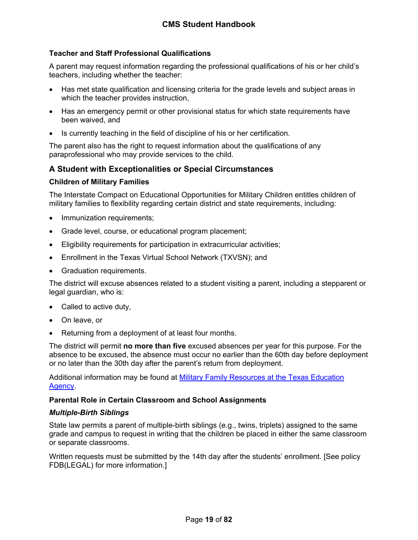## <span id="page-19-0"></span>**Teacher and Staff Professional Qualifications**

A parent may request information regarding the professional qualifications of his or her child's teachers, including whether the teacher:

- Has met state qualification and licensing criteria for the grade levels and subject areas in which the teacher provides instruction,
- Has an emergency permit or other provisional status for which state requirements have been waived, and
- Is currently teaching in the field of discipline of his or her certification.

The parent also has the right to request information about the qualifications of any paraprofessional who may provide services to the child.

## <span id="page-19-1"></span>**A Student with Exceptionalities or Special Circumstances**

#### <span id="page-19-2"></span>**Children of Military Families**

The Interstate Compact on Educational Opportunities for Military Children entitles children of military families to flexibility regarding certain district and state requirements, including:

- Immunization requirements;
- Grade level, course, or educational program placement;
- Eligibility requirements for participation in extracurricular activities;
- Enrollment in the Texas Virtual School Network (TXVSN); and
- Graduation requirements.

The district will excuse absences related to a student visiting a parent, including a stepparent or legal guardian, who is:

- Called to active duty,
- On leave, or
- Returning from a deployment of at least four months.

The district will permit **no more than five** excused absences per year for this purpose. For the absence to be excused, the absence must occur no earlier than the 60th day before deployment or no later than the 30th day after the parent's return from deployment.

Additional information may be found at [Military Family Resources at the Texas Education](http://tea.texas.gov/index2.aspx?id=7995)  [Agency.](http://tea.texas.gov/index2.aspx?id=7995)

#### <span id="page-19-3"></span>**Parental Role in Certain Classroom and School Assignments**

#### *Multiple-Birth Siblings*

State law permits a parent of multiple-birth siblings (e.g., twins, triplets) assigned to the same grade and campus to request in writing that the children be placed in either the same classroom or separate classrooms.

Written requests must be submitted by the 14th day after the students' enrollment. [See policy FDB(LEGAL) for more information.]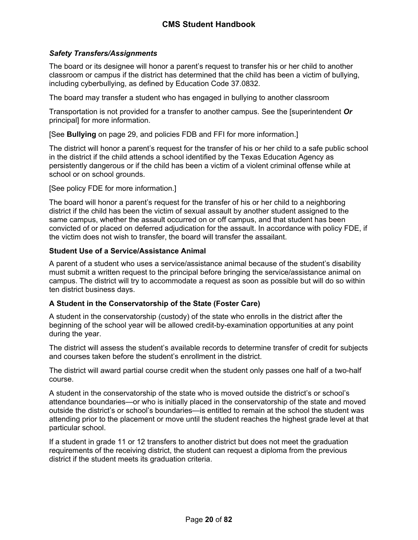## <span id="page-20-2"></span>*Safety Transfers/Assignments*

The board or its designee will honor a parent's request to transfer his or her child to another classroom or campus if the district has determined that the child has been a victim of bullying, including cyberbullying, as defined by Education Code 37.0832.

The board may transfer a student who has engaged in bullying to another classroom

Transportation is not provided for a transfer to another campus. See the [superintendent *Or* principal] for more information.

[See **Bullying** on page [29](#page-29-0), and policies FDB and FFI for more information.]

The district will honor a parent's request for the transfer of his or her child to a safe public school in the district if the child attends a school identified by the Texas Education Agency as persistently dangerous or if the child has been a victim of a violent criminal offense while at school or on school grounds.

[See policy FDE for more information.]

The board will honor a parent's request for the transfer of his or her child to a neighboring district if the child has been the victim of sexual assault by another student assigned to the same campus, whether the assault occurred on or off campus, and that student has been convicted of or placed on deferred adjudication for the assault. In accordance with policy FDE, if the victim does not wish to transfer, the board will transfer the assailant.

## <span id="page-20-0"></span>**Student Use of a Service/Assistance Animal**

A parent of a student who uses a service/assistance animal because of the student's disability must submit a written request to the principal before bringing the service/assistance animal on campus. The district will try to accommodate a request as soon as possible but will do so within ten district business days.

## <span id="page-20-1"></span>**A Student in the Conservatorship of the State (Foster Care)**

A student in the conservatorship (custody) of the state who enrolls in the district after the beginning of the school year will be allowed credit-by-examination opportunities at any point during the year.

The district will assess the student's available records to determine transfer of credit for subjects and courses taken before the student's enrollment in the district.

The district will award partial course credit when the student only passes one half of a two-half course.

A student in the conservatorship of the state who is moved outside the district's or school's attendance boundaries—or who is initially placed in the conservatorship of the state and moved outside the district's or school's boundaries—is entitled to remain at the school the student was attending prior to the placement or move until the student reaches the highest grade level at that particular school.

If a student in grade 11 or 12 transfers to another district but does not meet the graduation requirements of the receiving district, the student can request a diploma from the previous district if the student meets its graduation criteria.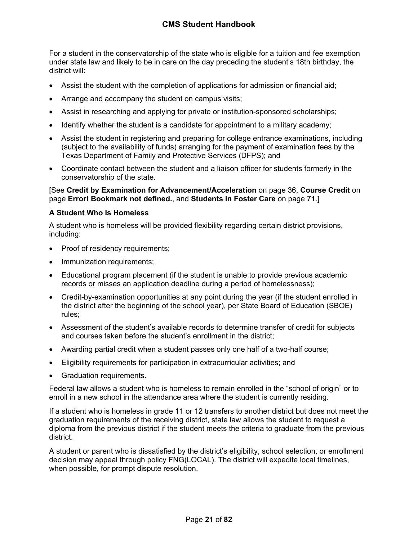For a student in the conservatorship of the state who is eligible for a tuition and fee exemption under state law and likely to be in care on the day preceding the student's 18th birthday, the district will:

- Assist the student with the completion of applications for admission or financial aid;
- Arrange and accompany the student on campus visits;
- Assist in researching and applying for private or institution-sponsored scholarships;
- Identify whether the student is a candidate for appointment to a military academy;
- Assist the student in registering and preparing for college entrance examinations, including (subject to the availability of funds) arranging for the payment of examination fees by the Texas Department of Family and Protective Services (DFPS); and
- Coordinate contact between the student and a liaison officer for students formerly in the conservatorship of the state.

[See **Credit by Examination for Advancement/Acceleration** on page [36,](#page-37-0) **Course Credit** on page **Error! Bookmark not defined.**, and **Students in Foster Care** on page [71](#page-71-0).]

#### <span id="page-21-0"></span>**A Student Who Is Homeless**

A student who is homeless will be provided flexibility regarding certain district provisions, including:

- Proof of residency requirements;
- Immunization requirements;
- Educational program placement (if the student is unable to provide previous academic records or misses an application deadline during a period of homelessness);
- Credit-by-examination opportunities at any point during the year (if the student enrolled in the district after the beginning of the school year), per State Board of Education (SBOE) rules;
- Assessment of the student's available records to determine transfer of credit for subjects and courses taken before the student's enrollment in the district;
- Awarding partial credit when a student passes only one half of a two-half course;
- Eligibility requirements for participation in extracurricular activities; and
- Graduation requirements.

Federal law allows a student who is homeless to remain enrolled in the "school of origin" or to enroll in a new school in the attendance area where the student is currently residing.

If a student who is homeless in grade 11 or 12 transfers to another district but does not meet the graduation requirements of the receiving district, state law allows the student to request a diploma from the previous district if the student meets the criteria to graduate from the previous district.

A student or parent who is dissatisfied by the district's eligibility, school selection, or enrollment decision may appeal through policy FNG(LOCAL). The district will expedite local timelines, when possible, for prompt dispute resolution.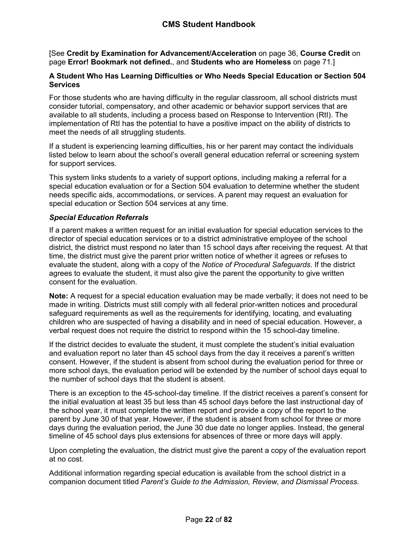[See **Credit by Examination for Advancement/Acceleration** on page [36,](#page-37-0) **Course Credit** on page **Error! Bookmark not defined.**, and **Students who are Homeless** on page [71.](#page-71-1)]

## <span id="page-22-0"></span>**A Student Who Has Learning Difficulties or Who Needs Special Education or Section 504 Services**

For those students who are having difficulty in the regular classroom, all school districts must consider tutorial, compensatory, and other academic or behavior support services that are available to all students, including a process based on Response to Intervention (RtI). The implementation of RtI has the potential to have a positive impact on the ability of districts to meet the needs of all struggling students.

If a student is experiencing learning difficulties, his or her parent may contact the individuals listed below to learn about the school's overall general education referral or screening system for support services.

This system links students to a variety of support options, including making a referral for a special education evaluation or for a Section 504 evaluation to determine whether the student needs specific aids, accommodations, or services. A parent may request an evaluation for special education or Section 504 services at any time.

## *Special Education Referrals*

If a parent makes a written request for an initial evaluation for special education services to the director of special education services or to a district administrative employee of the school district, the district must respond no later than 15 school days after receiving the request. At that time, the district must give the parent prior written notice of whether it agrees or refuses to evaluate the student, along with a copy of the *Notice of Procedural Safeguards*. If the district agrees to evaluate the student, it must also give the parent the opportunity to give written consent for the evaluation.

**Note:** A request for a special education evaluation may be made verbally; it does not need to be made in writing. Districts must still comply with all federal prior-written notices and procedural safeguard requirements as well as the requirements for identifying, locating, and evaluating children who are suspected of having a disability and in need of special education. However, a verbal request does not require the district to respond within the 15 school-day timeline.

If the district decides to evaluate the student, it must complete the student's initial evaluation and evaluation report no later than 45 school days from the day it receives a parent's written consent. However, if the student is absent from school during the evaluation period for three or more school days, the evaluation period will be extended by the number of school days equal to the number of school days that the student is absent.

There is an exception to the 45-school-day timeline. If the district receives a parent's consent for the initial evaluation at least 35 but less than 45 school days before the last instructional day of the school year, it must complete the written report and provide a copy of the report to the parent by June 30 of that year. However, if the student is absent from school for three or more days during the evaluation period, the June 30 due date no longer applies. Instead, the general timeline of 45 school days plus extensions for absences of three or more days will apply.

Upon completing the evaluation, the district must give the parent a copy of the evaluation report at no cost.

Additional information regarding special education is available from the school district in a companion document titled *Parent's Guide to the Admission, Review, and Dismissal Process*.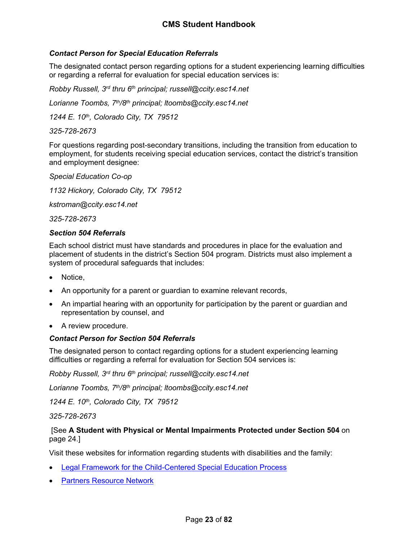## *Contact Person for Special Education Referrals*

The designated contact person regarding options for a student experiencing learning difficulties or regarding a referral for evaluation for special education services is:

*Robby Russell, 3rd thru 6th principal; russell@ccity.esc14.net*

*Lorianne Toombs, 7th/8th principal; ltoombs@ccity.esc14.net*

*1244 E. 10th, Colorado City, TX 79512*

#### *325-728-2673*

For questions regarding post-secondary transitions, including the transition from education to employment, for students receiving special education services, contact the district's transition and employment designee:

*Special Education Co-op*

*1132 Hickory, Colorado City, TX 79512*

*kstroman@ccity.esc14.net*

*325-728-2673*

#### *Section 504 Referrals*

Each school district must have standards and procedures in place for the evaluation and placement of students in the district's Section 504 program. Districts must also implement a system of procedural safeguards that includes:

- Notice,
- An opportunity for a parent or guardian to examine relevant records,
- An impartial hearing with an opportunity for participation by the parent or guardian and representation by counsel, and
- A review procedure.

#### *Contact Person for Section 504 Referrals*

The designated person to contact regarding options for a student experiencing learning difficulties or regarding a referral for evaluation for Section 504 services is:

*Robby Russell, 3rd thru 6th principal; russell@ccity.esc14.net*

*Lorianne Toombs, 7th/8th principal; ltoombs@ccity.esc14.net*

*1244 E. 10th, Colorado City, TX 79512*

#### *325-728-2673*

 [See **A Student with Physical or Mental Impairments Protected under Section 504** on page [24.](#page-24-2)]

Visit these websites for information regarding students with disabilities and the family:

- [Legal Framework for the Child-Centered Special Education Process](http://framework.esc18.net/display/Webforms/LandingPage.aspx)
- [Partners Resource Network](http://www.partnerstx.org/)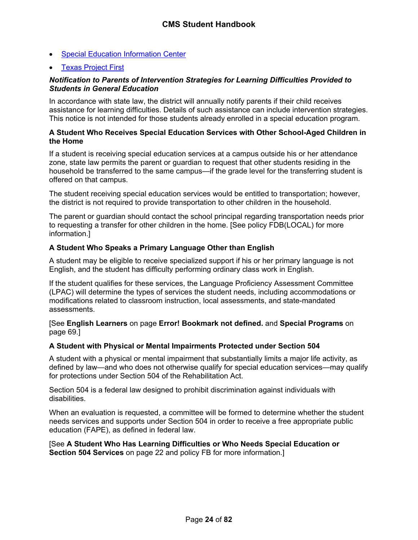- [Special Education Information Center](http://www.spedtex.org/)
- [Texas Project First](http://www.texasprojectfirst.org/)

#### *Notification to Parents of Intervention Strategies for Learning Difficulties Provided to Students in General Education*

In accordance with state law, the district will annually notify parents if their child receives assistance for learning difficulties. Details of such assistance can include intervention strategies. This notice is not intended for those students already enrolled in a special education program.

#### <span id="page-24-0"></span>**A Student Who Receives Special Education Services with Other School-Aged Children in the Home**

If a student is receiving special education services at a campus outside his or her attendance zone, state law permits the parent or guardian to request that other students residing in the household be transferred to the same campus—if the grade level for the transferring student is offered on that campus.

The student receiving special education services would be entitled to transportation; however, the district is not required to provide transportation to other children in the household.

The parent or guardian should contact the school principal regarding transportation needs prior to requesting a transfer for other children in the home. [See policy FDB(LOCAL) for more information.]

#### <span id="page-24-1"></span>**A Student Who Speaks a Primary Language Other than English**

A student may be eligible to receive specialized support if his or her primary language is not English, and the student has difficulty performing ordinary class work in English.

If the student qualifies for these services, the Language Proficiency Assessment Committee (LPAC) will determine the types of services the student needs, including accommodations or modifications related to classroom instruction, local assessments, and state-mandated assessments.

[See **English Learners** on page **Error! Bookmark not defined.** and **Special Programs** on page [69.](#page-69-2)]

#### <span id="page-24-2"></span>**A Student with Physical or Mental Impairments Protected under Section 504**

A student with a physical or mental impairment that substantially limits a major life activity, as defined by law—and who does not otherwise qualify for special education services—may qualify for protections under Section 504 of the Rehabilitation Act.

Section 504 is a federal law designed to prohibit discrimination against individuals with disabilities.

When an evaluation is requested, a committee will be formed to determine whether the student needs services and supports under Section 504 in order to receive a free appropriate public education (FAPE), as defined in federal law.

#### [See **A Student Who Has Learning Difficulties or Who Needs Special Education or Section 504 Services** on page [22](#page-22-0) and policy FB for more information.]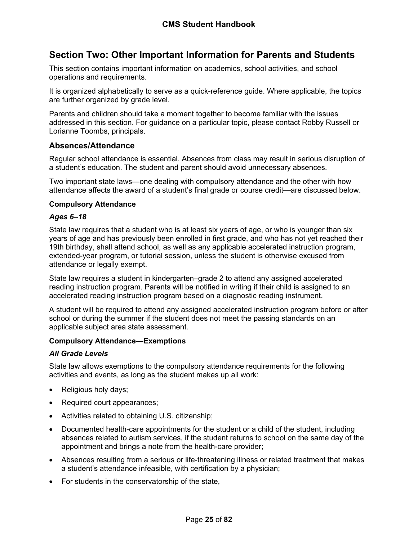## <span id="page-25-0"></span>**Section Two: Other Important Information for Parents and Students**

This section contains important information on academics, school activities, and school operations and requirements.

It is organized alphabetically to serve as a quick-reference guide. Where applicable, the topics are further organized by grade level.

Parents and children should take a moment together to become familiar with the issues addressed in this section. For guidance on a particular topic, please contact Robby Russell or Lorianne Toombs, principals.

## <span id="page-25-1"></span>**Absences/Attendance**

Regular school attendance is essential. Absences from class may result in serious disruption of a student's education. The student and parent should avoid unnecessary absences.

Two important state laws—one dealing with compulsory attendance and the other with how attendance affects the award of a student's final grade or course credit—are discussed below.

#### <span id="page-25-2"></span>**Compulsory Attendance**

#### *Ages 6–18*

State law requires that a student who is at least six years of age, or who is younger than six years of age and has previously been enrolled in first grade, and who has not yet reached their 19th birthday, shall attend school, as well as any applicable accelerated instruction program, extended-year program, or tutorial session, unless the student is otherwise excused from attendance or legally exempt.

State law requires a student in kindergarten–grade 2 to attend any assigned accelerated reading instruction program. Parents will be notified in writing if their child is assigned to an accelerated reading instruction program based on a diagnostic reading instrument.

A student will be required to attend any assigned accelerated instruction program before or after school or during the summer if the student does not meet the passing standards on an applicable subject area state assessment.

#### <span id="page-25-3"></span>**Compulsory Attendance—Exemptions**

## *All Grade Levels*

State law allows exemptions to the compulsory attendance requirements for the following activities and events, as long as the student makes up all work:

- Religious holy days;
- Required court appearances;
- Activities related to obtaining U.S. citizenship;
- Documented health-care appointments for the student or a child of the student, including absences related to autism services, if the student returns to school on the same day of the appointment and brings a note from the health-care provider;
- Absences resulting from a serious or life-threatening illness or related treatment that makes a student's attendance infeasible, with certification by a physician;
- For students in the conservatorship of the state,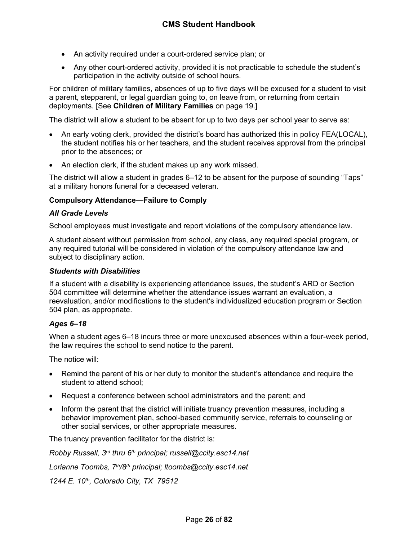- An activity required under a court-ordered service plan; or
- Any other court-ordered activity, provided it is not practicable to schedule the student's participation in the activity outside of school hours.

For children of military families, absences of up to five days will be excused for a student to visit a parent, stepparent, or legal guardian going to, on leave from, or returning from certain deployments. [See **Children of Military Families** on page [19.](#page-19-2)]

The district will allow a student to be absent for up to two days per school year to serve as:

- An early voting clerk, provided the district's board has authorized this in policy FEA(LOCAL), the student notifies his or her teachers, and the student receives approval from the principal prior to the absences; or
- An election clerk, if the student makes up any work missed.

The district will allow a student in grades 6–12 to be absent for the purpose of sounding "Taps" at a military honors funeral for a deceased veteran.

## <span id="page-26-0"></span>**Compulsory Attendance—Failure to Comply**

#### *All Grade Levels*

School employees must investigate and report violations of the compulsory attendance law.

A student absent without permission from school, any class, any required special program, or any required tutorial will be considered in violation of the compulsory attendance law and subject to disciplinary action.

#### *Students with Disabilities*

If a student with a disability is experiencing attendance issues, the student's ARD or Section 504 committee will determine whether the attendance issues warrant an evaluation, a reevaluation, and/or modifications to the student's individualized education program or Section 504 plan, as appropriate.

#### *Ages 6–18*

When a student ages 6–18 incurs three or more unexcused absences within a four-week period, the law requires the school to send notice to the parent.

The notice will:

- Remind the parent of his or her duty to monitor the student's attendance and require the student to attend school;
- Request a conference between school administrators and the parent; and
- Inform the parent that the district will initiate truancy prevention measures, including a behavior improvement plan, school-based community service, referrals to counseling or other social services, or other appropriate measures.

The truancy prevention facilitator for the district is:

*Robby Russell, 3rd thru 6th principal; russell@ccity.esc14.net*

*Lorianne Toombs, 7th/8th principal; ltoombs@ccity.esc14.net*

*1244 E. 10th, Colorado City, TX 79512*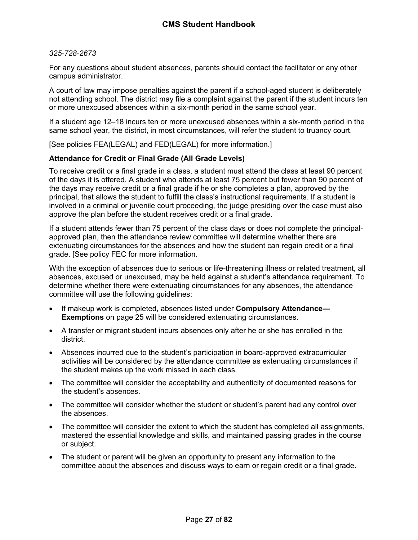#### *325-728-2673*

For any questions about student absences, parents should contact the facilitator or any other campus administrator.

A court of law may impose penalties against the parent if a school-aged student is deliberately not attending school. The district may file a complaint against the parent if the student incurs ten or more unexcused absences within a six-month period in the same school year.

If a student age 12–18 incurs ten or more unexcused absences within a six-month period in the same school year, the district, in most circumstances, will refer the student to truancy court.

[See policies FEA(LEGAL) and FED(LEGAL) for more information.]

#### <span id="page-27-0"></span>**Attendance for Credit or Final Grade (All Grade Levels)**

To receive credit or a final grade in a class, a student must attend the class at least 90 percent of the days it is offered. A student who attends at least 75 percent but fewer than 90 percent of the days may receive credit or a final grade if he or she completes a plan, approved by the principal, that allows the student to fulfill the class's instructional requirements. If a student is involved in a criminal or juvenile court proceeding, the judge presiding over the case must also approve the plan before the student receives credit or a final grade.

If a student attends fewer than 75 percent of the class days or does not complete the principalapproved plan, then the attendance review committee will determine whether there are extenuating circumstances for the absences and how the student can regain credit or a final grade. [See policy FEC for more information.

With the exception of absences due to serious or life-threatening illness or related treatment, all absences, excused or unexcused, may be held against a student's attendance requirement. To determine whether there were extenuating circumstances for any absences, the attendance committee will use the following guidelines:

- If makeup work is completed, absences listed under **Compulsory Attendance— Exemptions** on page [25](#page-25-3) will be considered extenuating circumstances.
- A transfer or migrant student incurs absences only after he or she has enrolled in the district.
- Absences incurred due to the student's participation in board-approved extracurricular activities will be considered by the attendance committee as extenuating circumstances if the student makes up the work missed in each class.
- The committee will consider the acceptability and authenticity of documented reasons for the student's absences.
- The committee will consider whether the student or student's parent had any control over the absences.
- The committee will consider the extent to which the student has completed all assignments, mastered the essential knowledge and skills, and maintained passing grades in the course or subject.
- The student or parent will be given an opportunity to present any information to the committee about the absences and discuss ways to earn or regain credit or a final grade.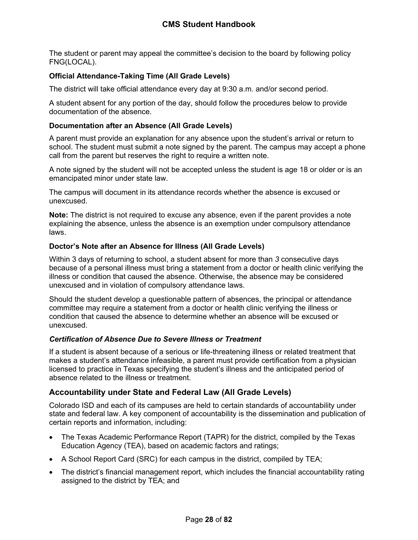The student or parent may appeal the committee's decision to the board by following policy FNG(LOCAL).

## <span id="page-28-0"></span>**Official Attendance-Taking Time (All Grade Levels)**

The district will take official attendance every day at 9:30 a.m. and/or second period.

A student absent for any portion of the day, should follow the procedures below to provide documentation of the absence.

### <span id="page-28-1"></span>**Documentation after an Absence (All Grade Levels)**

A parent must provide an explanation for any absence upon the student's arrival or return to school. The student must submit a note signed by the parent. The campus may accept a phone call from the parent but reserves the right to require a written note.

A note signed by the student will not be accepted unless the student is age 18 or older or is an emancipated minor under state law.

The campus will document in its attendance records whether the absence is excused or unexcused.

**Note:** The district is not required to excuse any absence, even if the parent provides a note explaining the absence, unless the absence is an exemption under compulsory attendance laws.

#### <span id="page-28-2"></span>**Doctor's Note after an Absence for Illness (All Grade Levels)**

Within 3 days of returning to school, a student absent for more than *3* consecutive days because of a personal illness must bring a statement from a doctor or health clinic verifying the illness or condition that caused the absence. Otherwise, the absence may be considered unexcused and in violation of compulsory attendance laws.

Should the student develop a questionable pattern of absences, the principal or attendance committee may require a statement from a doctor or health clinic verifying the illness or condition that caused the absence to determine whether an absence will be excused or unexcused.

## *Certification of Absence Due to Severe Illness or Treatment*

If a student is absent because of a serious or life-threatening illness or related treatment that makes a student's attendance infeasible, a parent must provide certification from a physician licensed to practice in Texas specifying the student's illness and the anticipated period of absence related to the illness or treatment.

## <span id="page-28-3"></span>**Accountability under State and Federal Law (All Grade Levels)**

Colorado ISD and each of its campuses are held to certain standards of accountability under state and federal law. A key component of accountability is the dissemination and publication of certain reports and information, including:

- The Texas Academic Performance Report (TAPR) for the district, compiled by the Texas Education Agency (TEA), based on academic factors and ratings;
- A School Report Card (SRC) for each campus in the district, compiled by TEA;
- The district's financial management report, which includes the financial accountability rating assigned to the district by TEA; and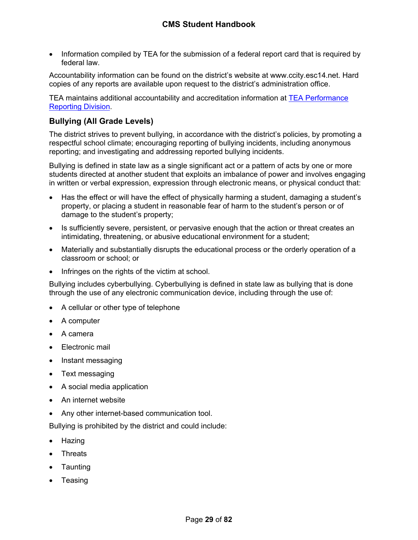Information compiled by TEA for the submission of a federal report card that is required by federal law.

Accountability information can be found on the district's website at www.ccity.esc14.net. Hard copies of any reports are available upon request to the district's administration office.

TEA maintains additional accountability and accreditation information at [TEA Performance](http://www.tea.texas.gov/perfreport/)  [Reporting Division](http://www.tea.texas.gov/perfreport/).

## <span id="page-29-0"></span>**Bullying (All Grade Levels)**

The district strives to prevent bullying, in accordance with the district's policies, by promoting a respectful school climate; encouraging reporting of bullying incidents, including anonymous reporting; and investigating and addressing reported bullying incidents.

Bullying is defined in state law as a single significant act or a pattern of acts by one or more students directed at another student that exploits an imbalance of power and involves engaging in written or verbal expression, expression through electronic means, or physical conduct that:

- Has the effect or will have the effect of physically harming a student, damaging a student's property, or placing a student in reasonable fear of harm to the student's person or of damage to the student's property;
- Is sufficiently severe, persistent, or pervasive enough that the action or threat creates an intimidating, threatening, or abusive educational environment for a student;
- Materially and substantially disrupts the educational process or the orderly operation of a classroom or school; or
- Infringes on the rights of the victim at school.

Bullying includes cyberbullying. Cyberbullying is defined in state law as bullying that is done through the use of any electronic communication device, including through the use of:

- A cellular or other type of telephone
- A computer
- A camera
- Electronic mail
- Instant messaging
- Text messaging
- A social media application
- An internet website
- Any other internet-based communication tool.

Bullying is prohibited by the district and could include:

- Hazing
- Threats
- **Taunting**
- **Teasing**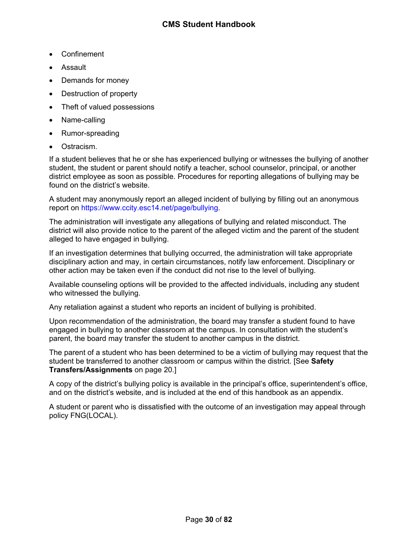- Confinement
- Assault
- Demands for money
- Destruction of property
- Theft of valued possessions
- Name-calling
- Rumor-spreading
- Ostracism.

If a student believes that he or she has experienced bullying or witnesses the bullying of another student, the student or parent should notify a teacher, school counselor, principal, or another district employee as soon as possible. Procedures for reporting allegations of bullying may be found on the district's website.

A student may anonymously report an alleged incident of bullying by filling out an anonymous report on https://www.ccity.esc14.net/page/bullying.

The administration will investigate any allegations of bullying and related misconduct. The district will also provide notice to the parent of the alleged victim and the parent of the student alleged to have engaged in bullying.

If an investigation determines that bullying occurred, the administration will take appropriate disciplinary action and may, in certain circumstances, notify law enforcement. Disciplinary or other action may be taken even if the conduct did not rise to the level of bullying.

Available counseling options will be provided to the affected individuals, including any student who witnessed the bullying.

Any retaliation against a student who reports an incident of bullying is prohibited.

Upon recommendation of the administration, the board may transfer a student found to have engaged in bullying to another classroom at the campus. In consultation with the student's parent, the board may transfer the student to another campus in the district.

The parent of a student who has been determined to be a victim of bullying may request that the student be transferred to another classroom or campus within the district. [See **Safety Transfers/Assignments** on page [20](#page-20-2).]

A copy of the district's bullying policy is available in the principal's office, superintendent's office, and on the district's website, and is included at the end of this handbook as an appendix.

A student or parent who is dissatisfied with the outcome of an investigation may appeal through policy FNG(LOCAL).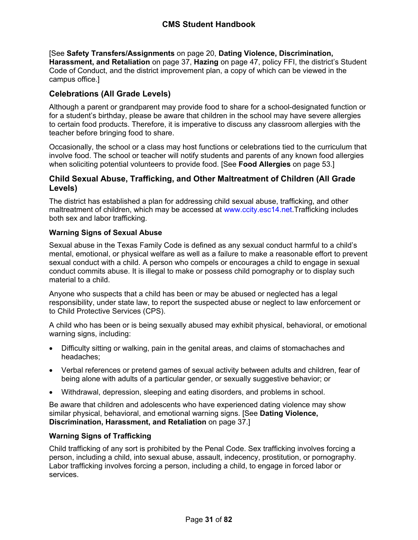[See **Safety Transfers/Assignments** on page [20](#page-20-2), **Dating Violence, Discrimination, Harassment, and Retaliation** on page [37](#page-37-3), **Hazing** on page [47](#page-48-1), policy FFI, the district's Student Code of Conduct, and the district improvement plan, a copy of which can be viewed in the campus office.]

## <span id="page-31-0"></span>**Celebrations (All Grade Levels)**

Although a parent or grandparent may provide food to share for a school-designated function or for a student's birthday, please be aware that children in the school may have severe allergies to certain food products. Therefore, it is imperative to discuss any classroom allergies with the teacher before bringing food to share.

Occasionally, the school or a class may host functions or celebrations tied to the curriculum that involve food. The school or teacher will notify students and parents of any known food allergies when soliciting potential volunteers to provide food. [See **Food Allergies** on page [53](#page-54-3).]

## <span id="page-31-1"></span>**Child Sexual Abuse, Trafficking, and Other Maltreatment of Children (All Grade Levels)**

The district has established a plan for addressing child sexual abuse, trafficking, and other maltreatment of children, which may be accessed at www.ccity.esc14.net.Trafficking includes both sex and labor trafficking.

## <span id="page-31-2"></span>**Warning Signs of Sexual Abuse**

Sexual abuse in the Texas Family Code is defined as any sexual conduct harmful to a child's mental, emotional, or physical welfare as well as a failure to make a reasonable effort to prevent sexual conduct with a child. A person who compels or encourages a child to engage in sexual conduct commits abuse. It is illegal to make or possess child pornography or to display such material to a child.

Anyone who suspects that a child has been or may be abused or neglected has a legal responsibility, under state law, to report the suspected abuse or neglect to law enforcement or to Child Protective Services (CPS).

A child who has been or is being sexually abused may exhibit physical, behavioral, or emotional warning signs, including:

- Difficulty sitting or walking, pain in the genital areas, and claims of stomachaches and headaches;
- Verbal references or pretend games of sexual activity between adults and children, fear of being alone with adults of a particular gender, or sexually suggestive behavior; or
- Withdrawal, depression, sleeping and eating disorders, and problems in school.

Be aware that children and adolescents who have experienced dating violence may show similar physical, behavioral, and emotional warning signs. [See **Dating Violence, Discrimination, Harassment, and Retaliation** on page [37.](#page-37-3)]

## <span id="page-31-3"></span>**Warning Signs of Trafficking**

Child trafficking of any sort is prohibited by the Penal Code. Sex trafficking involves forcing a person, including a child, into sexual abuse, assault, indecency, prostitution, or pornography. Labor trafficking involves forcing a person, including a child, to engage in forced labor or services.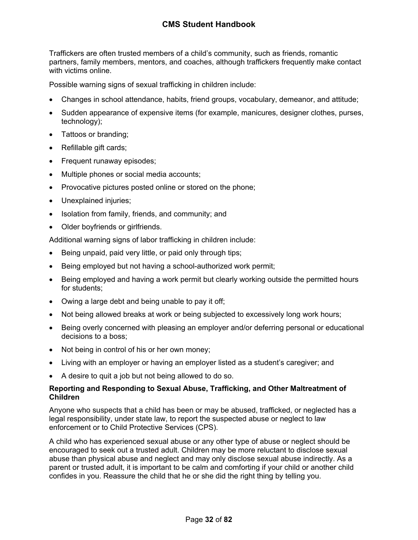Traffickers are often trusted members of a child's community, such as friends, romantic partners, family members, mentors, and coaches, although traffickers frequently make contact with victims online.

Possible warning signs of sexual trafficking in children include:

- Changes in school attendance, habits, friend groups, vocabulary, demeanor, and attitude;
- Sudden appearance of expensive items (for example, manicures, designer clothes, purses, technology);
- Tattoos or branding;
- Refillable gift cards;
- Frequent runaway episodes;
- Multiple phones or social media accounts;
- Provocative pictures posted online or stored on the phone;
- Unexplained injuries;
- Isolation from family, friends, and community; and
- Older boyfriends or girlfriends.

Additional warning signs of labor trafficking in children include:

- Being unpaid, paid very little, or paid only through tips;
- Being employed but not having a school-authorized work permit;
- Being employed and having a work permit but clearly working outside the permitted hours for students;
- Owing a large debt and being unable to pay it off;
- Not being allowed breaks at work or being subjected to excessively long work hours;
- Being overly concerned with pleasing an employer and/or deferring personal or educational decisions to a boss;
- Not being in control of his or her own money;
- Living with an employer or having an employer listed as a student's caregiver; and
- A desire to quit a job but not being allowed to do so.

## <span id="page-32-0"></span>**Reporting and Responding to Sexual Abuse, Trafficking, and Other Maltreatment of Children**

Anyone who suspects that a child has been or may be abused, trafficked, or neglected has a legal responsibility, under state law, to report the suspected abuse or neglect to law enforcement or to Child Protective Services (CPS).

A child who has experienced sexual abuse or any other type of abuse or neglect should be encouraged to seek out a trusted adult. Children may be more reluctant to disclose sexual abuse than physical abuse and neglect and may only disclose sexual abuse indirectly. As a parent or trusted adult, it is important to be calm and comforting if your child or another child confides in you. Reassure the child that he or she did the right thing by telling you.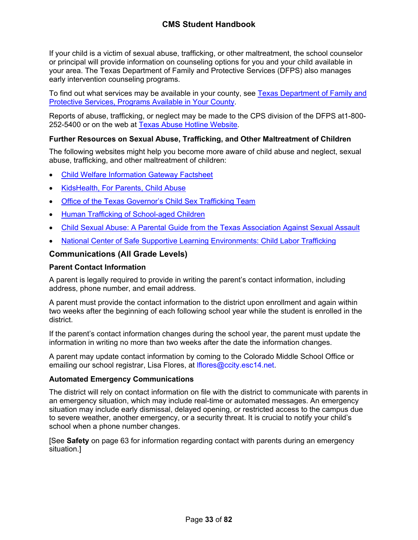If your child is a victim of sexual abuse, trafficking, or other maltreatment, the school counselor or principal will provide information on counseling options for you and your child available in your area. The Texas Department of Family and Protective Services (DFPS) also manages early intervention counseling programs.

To find out what services may be available in your county, see [Texas Department of Family and](http://www.dfps.state.tx.us/Prevention_and_Early_Intervention/Programs_Available_In_Your_County/default.asp)  [Protective Services, Programs Available in Your County](http://www.dfps.state.tx.us/Prevention_and_Early_Intervention/Programs_Available_In_Your_County/default.asp).

Reports of abuse, trafficking, or neglect may be made to the CPS division of the DFPS at1-800- 252-5400 or on the web at [Texas Abuse Hotline Website.](http://www.txabusehotline.org/)

#### <span id="page-33-0"></span>**Further Resources on Sexual Abuse, Trafficking, and Other Maltreatment of Children**

The following websites might help you become more aware of child abuse and neglect, sexual abuse, trafficking, and other maltreatment of children:

- [Child Welfare Information Gateway Factsheet](https://www.childwelfare.gov/pubs/factsheets/whatiscan.pdf)
- [KidsHealth, For Parents, Child Abuse](http://kidshealth.org/en/parents/child-abuse.html)
- [Office of the Texas Governor's Child Sex Trafficking Team](https://gov.texas.gov/organization/cjd/childsextrafficking)
- [Human Trafficking of School-aged Children](https://tea.texas.gov/About_TEA/Other_Services/Human_Trafficking_of_School-aged_Children/)
- [Child Sexual Abuse: A Parental Guide from the Texas Association Against Sexual Assault](http://taasa.org/product/child-sexual-abuse-parental-guide/)
- [National Center of Safe Supportive Learning Environments: Child Labor Trafficking](https://safesupportivelearning.ed.gov/human-trafficking-americas-schools/child-labor-trafficking)

#### <span id="page-33-1"></span>**Communications (All Grade Levels)**

#### <span id="page-33-2"></span>**Parent Contact Information**

A parent is legally required to provide in writing the parent's contact information, including address, phone number, and email address.

A parent must provide the contact information to the district upon enrollment and again within two weeks after the beginning of each following school year while the student is enrolled in the district.

If the parent's contact information changes during the school year, the parent must update the information in writing no more than two weeks after the date the information changes.

A parent may update contact information by coming to the Colorado Middle School Office or emailing our school registrar, Lisa Flores, at *Iflores@ccity.esc14.net.* 

#### <span id="page-33-3"></span>**Automated Emergency Communications**

The district will rely on contact information on file with the district to communicate with parents in an emergency situation, which may include real-time or automated messages. An emergency situation may include early dismissal, delayed opening, or restricted access to the campus due to severe weather, another emergency, or a security threat. It is crucial to notify your child's school when a phone number changes.

[See **Safety** on page [63](#page-63-3) for information regarding contact with parents during an emergency situation.]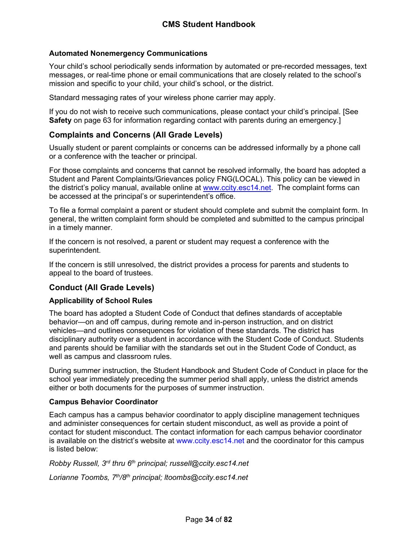## <span id="page-34-0"></span>**Automated Nonemergency Communications**

Your child's school periodically sends information by automated or pre-recorded messages, text messages, or real-time phone or email communications that are closely related to the school's mission and specific to your child, your child's school, or the district.

Standard messaging rates of your wireless phone carrier may apply.

If you do not wish to receive such communications, please contact your child's principal. [See **Safety** on page [63](#page-63-3) for information regarding contact with parents during an emergency.]

## <span id="page-34-1"></span>**Complaints and Concerns (All Grade Levels)**

Usually student or parent complaints or concerns can be addressed informally by a phone call or a conference with the teacher or principal.

For those complaints and concerns that cannot be resolved informally, the board has adopted a Student and Parent Complaints/Grievances policy FNG(LOCAL). This policy can be viewed in the district's policy manual, available online at [www.ccity.esc14.net](http://www.ccity.esc14.net/). The complaint forms can be accessed at the principal's or superintendent's office.

To file a formal complaint a parent or student should complete and submit the complaint form. In general, the written complaint form should be completed and submitted to the campus principal in a timely manner.

If the concern is not resolved, a parent or student may request a conference with the superintendent.

If the concern is still unresolved, the district provides a process for parents and students to appeal to the board of trustees.

## <span id="page-34-2"></span>**Conduct (All Grade Levels)**

## <span id="page-34-3"></span>**Applicability of School Rules**

The board has adopted a Student Code of Conduct that defines standards of acceptable behavior—on and off campus, during remote and in-person instruction, and on district vehicles—and outlines consequences for violation of these standards. The district has disciplinary authority over a student in accordance with the Student Code of Conduct. Students and parents should be familiar with the standards set out in the Student Code of Conduct, as well as campus and classroom rules.

During summer instruction, the Student Handbook and Student Code of Conduct in place for the school year immediately preceding the summer period shall apply, unless the district amends either or both documents for the purposes of summer instruction.

## <span id="page-34-4"></span>**Campus Behavior Coordinator**

Each campus has a campus behavior coordinator to apply discipline management techniques and administer consequences for certain student misconduct, as well as provide a point of contact for student misconduct. The contact information for each campus behavior coordinator is available on the district's website at www.ccity.esc14.net and the coordinator for this campus is listed below:

*Robby Russell, 3rd thru 6th principal; russell@ccity.esc14.net*

*Lorianne Toombs, 7th/8th principal; ltoombs@ccity.esc14.net*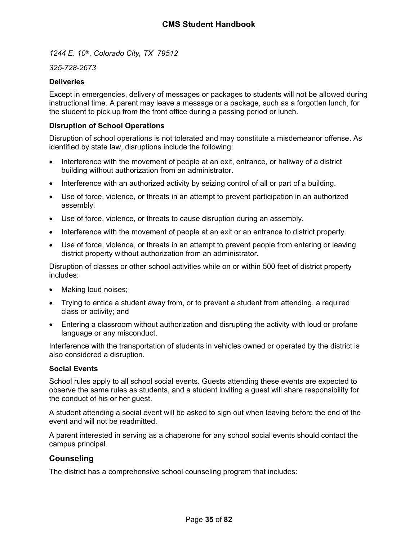*1244 E. 10th, Colorado City, TX 79512*

## *325-728-2673*

#### <span id="page-35-0"></span>**Deliveries**

Except in emergencies, delivery of messages or packages to students will not be allowed during instructional time. A parent may leave a message or a package, such as a forgotten lunch, for the student to pick up from the front office during a passing period or lunch.

### <span id="page-35-1"></span>**Disruption of School Operations**

Disruption of school operations is not tolerated and may constitute a misdemeanor offense. As identified by state law, disruptions include the following:

- Interference with the movement of people at an exit, entrance, or hallway of a district building without authorization from an administrator.
- Interference with an authorized activity by seizing control of all or part of a building.
- Use of force, violence, or threats in an attempt to prevent participation in an authorized assembly.
- Use of force, violence, or threats to cause disruption during an assembly.
- Interference with the movement of people at an exit or an entrance to district property.
- Use of force, violence, or threats in an attempt to prevent people from entering or leaving district property without authorization from an administrator.

Disruption of classes or other school activities while on or within 500 feet of district property includes:

- Making loud noises;
- Trying to entice a student away from, or to prevent a student from attending, a required class or activity; and
- Entering a classroom without authorization and disrupting the activity with loud or profane language or any misconduct.

Interference with the transportation of students in vehicles owned or operated by the district is also considered a disruption.

#### <span id="page-35-2"></span>**Social Events**

School rules apply to all school social events. Guests attending these events are expected to observe the same rules as students, and a student inviting a guest will share responsibility for the conduct of his or her guest.

A student attending a social event will be asked to sign out when leaving before the end of the event and will not be readmitted.

A parent interested in serving as a chaperone for any school social events should contact the campus principal.

## <span id="page-35-3"></span>**Counseling**

The district has a comprehensive school counseling program that includes: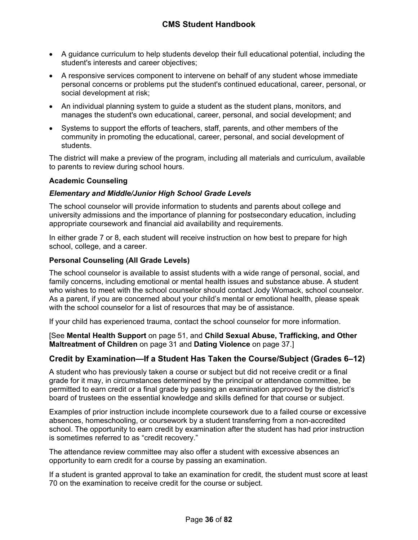- A guidance curriculum to help students develop their full educational potential, including the student's interests and career objectives;
- A responsive services component to intervene on behalf of any student whose immediate personal concerns or problems put the student's continued educational, career, personal, or social development at risk;
- An individual planning system to guide a student as the student plans, monitors, and manages the student's own educational, career, personal, and social development; and
- Systems to support the efforts of teachers, staff, parents, and other members of the community in promoting the educational, career, personal, and social development of students.

The district will make a preview of the program, including all materials and curriculum, available to parents to review during school hours.

#### <span id="page-36-0"></span>**Academic Counseling**

#### *Elementary and Middle/Junior High School Grade Levels*

The school counselor will provide information to students and parents about college and university admissions and the importance of planning for postsecondary education, including appropriate coursework and financial aid availability and requirements.

In either grade 7 or 8, each student will receive instruction on how best to prepare for high school, college, and a career.

#### **Personal Counseling (All Grade Levels)**

The school counselor is available to assist students with a wide range of personal, social, and family concerns, including emotional or mental health issues and substance abuse. A student who wishes to meet with the school counselor should contact Jody Womack, school counselor. As a parent, if you are concerned about your child's mental or emotional health, please speak with the school counselor for a list of resources that may be of assistance.

If your child has experienced trauma, contact the school counselor for more information.

[See **Mental Health Support** on page [51,](#page-51-0) and **Child Sexual Abuse, Trafficking, and Other Maltreatment of Children** on page [31](#page-31-0) and **Dating Violence** on page [37.](#page-38-0)]

### **Credit by Examination—If a Student Has Taken the Course/Subject (Grades 6–12)**

A student who has previously taken a course or subject but did not receive credit or a final grade for it may, in circumstances determined by the principal or attendance committee, be permitted to earn credit or a final grade by passing an examination approved by the district's board of trustees on the essential knowledge and skills defined for that course or subject.

Examples of prior instruction include incomplete coursework due to a failed course or excessive absences, homeschooling, or coursework by a student transferring from a non-accredited school. The opportunity to earn credit by examination after the student has had prior instruction is sometimes referred to as "credit recovery."

The attendance review committee may also offer a student with excessive absences an opportunity to earn credit for a course by passing an examination.

If a student is granted approval to take an examination for credit, the student must score at least 70 on the examination to receive credit for the course or subject.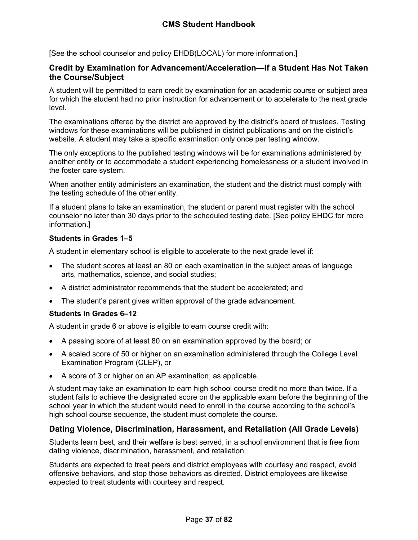[See the school counselor and policy EHDB(LOCAL) for more information.]

## **Credit by Examination for Advancement/Acceleration—If a Student Has Not Taken the Course/Subject**

A student will be permitted to earn credit by examination for an academic course or subject area for which the student had no prior instruction for advancement or to accelerate to the next grade level.

The examinations offered by the district are approved by the district's board of trustees. Testing windows for these examinations will be published in district publications and on the district's website. A student may take a specific examination only once per testing window.

The only exceptions to the published testing windows will be for examinations administered by another entity or to accommodate a student experiencing homelessness or a student involved in the foster care system.

When another entity administers an examination, the student and the district must comply with the testing schedule of the other entity.

If a student plans to take an examination, the student or parent must register with the school counselor no later than 30 days prior to the scheduled testing date. [See policy EHDC for more information.]

## **Students in Grades 1–5**

A student in elementary school is eligible to accelerate to the next grade level if:

- The student scores at least an 80 on each examination in the subject areas of language arts, mathematics, science, and social studies;
- A district administrator recommends that the student be accelerated; and
- The student's parent gives written approval of the grade advancement.

### **Students in Grades 6–12**

A student in grade 6 or above is eligible to earn course credit with:

- A passing score of at least 80 on an examination approved by the board; or
- A scaled score of 50 or higher on an examination administered through the College Level Examination Program (CLEP), or
- A score of 3 or higher on an AP examination, as applicable.

A student may take an examination to earn high school course credit no more than twice. If a student fails to achieve the designated score on the applicable exam before the beginning of the school year in which the student would need to enroll in the course according to the school's high school course sequence, the student must complete the course.

# <span id="page-37-0"></span>**Dating Violence, Discrimination, Harassment, and Retaliation (All Grade Levels)**

Students learn best, and their welfare is best served, in a school environment that is free from dating violence, discrimination, harassment, and retaliation.

Students are expected to treat peers and district employees with courtesy and respect, avoid offensive behaviors, and stop those behaviors as directed. District employees are likewise expected to treat students with courtesy and respect.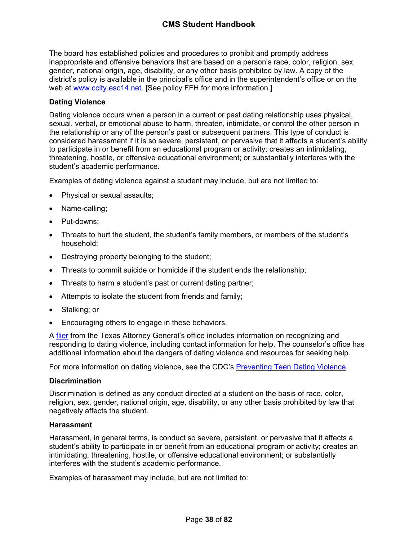The board has established policies and procedures to prohibit and promptly address inappropriate and offensive behaviors that are based on a person's race, color, religion, sex, gender, national origin, age, disability, or any other basis prohibited by law. A copy of the district's policy is available in the principal's office and in the superintendent's office or on the web at www.ccity.esc14.net. [See policy FFH for more information.]

## <span id="page-38-0"></span>**Dating Violence**

Dating violence occurs when a person in a current or past dating relationship uses physical, sexual, verbal, or emotional abuse to harm, threaten, intimidate, or control the other person in the relationship or any of the person's past or subsequent partners. This type of conduct is considered harassment if it is so severe, persistent, or pervasive that it affects a student's ability to participate in or benefit from an educational program or activity; creates an intimidating, threatening, hostile, or offensive educational environment; or substantially interferes with the student's academic performance.

Examples of dating violence against a student may include, but are not limited to:

- Physical or sexual assaults;
- Name-calling;
- Put-downs;
- Threats to hurt the student, the student's family members, or members of the student's household;
- Destroying property belonging to the student;
- Threats to commit suicide or homicide if the student ends the relationship;
- Threats to harm a student's past or current dating partner;
- Attempts to isolate the student from friends and family;
- Stalking; or
- **Encouraging others to engage in these behaviors.**

A [flier](https://www.texasattorneygeneral.gov/sites/default/files/files/child-support/papa/session%2010/recognizing-relationship-violence-en.pdf) from the Texas Attorney General's office includes information on recognizing and responding to dating violence, including contact information for help. The counselor's office has additional information about the dangers of dating violence and resources for seeking help.

For more information on dating violence, see the CDC's [Preventing Teen Dating Violence.](https://www.cdc.gov/violenceprevention/intimatepartnerviolence/teendatingviolence/fastfact.html)

### **Discrimination**

Discrimination is defined as any conduct directed at a student on the basis of race, color, religion, sex, gender, national origin, age, disability, or any other basis prohibited by law that negatively affects the student.

#### **Harassment**

Harassment, in general terms, is conduct so severe, persistent, or pervasive that it affects a student's ability to participate in or benefit from an educational program or activity; creates an intimidating, threatening, hostile, or offensive educational environment; or substantially interferes with the student's academic performance.

Examples of harassment may include, but are not limited to: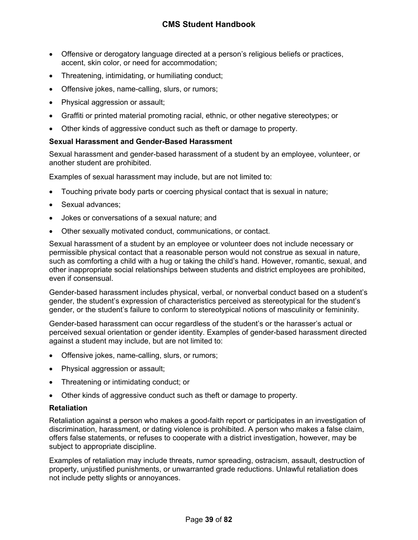- Offensive or derogatory language directed at a person's religious beliefs or practices, accent, skin color, or need for accommodation;
- Threatening, intimidating, or humiliating conduct;
- Offensive jokes, name-calling, slurs, or rumors;
- Physical aggression or assault;
- Graffiti or printed material promoting racial, ethnic, or other negative stereotypes; or
- Other kinds of aggressive conduct such as theft or damage to property.

### **Sexual Harassment and Gender-Based Harassment**

Sexual harassment and gender-based harassment of a student by an employee, volunteer, or another student are prohibited.

Examples of sexual harassment may include, but are not limited to:

- Touching private body parts or coercing physical contact that is sexual in nature;
- Sexual advances;
- Jokes or conversations of a sexual nature; and
- Other sexually motivated conduct, communications, or contact.

Sexual harassment of a student by an employee or volunteer does not include necessary or permissible physical contact that a reasonable person would not construe as sexual in nature, such as comforting a child with a hug or taking the child's hand. However, romantic, sexual, and other inappropriate social relationships between students and district employees are prohibited, even if consensual.

Gender-based harassment includes physical, verbal, or nonverbal conduct based on a student's gender, the student's expression of characteristics perceived as stereotypical for the student's gender, or the student's failure to conform to stereotypical notions of masculinity or femininity.

Gender-based harassment can occur regardless of the student's or the harasser's actual or perceived sexual orientation or gender identity. Examples of gender-based harassment directed against a student may include, but are not limited to:

- Offensive jokes, name-calling, slurs, or rumors;
- Physical aggression or assault;
- Threatening or intimidating conduct; or
- Other kinds of aggressive conduct such as theft or damage to property.

#### **Retaliation**

Retaliation against a person who makes a good-faith report or participates in an investigation of discrimination, harassment, or dating violence is prohibited. A person who makes a false claim, offers false statements, or refuses to cooperate with a district investigation, however, may be subject to appropriate discipline.

Examples of retaliation may include threats, rumor spreading, ostracism, assault, destruction of property, unjustified punishments, or unwarranted grade reductions. Unlawful retaliation does not include petty slights or annoyances.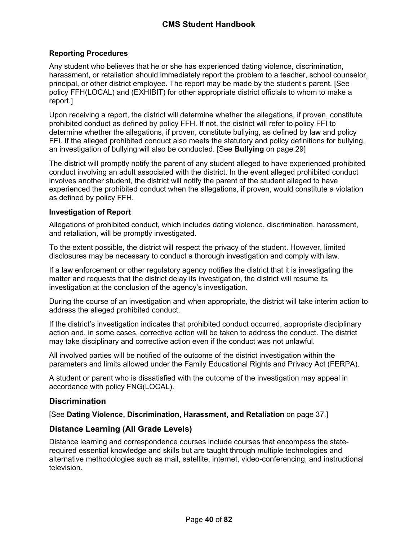## **Reporting Procedures**

Any student who believes that he or she has experienced dating violence, discrimination, harassment, or retaliation should immediately report the problem to a teacher, school counselor, principal, or other district employee. The report may be made by the student's parent. [See policy FFH(LOCAL) and (EXHIBIT) for other appropriate district officials to whom to make a report.]

Upon receiving a report, the district will determine whether the allegations, if proven, constitute prohibited conduct as defined by policy FFH. If not, the district will refer to policy FFI to determine whether the allegations, if proven, constitute bullying, as defined by law and policy FFI. If the alleged prohibited conduct also meets the statutory and policy definitions for bullying, an investigation of bullying will also be conducted. [See **Bullying** on page [29\]](#page-29-0)

The district will promptly notify the parent of any student alleged to have experienced prohibited conduct involving an adult associated with the district. In the event alleged prohibited conduct involves another student, the district will notify the parent of the student alleged to have experienced the prohibited conduct when the allegations, if proven, would constitute a violation as defined by policy FFH.

## **Investigation of Report**

Allegations of prohibited conduct, which includes dating violence, discrimination, harassment, and retaliation, will be promptly investigated.

To the extent possible, the district will respect the privacy of the student. However, limited disclosures may be necessary to conduct a thorough investigation and comply with law.

If a law enforcement or other regulatory agency notifies the district that it is investigating the matter and requests that the district delay its investigation, the district will resume its investigation at the conclusion of the agency's investigation.

During the course of an investigation and when appropriate, the district will take interim action to address the alleged prohibited conduct.

If the district's investigation indicates that prohibited conduct occurred, appropriate disciplinary action and, in some cases, corrective action will be taken to address the conduct. The district may take disciplinary and corrective action even if the conduct was not unlawful.

All involved parties will be notified of the outcome of the district investigation within the parameters and limits allowed under the Family Educational Rights and Privacy Act (FERPA).

A student or parent who is dissatisfied with the outcome of the investigation may appeal in accordance with policy FNG(LOCAL).

# **Discrimination**

[See **Dating Violence, Discrimination, Harassment, and Retaliation** on page [37.](#page-37-0)]

# **Distance Learning (All Grade Levels)**

Distance learning and correspondence courses include courses that encompass the staterequired essential knowledge and skills but are taught through multiple technologies and alternative methodologies such as mail, satellite, internet, video-conferencing, and instructional television.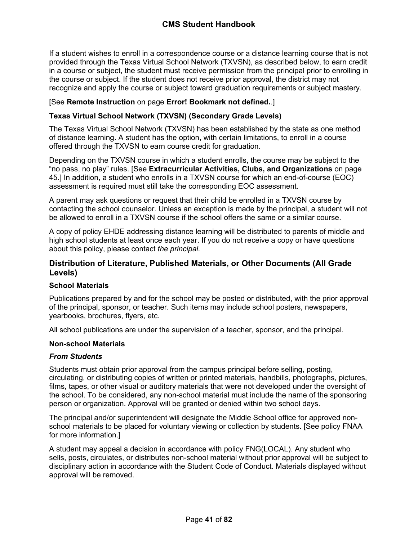If a student wishes to enroll in a correspondence course or a distance learning course that is not provided through the Texas Virtual School Network (TXVSN), as described below, to earn credit in a course or subject, the student must receive permission from the principal prior to enrolling in the course or subject. If the student does not receive prior approval, the district may not recognize and apply the course or subject toward graduation requirements or subject mastery.

#### [See **Remote Instruction** on page **Error! Bookmark not defined.**.]

#### **Texas Virtual School Network (TXVSN) (Secondary Grade Levels)**

The Texas Virtual School Network (TXVSN) has been established by the state as one method of distance learning. A student has the option, with certain limitations, to enroll in a course offered through the TXVSN to earn course credit for graduation.

Depending on the TXVSN course in which a student enrolls, the course may be subject to the "no pass, no play" rules. [See **Extracurricular Activities, Clubs, and Organizations** on page [45](#page-45-0).] In addition, a student who enrolls in a TXVSN course for which an end-of-course (EOC) assessment is required must still take the corresponding EOC assessment.

A parent may ask questions or request that their child be enrolled in a TXVSN course by contacting the school counselor. Unless an exception is made by the principal, a student will not be allowed to enroll in a TXVSN course if the school offers the same or a similar course.

A copy of policy EHDE addressing distance learning will be distributed to parents of middle and high school students at least once each year. If you do not receive a copy or have questions about this policy, please contact *the principal.*

## **Distribution of Literature, Published Materials, or Other Documents (All Grade Levels)**

#### **School Materials**

Publications prepared by and for the school may be posted or distributed, with the prior approval of the principal, sponsor, or teacher. Such items may include school posters, newspapers, yearbooks, brochures, flyers, etc.

All school publications are under the supervision of a teacher, sponsor, and the principal.

#### **Non-school Materials**

#### *From Students*

Students must obtain prior approval from the campus principal before selling, posting, circulating, or distributing copies of written or printed materials, handbills, photographs, pictures, films, tapes, or other visual or auditory materials that were not developed under the oversight of the school. To be considered, any non-school material must include the name of the sponsoring person or organization. Approval will be granted or denied within two school days.

The principal and/or superintendent will designate the Middle School office for approved nonschool materials to be placed for voluntary viewing or collection by students. [See policy FNAA for more information.]

A student may appeal a decision in accordance with policy FNG(LOCAL). Any student who sells, posts, circulates, or distributes non-school material without prior approval will be subject to disciplinary action in accordance with the Student Code of Conduct. Materials displayed without approval will be removed.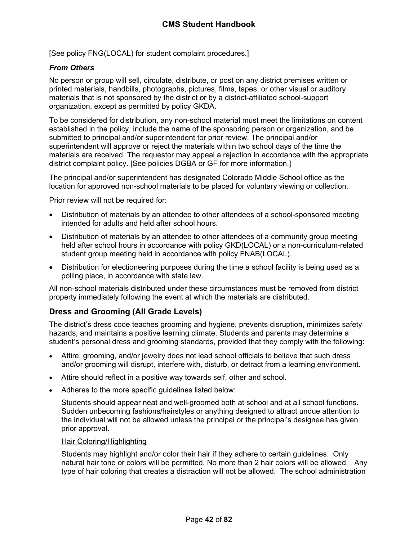[See policy FNG(LOCAL) for student complaint procedures.]

## *From Others*

No person or group will sell, circulate, distribute, or post on any district premises written or printed materials, handbills, photographs, pictures, films, tapes, or other visual or auditory materials that is not sponsored by the district or by a district-affiliated school-support organization, except as permitted by policy GKDA.

To be considered for distribution, any non-school material must meet the limitations on content established in the policy, include the name of the sponsoring person or organization, and be submitted to principal and/or superintendent for prior review. The principal and/or superintendent will approve or reject the materials within two school days of the time the materials are received. The requestor may appeal a rejection in accordance with the appropriate district complaint policy. [See policies DGBA or GF for more information.]

The principal and/or superintendent has designated Colorado Middle School office as the location for approved non-school materials to be placed for voluntary viewing or collection.

Prior review will not be required for:

- Distribution of materials by an attendee to other attendees of a school-sponsored meeting intended for adults and held after school hours.
- Distribution of materials by an attendee to other attendees of a community group meeting held after school hours in accordance with policy GKD(LOCAL) or a non-curriculum-related student group meeting held in accordance with policy FNAB(LOCAL).
- Distribution for electioneering purposes during the time a school facility is being used as a polling place, in accordance with state law.

All non-school materials distributed under these circumstances must be removed from district property immediately following the event at which the materials are distributed.

# **Dress and Grooming (All Grade Levels)**

The district's dress code teaches grooming and hygiene, prevents disruption, minimizes safety hazards, and maintains a positive learning climate. Students and parents may determine a student's personal dress and grooming standards, provided that they comply with the following:

- Attire, grooming, and/or jewelry does not lead school officials to believe that such dress and/or grooming will disrupt, interfere with, disturb, or detract from a learning environment.
- Attire should reflect in a positive way towards self, other and school.
- Adheres to the more specific guidelines listed below:

Students should appear neat and well-groomed both at school and at all school functions. Sudden unbecoming fashions/hairstyles or anything designed to attract undue attention to the individual will not be allowed unless the principal or the principal's designee has given prior approval.

#### Hair Coloring/Highlighting

Students may highlight and/or color their hair if they adhere to certain guidelines. Only natural hair tone or colors will be permitted. No more than 2 hair colors will be allowed. Any type of hair coloring that creates a distraction will not be allowed. The school administration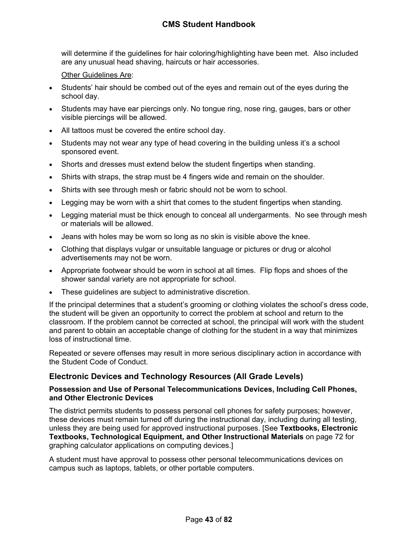# **CMS Student Handbook**

will determine if the guidelines for hair coloring/highlighting have been met. Also included are any unusual head shaving, haircuts or hair accessories.

Other Guidelines Are:

- Students' hair should be combed out of the eyes and remain out of the eyes during the school day.
- Students may have ear piercings only. No tongue ring, nose ring, gauges, bars or other visible piercings will be allowed.
- All tattoos must be covered the entire school day.
- Students may not wear any type of head covering in the building unless it's a school sponsored event.
- Shorts and dresses must extend below the student fingertips when standing.
- Shirts with straps, the strap must be 4 fingers wide and remain on the shoulder.
- Shirts with see through mesh or fabric should not be worn to school.
- Legging may be worn with a shirt that comes to the student fingertips when standing.
- Legging material must be thick enough to conceal all undergarments. No see through mesh or materials will be allowed.
- Jeans with holes may be worn so long as no skin is visible above the knee.
- Clothing that displays vulgar or unsuitable language or pictures or drug or alcohol advertisements may not be worn.
- Appropriate footwear should be worn in school at all times. Flip flops and shoes of the shower sandal variety are not appropriate for school.
- These guidelines are subject to administrative discretion.

If the principal determines that a student's grooming or clothing violates the school's dress code, the student will be given an opportunity to correct the problem at school and return to the classroom. If the problem cannot be corrected at school, the principal will work with the student and parent to obtain an acceptable change of clothing for the student in a way that minimizes loss of instructional time.

Repeated or severe offenses may result in more serious disciplinary action in accordance with the Student Code of Conduct.

# <span id="page-43-0"></span>**Electronic Devices and Technology Resources (All Grade Levels)**

#### **Possession and Use of Personal Telecommunications Devices, Including Cell Phones, and Other Electronic Devices**

The district permits students to possess personal cell phones for safety purposes; however, these devices must remain turned off during the instructional day, including during all testing, unless they are being used for approved instructional purposes. [See **Textbooks, Electronic Textbooks, Technological Equipment, and Other Instructional Materials** on page [72](#page-72-0) for graphing calculator applications on computing devices.]

A student must have approval to possess other personal telecommunications devices on campus such as laptops, tablets, or other portable computers.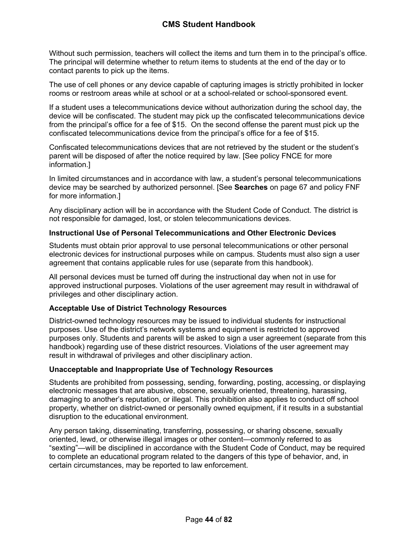Without such permission, teachers will collect the items and turn them in to the principal's office. The principal will determine whether to return items to students at the end of the day or to contact parents to pick up the items.

The use of cell phones or any device capable of capturing images is strictly prohibited in locker rooms or restroom areas while at school or at a school-related or school-sponsored event.

If a student uses a telecommunications device without authorization during the school day, the device will be confiscated. The student may pick up the confiscated telecommunications device from the principal's office for a fee of \$15. On the second offense the parent must pick up the confiscated telecommunications device from the principal's office for a fee of \$15.

Confiscated telecommunications devices that are not retrieved by the student or the student's parent will be disposed of after the notice required by law. [See policy FNCE for more information.]

In limited circumstances and in accordance with law, a student's personal telecommunications device may be searched by authorized personnel. [See **Searches** on page [67](#page-67-0) and policy FNF for more information.]

Any disciplinary action will be in accordance with the Student Code of Conduct. The district is not responsible for damaged, lost, or stolen telecommunications devices.

## **Instructional Use of Personal Telecommunications and Other Electronic Devices**

Students must obtain prior approval to use personal telecommunications or other personal electronic devices for instructional purposes while on campus. Students must also sign a user agreement that contains applicable rules for use (separate from this handbook).

All personal devices must be turned off during the instructional day when not in use for approved instructional purposes. Violations of the user agreement may result in withdrawal of privileges and other disciplinary action.

### **Acceptable Use of District Technology Resources**

District-owned technology resources may be issued to individual students for instructional purposes. Use of the district's network systems and equipment is restricted to approved purposes only. Students and parents will be asked to sign a user agreement (separate from this handbook) regarding use of these district resources. Violations of the user agreement may result in withdrawal of privileges and other disciplinary action.

### **Unacceptable and Inappropriate Use of Technology Resources**

Students are prohibited from possessing, sending, forwarding, posting, accessing, or displaying electronic messages that are abusive, obscene, sexually oriented, threatening, harassing, damaging to another's reputation, or illegal. This prohibition also applies to conduct off school property, whether on district-owned or personally owned equipment, if it results in a substantial disruption to the educational environment.

Any person taking, disseminating, transferring, possessing, or sharing obscene, sexually oriented, lewd, or otherwise illegal images or other content—commonly referred to as "sexting"—will be disciplined in accordance with the Student Code of Conduct, may be required to complete an educational program related to the dangers of this type of behavior, and, in certain circumstances, may be reported to law enforcement.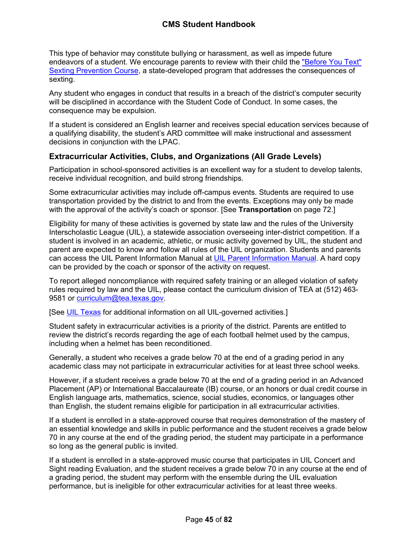This type of behavior may constitute bullying or harassment, as well as impede future endeavors of a student. We encourage parents to review with their child the ["Before You Text"](https://txssc.txstate.edu/tools/courses/before-you-text/)  [Sexting Prevention Course,](https://txssc.txstate.edu/tools/courses/before-you-text/) a state-developed program that addresses the consequences of sexting.

Any student who engages in conduct that results in a breach of the district's computer security will be disciplined in accordance with the Student Code of Conduct. In some cases, the consequence may be expulsion.

If a student is considered an English learner and receives special education services because of a qualifying disability, the student's ARD committee will make instructional and assessment decisions in conjunction with the LPAC.

# <span id="page-45-0"></span>**Extracurricular Activities, Clubs, and Organizations (All Grade Levels)**

Participation in school-sponsored activities is an excellent way for a student to develop talents, receive individual recognition, and build strong friendships.

Some extracurricular activities may include off-campus events. Students are required to use transportation provided by the district to and from the events. Exceptions may only be made with the approval of the activity's coach or sponsor. [See **Transportation** on page [72](#page-73-0).]

Eligibility for many of these activities is governed by state law and the rules of the University Interscholastic League (UIL), a statewide association overseeing inter-district competition. If a student is involved in an academic, athletic, or music activity governed by UIL, the student and parent are expected to know and follow all rules of the UIL organization. Students and parents can access the UIL Parent Information Manual at [UIL Parent Information Manual](https://www.uiltexas.org/athletics/manuals). A hard copy can be provided by the coach or sponsor of the activity on request.

To report alleged noncompliance with required safety training or an alleged violation of safety rules required by law and the UIL, please contact the curriculum division of TEA at (512) 463 9581 or [curriculum@tea.texas.gov.](mailto:curriculum@tea.state.tx.us)

[See [UIL Texas](http://www.uiltexas.org/) for additional information on all UIL-governed activities.]

Student safety in extracurricular activities is a priority of the district. Parents are entitled to review the district's records regarding the age of each football helmet used by the campus, including when a helmet has been reconditioned.

Generally, a student who receives a grade below 70 at the end of a grading period in any academic class may not participate in extracurricular activities for at least three school weeks.

However, if a student receives a grade below 70 at the end of a grading period in an Advanced Placement (AP) or International Baccalaureate (IB) course, or an honors or dual credit course in English language arts, mathematics, science, social studies, economics, or languages other than English, the student remains eligible for participation in all extracurricular activities.

If a student is enrolled in a state-approved course that requires demonstration of the mastery of an essential knowledge and skills in public performance and the student receives a grade below 70 in any course at the end of the grading period, the student may participate in a performance so long as the general public is invited.

If a student is enrolled in a state-approved music course that participates in UIL Concert and Sight reading Evaluation, and the student receives a grade below 70 in any course at the end of a grading period, the student may perform with the ensemble during the UIL evaluation performance, but is ineligible for other extracurricular activities for at least three weeks.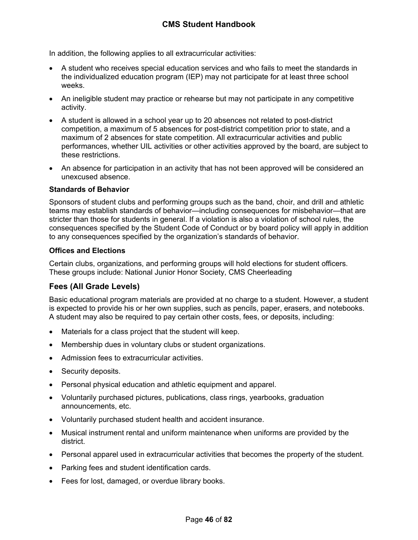In addition, the following applies to all extracurricular activities:

- A student who receives special education services and who fails to meet the standards in the individualized education program (IEP) may not participate for at least three school weeks.
- An ineligible student may practice or rehearse but may not participate in any competitive activity.
- A student is allowed in a school year up to 20 absences not related to post-district competition, a maximum of 5 absences for post-district competition prior to state, and a maximum of 2 absences for state competition. All extracurricular activities and public performances, whether UIL activities or other activities approved by the board, are subject to these restrictions.
- An absence for participation in an activity that has not been approved will be considered an unexcused absence.

#### **Standards of Behavior**

Sponsors of student clubs and performing groups such as the band, choir, and drill and athletic teams may establish standards of behavior—including consequences for misbehavior—that are stricter than those for students in general. If a violation is also a violation of school rules, the consequences specified by the Student Code of Conduct or by board policy will apply in addition to any consequences specified by the organization's standards of behavior.

#### **Offices and Elections**

Certain clubs, organizations, and performing groups will hold elections for student officers. These groups include: National Junior Honor Society, CMS Cheerleading

# **Fees (All Grade Levels)**

Basic educational program materials are provided at no charge to a student. However, a student is expected to provide his or her own supplies, such as pencils, paper, erasers, and notebooks. A student may also be required to pay certain other costs, fees, or deposits, including:

- Materials for a class project that the student will keep.
- Membership dues in voluntary clubs or student organizations.
- Admission fees to extracurricular activities.
- Security deposits.
- Personal physical education and athletic equipment and apparel.
- Voluntarily purchased pictures, publications, class rings, yearbooks, graduation announcements, etc.
- Voluntarily purchased student health and accident insurance.
- Musical instrument rental and uniform maintenance when uniforms are provided by the district.
- Personal apparel used in extracurricular activities that becomes the property of the student.
- Parking fees and student identification cards.
- Fees for lost, damaged, or overdue library books.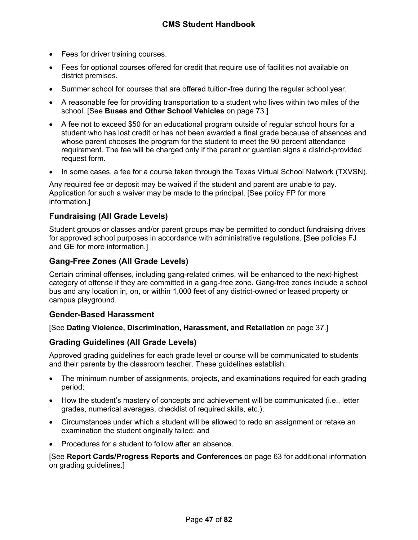- Fees for driver training courses.
- Fees for optional courses offered for credit that require use of facilities not available on district premises.
- Summer school for courses that are offered tuition-free during the regular school year.
- A reasonable fee for providing transportation to a student who lives within two miles of the school. [See **Buses and Other School Vehicles** on page [73](#page-73-1).]
- A fee not to exceed \$50 for an educational program outside of regular school hours for a student who has lost credit or has not been awarded a final grade because of absences and whose parent chooses the program for the student to meet the 90 percent attendance requirement. The fee will be charged only if the parent or guardian signs a district-provided request form.
- In some cases, a fee for a course taken through the Texas Virtual School Network (TXVSN).

Any required fee or deposit may be waived if the student and parent are unable to pay. Application for such a waiver may be made to the principal. [See policy FP for more information.]

# **Fundraising (All Grade Levels)**

Student groups or classes and/or parent groups may be permitted to conduct fundraising drives for approved school purposes in accordance with administrative regulations. [See policies FJ and GE for more information.]

## **Gang-Free Zones (All Grade Levels)**

Certain criminal offenses, including gang-related crimes, will be enhanced to the next-highest category of offense if they are committed in a gang-free zone. Gang-free zones include a school bus and any location in, on, or within 1,000 feet of any district-owned or leased property or campus playground.

### **Gender-Based Harassment**

[See **Dating Violence, Discrimination, Harassment, and Retaliation** on page [37.](#page-37-0)]

# <span id="page-47-0"></span>**Grading Guidelines (All Grade Levels)**

Approved grading guidelines for each grade level or course will be communicated to students and their parents by the classroom teacher. These guidelines establish:

- The minimum number of assignments, projects, and examinations required for each grading period;
- How the student's mastery of concepts and achievement will be communicated (i.e., letter grades, numerical averages, checklist of required skills, etc.);
- Circumstances under which a student will be allowed to redo an assignment or retake an examination the student originally failed; and
- Procedures for a student to follow after an absence.

[See **Report Cards/Progress Reports and Conferences** on page [63](#page-63-0) for additional information on grading guidelines.]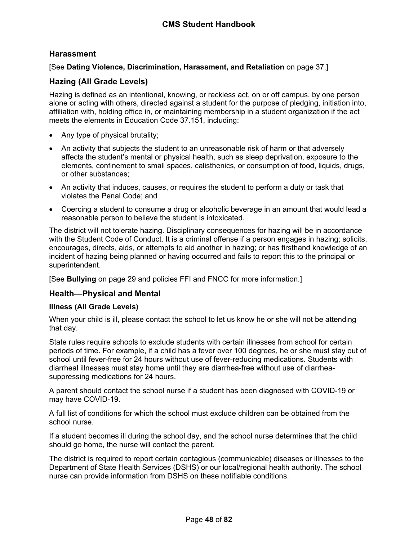# **Harassment**

## [See **Dating Violence, Discrimination, Harassment, and Retaliation** on page [37.](#page-37-0)]

## **Hazing (All Grade Levels)**

Hazing is defined as an intentional, knowing, or reckless act, on or off campus, by one person alone or acting with others, directed against a student for the purpose of pledging, initiation into, affiliation with, holding office in, or maintaining membership in a student organization if the act meets the elements in Education Code 37.151, including:

- Any type of physical brutality;
- An activity that subjects the student to an unreasonable risk of harm or that adversely affects the student's mental or physical health, such as sleep deprivation, exposure to the elements, confinement to small spaces, calisthenics, or consumption of food, liquids, drugs, or other substances;
- An activity that induces, causes, or requires the student to perform a duty or task that violates the Penal Code; and
- Coercing a student to consume a drug or alcoholic beverage in an amount that would lead a reasonable person to believe the student is intoxicated.

The district will not tolerate hazing. Disciplinary consequences for hazing will be in accordance with the Student Code of Conduct. It is a criminal offense if a person engages in hazing; solicits, encourages, directs, aids, or attempts to aid another in hazing; or has firsthand knowledge of an incident of hazing being planned or having occurred and fails to report this to the principal or superintendent.

[See **Bullying** on page [29](#page-29-0) and policies FFI and FNCC for more information.]

### **Health—Physical and Mental**

### **Illness (All Grade Levels)**

When your child is ill, please contact the school to let us know he or she will not be attending that day.

State rules require schools to exclude students with certain illnesses from school for certain periods of time. For example, if a child has a fever over 100 degrees, he or she must stay out of school until fever-free for 24 hours without use of fever-reducing medications. Students with diarrheal illnesses must stay home until they are diarrhea-free without use of diarrheasuppressing medications for 24 hours.

A parent should contact the school nurse if a student has been diagnosed with COVID-19 or may have COVID-19.

A full list of conditions for which the school must exclude children can be obtained from the school nurse.

If a student becomes ill during the school day, and the school nurse determines that the child should go home, the nurse will contact the parent.

The district is required to report certain contagious (communicable) diseases or illnesses to the Department of State Health Services (DSHS) or our local/regional health authority. The school nurse can provide information from DSHS on these notifiable conditions.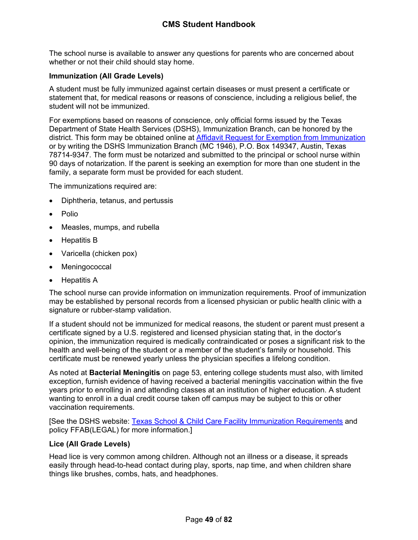The school nurse is available to answer any questions for parents who are concerned about whether or not their child should stay home.

## <span id="page-49-0"></span>**Immunization (All Grade Levels)**

A student must be fully immunized against certain diseases or must present a certificate or statement that, for medical reasons or reasons of conscience, including a religious belief, the student will not be immunized.

For exemptions based on reasons of conscience, only official forms issued by the Texas Department of State Health Services (DSHS), Immunization Branch, can be honored by the district. This form may be obtained online at [Affidavit Request for Exemption from Immunization](https://corequest.dshs.texas.gov/) or by writing the DSHS Immunization Branch (MC 1946), P.O. Box 149347, Austin, Texas 78714-9347. The form must be notarized and submitted to the principal or school nurse within 90 days of notarization. If the parent is seeking an exemption for more than one student in the family, a separate form must be provided for each student.

The immunizations required are:

- Diphtheria, tetanus, and pertussis
- Polio
- Measles, mumps, and rubella
- Hepatitis B
- Varicella (chicken pox)
- Meningococcal
- Hepatitis A

The school nurse can provide information on immunization requirements. Proof of immunization may be established by personal records from a licensed physician or public health clinic with a signature or rubber-stamp validation.

If a student should not be immunized for medical reasons, the student or parent must present a certificate signed by a U.S. registered and licensed physician stating that, in the doctor's opinion, the immunization required is medically contraindicated or poses a significant risk to the health and well-being of the student or a member of the student's family or household. This certificate must be renewed yearly unless the physician specifies a lifelong condition.

As noted at **Bacterial Meningitis** on page [53,](#page-53-0) entering college students must also, with limited exception, furnish evidence of having received a bacterial meningitis vaccination within the five years prior to enrolling in and attending classes at an institution of higher education. A student wanting to enroll in a dual credit course taken off campus may be subject to this or other vaccination requirements.

[See the DSHS website: [Texas School & Child Care Facility Immunization Requirements](http://www.dshs.state.tx.us/immunize/school/default.shtm) and policy FFAB(LEGAL) for more information.]

#### **Lice (All Grade Levels)**

Head lice is very common among children. Although not an illness or a disease, it spreads easily through head-to-head contact during play, sports, nap time, and when children share things like brushes, combs, hats, and headphones.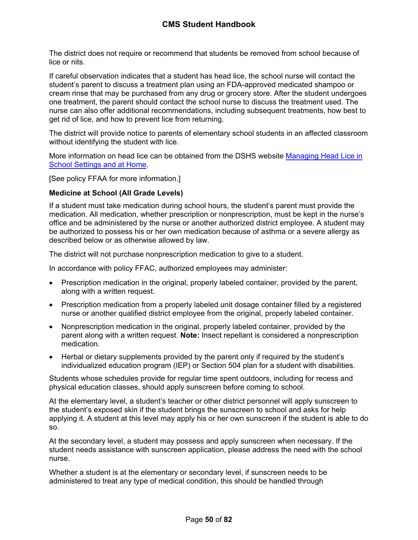The district does not require or recommend that students be removed from school because of lice or nits.

If careful observation indicates that a student has head lice, the school nurse will contact the student's parent to discuss a treatment plan using an FDA-approved medicated shampoo or cream rinse that may be purchased from any drug or grocery store. After the student undergoes one treatment, the parent should contact the school nurse to discuss the treatment used. The nurse can also offer additional recommendations, including subsequent treatments, how best to get rid of lice, and how to prevent lice from returning.

The district will provide notice to parents of elementary school students in an affected classroom without identifying the student with lice.

More information on head lice can be obtained from the DSHS website [Managing Head Lice in](http://www.dshs.state.tx.us/schoolhealth/lice.shtm)  [School Settings and at Home](http://www.dshs.state.tx.us/schoolhealth/lice.shtm).

[See policy FFAA for more information.]

#### **Medicine at School (All Grade Levels)**

If a student must take medication during school hours, the student's parent must provide the medication. All medication, whether prescription or nonprescription, must be kept in the nurse's office and be administered by the nurse or another authorized district employee. A student may be authorized to possess his or her own medication because of asthma or a severe allergy as described below or as otherwise allowed by law.

The district will not purchase nonprescription medication to give to a student.

In accordance with policy FFAC, authorized employees may administer:

- Prescription medication in the original, properly labeled container, provided by the parent, along with a written request.
- Prescription medication from a properly labeled unit dosage container filled by a registered nurse or another qualified district employee from the original, properly labeled container.
- Nonprescription medication in the original, properly labeled container, provided by the parent along with a written request. **Note:** Insect repellant is considered a nonprescription medication.
- Herbal or dietary supplements provided by the parent only if required by the student's individualized education program (IEP) or Section 504 plan for a student with disabilities.

Students whose schedules provide for regular time spent outdoors, including for recess and physical education classes, should apply sunscreen before coming to school.

At the elementary level, a student's teacher or other district personnel will apply sunscreen to the student's exposed skin if the student brings the sunscreen to school and asks for help applying it. A student at this level may apply his or her own sunscreen if the student is able to do so.

At the secondary level, a student may possess and apply sunscreen when necessary. If the student needs assistance with sunscreen application, please address the need with the school nurse.

Whether a student is at the elementary or secondary level, if sunscreen needs to be administered to treat any type of medical condition, this should be handled through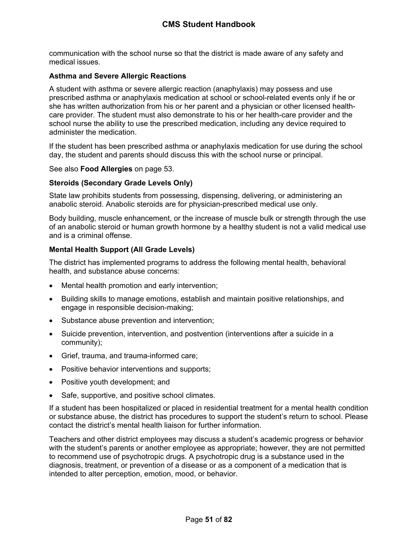communication with the school nurse so that the district is made aware of any safety and medical issues.

### **Asthma and Severe Allergic Reactions**

A student with asthma or severe allergic reaction (anaphylaxis) may possess and use prescribed asthma or anaphylaxis medication at school or school-related events only if he or she has written authorization from his or her parent and a physician or other licensed healthcare provider. The student must also demonstrate to his or her health-care provider and the school nurse the ability to use the prescribed medication, including any device required to administer the medication.

If the student has been prescribed asthma or anaphylaxis medication for use during the school day, the student and parents should discuss this with the school nurse or principal.

See also **Food Allergies** on page [53](#page-54-0).

### <span id="page-51-1"></span>**Steroids (Secondary Grade Levels Only)**

State law prohibits students from possessing, dispensing, delivering, or administering an anabolic steroid. Anabolic steroids are for physician-prescribed medical use only.

Body building, muscle enhancement, or the increase of muscle bulk or strength through the use of an anabolic steroid or human growth hormone by a healthy student is not a valid medical use and is a criminal offense.

### <span id="page-51-0"></span>**Mental Health Support (All Grade Levels)**

The district has implemented programs to address the following mental health, behavioral health, and substance abuse concerns:

- Mental health promotion and early intervention;
- Building skills to manage emotions, establish and maintain positive relationships, and engage in responsible decision-making;
- Substance abuse prevention and intervention;
- Suicide prevention, intervention, and postvention (interventions after a suicide in a community);
- Grief, trauma, and trauma-informed care;
- Positive behavior interventions and supports;
- Positive youth development; and
- Safe, supportive, and positive school climates.

If a student has been hospitalized or placed in residential treatment for a mental health condition or substance abuse, the district has procedures to support the student's return to school. Please contact the district's mental health liaison for further information.

Teachers and other district employees may discuss a student's academic progress or behavior with the student's parents or another employee as appropriate; however, they are not permitted to recommend use of psychotropic drugs. A psychotropic drug is a substance used in the diagnosis, treatment, or prevention of a disease or as a component of a medication that is intended to alter perception, emotion, mood, or behavior.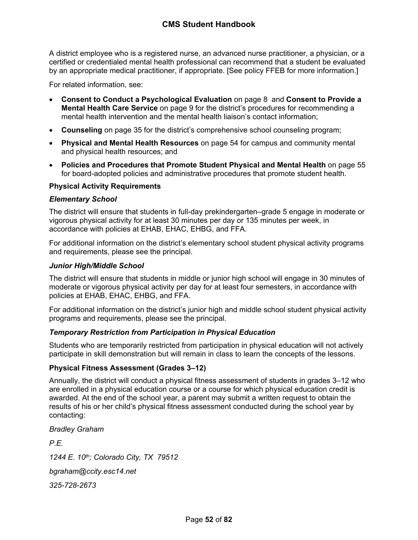A district employee who is a registered nurse, an advanced nurse practitioner, a physician, or a certified or credentialed mental health professional can recommend that a student be evaluated by an appropriate medical practitioner, if appropriate. [See policy FFEB for more information.]

For related information, see:

- **Consent to Conduct a Psychological Evaluation** on page [8](#page-8-0) and **Consent to Provide a Mental Health Care Service** on page [9](#page-9-0) for the district's procedures for recommending a mental health intervention and the mental health liaison's contact information;
- **Counseling** on page [35](#page-35-0) for the district's comprehensive school counseling program;
- **Physical and Mental Health Resources** on page [54](#page-54-1) for campus and community mental and physical health resources; and
- **Policies and Procedures that Promote Student Physical and Mental Health** on page [55](#page-55-0)  for board-adopted policies and administrative procedures that promote student health.

### **Physical Activity Requirements**

#### *Elementary School*

The district will ensure that students in full-day prekindergarten–grade 5 engage in moderate or vigorous physical activity for at least 30 minutes per day or 135 minutes per week, in accordance with policies at EHAB, EHAC, EHBG, and FFA.

For additional information on the district's elementary school student physical activity programs and requirements, please see the principal.

#### *Junior High/Middle School*

The district will ensure that students in middle or junior high school will engage in 30 minutes of moderate or vigorous physical activity per day for at least four semesters, in accordance with policies at EHAB, EHAC, EHBG, and FFA.

For additional information on the district's junior high and middle school student physical activity programs and requirements, please see the principal.

### *Temporary Restriction from Participation in Physical Education*

Students who are temporarily restricted from participation in physical education will not actively participate in skill demonstration but will remain in class to learn the concepts of the lessons.

### **Physical Fitness Assessment (Grades 3–12)**

Annually, the district will conduct a physical fitness assessment of students in grades 3–12 who are enrolled in a physical education course or a course for which physical education credit is awarded. At the end of the school year, a parent may submit a written request to obtain the results of his or her child's physical fitness assessment conducted during the school year by contacting:

*Bradley Graham*

*P.E.*

*1244 E. 10th; Colorado City, TX 79512*

*bgraham@ccity.esc14.net*

*325-728-2673*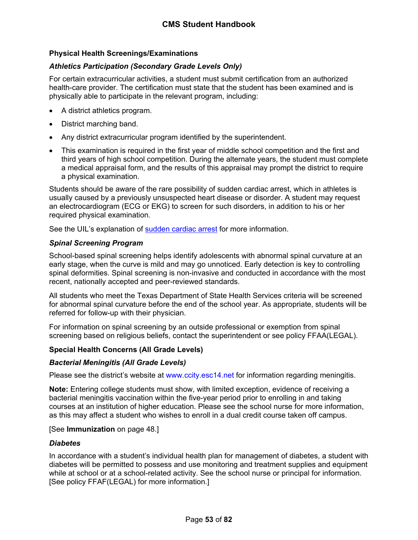## **Physical Health Screenings/Examinations**

## *Athletics Participation (Secondary Grade Levels Only)*

For certain extracurricular activities, a student must submit certification from an authorized health-care provider. The certification must state that the student has been examined and is physically able to participate in the relevant program, including:

- A district athletics program.
- District marching band.
- Any district extracurricular program identified by the superintendent.
- This examination is required in the first year of middle school competition and the first and third years of high school competition. During the alternate years, the student must complete a medical appraisal form, and the results of this appraisal may prompt the district to require a physical examination.

Students should be aware of the rare possibility of sudden cardiac arrest, which in athletes is usually caused by a previously unsuspected heart disease or disorder. A student may request an electrocardiogram (ECG or EKG) to screen for such disorders, in addition to his or her required physical examination.

See the UIL's explanation of [sudden cardiac arrest](https://www.uiltexas.org/health/info/sudden-cardiac-death) for more information.

## *Spinal Screening Program*

School-based spinal screening helps identify adolescents with abnormal spinal curvature at an early stage, when the curve is mild and may go unnoticed. Early detection is key to controlling spinal deformities. Spinal screening is non-invasive and conducted in accordance with the most recent, nationally accepted and peer-reviewed standards.

All students who meet the Texas Department of State Health Services criteria will be screened for abnormal spinal curvature before the end of the school year. As appropriate, students will be referred for follow-up with their physician.

For information on spinal screening by an outside professional or exemption from spinal screening based on religious beliefs, contact the superintendent or see policy FFAA(LEGAL).

### **Special Health Concerns (All Grade Levels)**

### <span id="page-53-0"></span>*Bacterial Meningitis (All Grade Levels)*

Please see the district's website at www.ccity.esc14.net for information regarding meningitis.

**Note:** Entering college students must show, with limited exception, evidence of receiving a bacterial meningitis vaccination within the five-year period prior to enrolling in and taking courses at an institution of higher education. Please see the school nurse for more information, as this may affect a student who wishes to enroll in a dual credit course taken off campus.

### [See **Immunization** on page [48.](#page-49-0)]

### *Diabetes*

In accordance with a student's individual health plan for management of diabetes, a student with diabetes will be permitted to possess and use monitoring and treatment supplies and equipment while at school or at a school-related activity. See the school nurse or principal for information. [See policy FFAF(LEGAL) for more information.]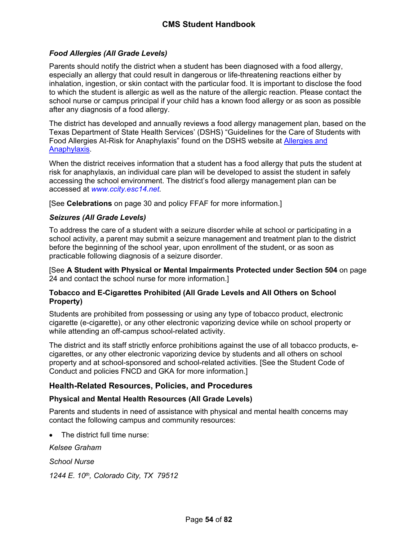## <span id="page-54-0"></span>*Food Allergies (All Grade Levels)*

Parents should notify the district when a student has been diagnosed with a food allergy, especially an allergy that could result in dangerous or life-threatening reactions either by inhalation, ingestion, or skin contact with the particular food. It is important to disclose the food to which the student is allergic as well as the nature of the allergic reaction. Please contact the school nurse or campus principal if your child has a known food allergy or as soon as possible after any diagnosis of a food allergy.

The district has developed and annually reviews a food allergy management plan, based on the Texas Department of State Health Services' (DSHS) "Guidelines for the Care of Students with Food Allergies At-Risk for Anaphylaxis" found on the DSHS website at [Allergies and](https://www.dshs.texas.gov/schoolhealth/allergiesandanaphylaxis/)  [Anaphylaxis](https://www.dshs.texas.gov/schoolhealth/allergiesandanaphylaxis/).

When the district receives information that a student has a food allergy that puts the student at risk for anaphylaxis, an individual care plan will be developed to assist the student in safely accessing the school environment. The district's food allergy management plan can be accessed at *www.ccity.esc14.net.*

[See **Celebrations** on page [30](#page-31-1) and policy FFAF for more information.]

### <span id="page-54-2"></span>*Seizures (All Grade Levels)*

To address the care of a student with a seizure disorder while at school or participating in a school activity, a parent may submit a seizure management and treatment plan to the district before the beginning of the school year, upon enrollment of the student, or as soon as practicable following diagnosis of a seizure disorder.

[See **A Student with Physical or Mental Impairments Protected under Section 504** on page [24](#page-24-0) and contact the school nurse for more information.]

#### **Tobacco and E-Cigarettes Prohibited (All Grade Levels and All Others on School Property)**

Students are prohibited from possessing or using any type of tobacco product, electronic cigarette (e-cigarette), or any other electronic vaporizing device while on school property or while attending an off-campus school-related activity.

The district and its staff strictly enforce prohibitions against the use of all tobacco products, ecigarettes, or any other electronic vaporizing device by students and all others on school property and at school-sponsored and school-related activities. [See the Student Code of Conduct and policies FNCD and GKA for more information.]

### **Health-Related Resources, Policies, and Procedures**

### <span id="page-54-1"></span>**Physical and Mental Health Resources (All Grade Levels)**

Parents and students in need of assistance with physical and mental health concerns may contact the following campus and community resources:

The district full time nurse:

*Kelsee Graham*

*School Nurse*

*1244 E. 10th, Colorado City, TX 79512*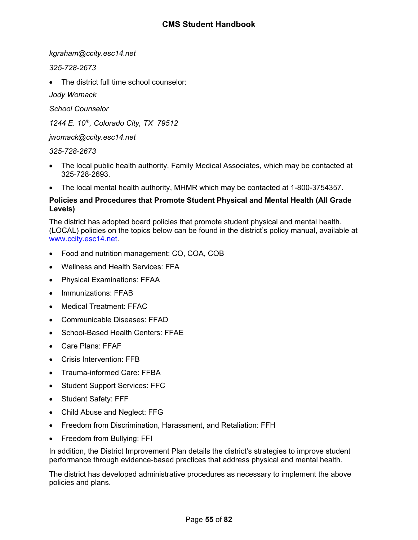*kgraham@ccity.esc14.net*

*325-728-2673*

The district full time school counselor:

*Jody Womack*

*School Counselor*

*1244 E. 10th, Colorado City, TX 79512*

*jwomack@ccity.esc14.net*

## *325-728-2673*

- The local public health authority, Family Medical Associates, which may be contacted at 325-728-2693.
- The local mental health authority, MHMR which may be contacted at 1-800-3754357.

## <span id="page-55-0"></span>**Policies and Procedures that Promote Student Physical and Mental Health (All Grade Levels)**

The district has adopted board policies that promote student physical and mental health. (LOCAL) policies on the topics below can be found in the district's policy manual, available at www.ccity.esc14.net.

- Food and nutrition management: CO, COA, COB
- Wellness and Health Services: FFA
- Physical Examinations: FFAA
- Immunizations: FFAB
- Medical Treatment: FFAC
- Communicable Diseases: FFAD
- School-Based Health Centers: FFAE
- Care Plans: FFAF
- Crisis Intervention: FFB
- Trauma-informed Care: FFBA
- Student Support Services: FFC
- Student Safety: FFF
- Child Abuse and Neglect: FFG
- Freedom from Discrimination, Harassment, and Retaliation: FFH
- Freedom from Bullying: FFI

In addition, the District Improvement Plan details the district's strategies to improve student performance through evidence-based practices that address physical and mental health.

The district has developed administrative procedures as necessary to implement the above policies and plans.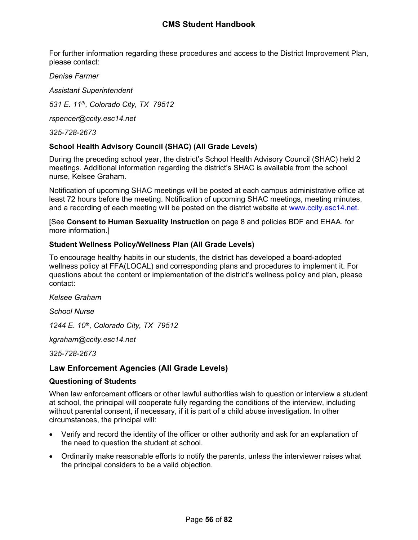For further information regarding these procedures and access to the District Improvement Plan, please contact:

*Denise Farmer*

*Assistant Superintendent*

*531 E. 11th, Colorado City, TX 79512*

*rspencer@ccity.esc14.net*

*325-728-2673*

### **School Health Advisory Council (SHAC) (All Grade Levels)**

During the preceding school year, the district's School Health Advisory Council (SHAC) held 2 meetings. Additional information regarding the district's SHAC is available from the school nurse, Kelsee Graham.

Notification of upcoming SHAC meetings will be posted at each campus administrative office at least 72 hours before the meeting. Notification of upcoming SHAC meetings, meeting minutes, and a recording of each meeting will be posted on the district website at www.ccity.esc14.net.

[See **Consent to Human Sexuality Instruction** on page [8](#page-8-1) and policies BDF and EHAA. for more information.]

### **Student Wellness Policy/Wellness Plan (All Grade Levels)**

To encourage healthy habits in our students, the district has developed a board-adopted wellness policy at FFA(LOCAL) and corresponding plans and procedures to implement it. For questions about the content or implementation of the district's wellness policy and plan, please contact:

*Kelsee Graham*

*School Nurse*

*1244 E. 10th, Colorado City, TX 79512*

*kgraham@ccity.esc14.net*

*325-728-2673*

# **Law Enforcement Agencies (All Grade Levels)**

### **Questioning of Students**

When law enforcement officers or other lawful authorities wish to question or interview a student at school, the principal will cooperate fully regarding the conditions of the interview, including without parental consent, if necessary, if it is part of a child abuse investigation. In other circumstances, the principal will:

- Verify and record the identity of the officer or other authority and ask for an explanation of the need to question the student at school.
- Ordinarily make reasonable efforts to notify the parents, unless the interviewer raises what the principal considers to be a valid objection.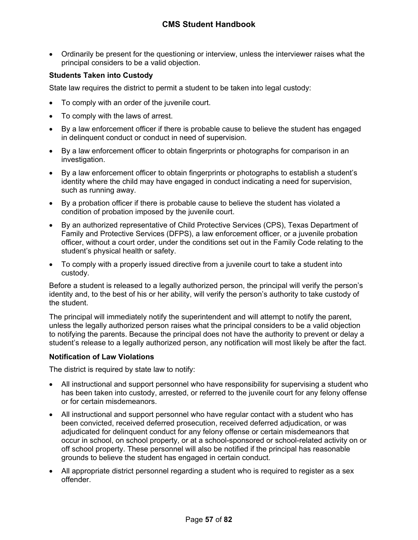Ordinarily be present for the questioning or interview, unless the interviewer raises what the principal considers to be a valid objection.

# **Students Taken into Custody**

State law requires the district to permit a student to be taken into legal custody:

- To comply with an order of the juvenile court.
- To comply with the laws of arrest.
- By a law enforcement officer if there is probable cause to believe the student has engaged in delinquent conduct or conduct in need of supervision.
- By a law enforcement officer to obtain fingerprints or photographs for comparison in an investigation.
- By a law enforcement officer to obtain fingerprints or photographs to establish a student's identity where the child may have engaged in conduct indicating a need for supervision, such as running away.
- By a probation officer if there is probable cause to believe the student has violated a condition of probation imposed by the juvenile court.
- By an authorized representative of Child Protective Services (CPS), Texas Department of Family and Protective Services (DFPS), a law enforcement officer, or a juvenile probation officer, without a court order, under the conditions set out in the Family Code relating to the student's physical health or safety.
- To comply with a properly issued directive from a juvenile court to take a student into custody.

Before a student is released to a legally authorized person, the principal will verify the person's identity and, to the best of his or her ability, will verify the person's authority to take custody of the student.

The principal will immediately notify the superintendent and will attempt to notify the parent, unless the legally authorized person raises what the principal considers to be a valid objection to notifying the parents. Because the principal does not have the authority to prevent or delay a student's release to a legally authorized person, any notification will most likely be after the fact.

### **Notification of Law Violations**

The district is required by state law to notify:

- All instructional and support personnel who have responsibility for supervising a student who has been taken into custody, arrested, or referred to the juvenile court for any felony offense or for certain misdemeanors.
- All instructional and support personnel who have regular contact with a student who has been convicted, received deferred prosecution, received deferred adjudication, or was adjudicated for delinquent conduct for any felony offense or certain misdemeanors that occur in school, on school property, or at a school-sponsored or school-related activity on or off school property. These personnel will also be notified if the principal has reasonable grounds to believe the student has engaged in certain conduct.
- All appropriate district personnel regarding a student who is required to register as a sex offender.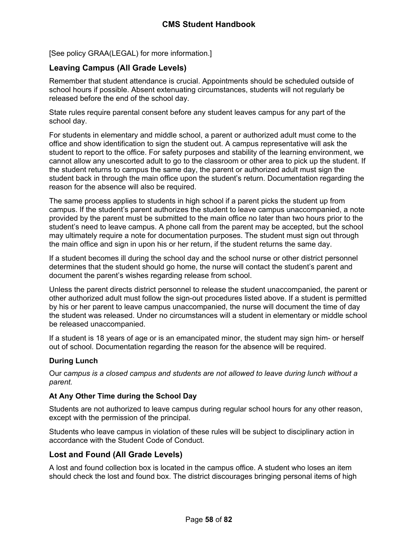[See policy GRAA(LEGAL) for more information.]

# <span id="page-58-0"></span>**Leaving Campus (All Grade Levels)**

Remember that student attendance is crucial. Appointments should be scheduled outside of school hours if possible. Absent extenuating circumstances, students will not regularly be released before the end of the school day.

State rules require parental consent before any student leaves campus for any part of the school day.

For students in elementary and middle school, a parent or authorized adult must come to the office and show identification to sign the student out. A campus representative will ask the student to report to the office. For safety purposes and stability of the learning environment, we cannot allow any unescorted adult to go to the classroom or other area to pick up the student. If the student returns to campus the same day, the parent or authorized adult must sign the student back in through the main office upon the student's return. Documentation regarding the reason for the absence will also be required.

The same process applies to students in high school if a parent picks the student up from campus. If the student's parent authorizes the student to leave campus unaccompanied, a note provided by the parent must be submitted to the main office no later than two hours prior to the student's need to leave campus. A phone call from the parent may be accepted, but the school may ultimately require a note for documentation purposes. The student must sign out through the main office and sign in upon his or her return, if the student returns the same day.

If a student becomes ill during the school day and the school nurse or other district personnel determines that the student should go home, the nurse will contact the student's parent and document the parent's wishes regarding release from school.

Unless the parent directs district personnel to release the student unaccompanied, the parent or other authorized adult must follow the sign-out procedures listed above. If a student is permitted by his or her parent to leave campus unaccompanied, the nurse will document the time of day the student was released. Under no circumstances will a student in elementary or middle school be released unaccompanied.

If a student is 18 years of age or is an emancipated minor, the student may sign him- or herself out of school. Documentation regarding the reason for the absence will be required.

### **During Lunch**

Our c*ampus is a closed campus and students are not allowed to leave during lunch without a parent.*

### **At Any Other Time during the School Day**

Students are not authorized to leave campus during regular school hours for any other reason, except with the permission of the principal.

Students who leave campus in violation of these rules will be subject to disciplinary action in accordance with the Student Code of Conduct.

# **Lost and Found (All Grade Levels)**

A lost and found collection box is located in the campus office. A student who loses an item should check the lost and found box. The district discourages bringing personal items of high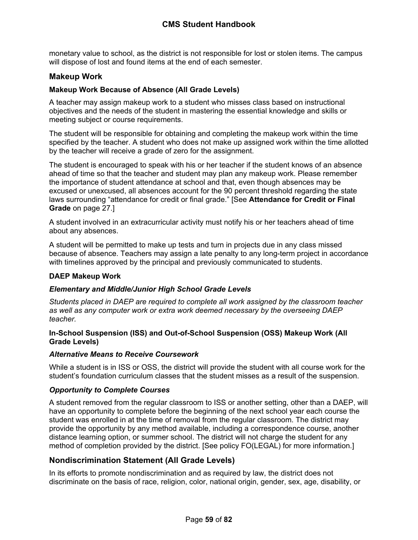monetary value to school, as the district is not responsible for lost or stolen items. The campus will dispose of lost and found items at the end of each semester.

# **Makeup Work**

## **Makeup Work Because of Absence (All Grade Levels)**

A teacher may assign makeup work to a student who misses class based on instructional objectives and the needs of the student in mastering the essential knowledge and skills or meeting subject or course requirements.

The student will be responsible for obtaining and completing the makeup work within the time specified by the teacher. A student who does not make up assigned work within the time allotted by the teacher will receive a grade of zero for the assignment.

The student is encouraged to speak with his or her teacher if the student knows of an absence ahead of time so that the teacher and student may plan any makeup work. Please remember the importance of student attendance at school and that, even though absences may be excused or unexcused, all absences account for the 90 percent threshold regarding the state laws surrounding "attendance for credit or final grade." [See **Attendance for Credit or Final Grade** on page [27.](#page-27-0)]

A student involved in an extracurricular activity must notify his or her teachers ahead of time about any absences.

A student will be permitted to make up tests and turn in projects due in any class missed because of absence. Teachers may assign a late penalty to any long-term project in accordance with timelines approved by the principal and previously communicated to students.

### **DAEP Makeup Work**

### *Elementary and Middle/Junior High School Grade Levels*

*Students placed in DAEP are required to complete all work assigned by the classroom teacher as well as any computer work or extra work deemed necessary by the overseeing DAEP teacher.*

#### **In-School Suspension (ISS) and Out-of-School Suspension (OSS) Makeup Work (All Grade Levels)**

#### *Alternative Means to Receive Coursework*

While a student is in ISS or OSS, the district will provide the student with all course work for the student's foundation curriculum classes that the student misses as a result of the suspension.

### *Opportunity to Complete Courses*

A student removed from the regular classroom to ISS or another setting, other than a DAEP, will have an opportunity to complete before the beginning of the next school year each course the student was enrolled in at the time of removal from the regular classroom. The district may provide the opportunity by any method available, including a correspondence course, another distance learning option, or summer school. The district will not charge the student for any method of completion provided by the district. [See policy FO(LEGAL) for more information.]

### **Nondiscrimination Statement (All Grade Levels)**

In its efforts to promote nondiscrimination and as required by law, the district does not discriminate on the basis of race, religion, color, national origin, gender, sex, age, disability, or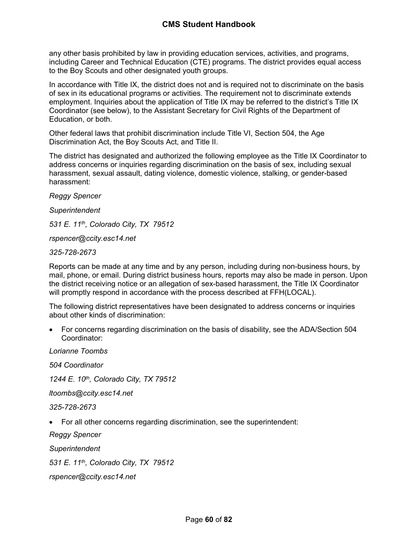any other basis prohibited by law in providing education services, activities, and programs, including Career and Technical Education (CTE) programs. The district provides equal access to the Boy Scouts and other designated youth groups.

In accordance with Title IX, the district does not and is required not to discriminate on the basis of sex in its educational programs or activities. The requirement not to discriminate extends employment. Inquiries about the application of Title IX may be referred to the district's Title IX Coordinator (see below), to the Assistant Secretary for Civil Rights of the Department of Education, or both.

Other federal laws that prohibit discrimination include Title VI, Section 504, the Age Discrimination Act, the Boy Scouts Act, and Title II.

The district has designated and authorized the following employee as the Title IX Coordinator to address concerns or inquiries regarding discrimination on the basis of sex, including sexual harassment, sexual assault, dating violence, domestic violence, stalking, or gender-based harassment:

*Reggy Spencer*

*Superintendent*

*531 E. 11th, Colorado City, TX 79512*

*rspencer@ccity.esc14.net*

*325-728-2673*

Reports can be made at any time and by any person, including during non-business hours, by mail, phone, or email. During district business hours, reports may also be made in person. Upon the district receiving notice or an allegation of sex-based harassment, the Title IX Coordinator will promptly respond in accordance with the process described at FFH(LOCAL).

The following district representatives have been designated to address concerns or inquiries about other kinds of discrimination:

 For concerns regarding discrimination on the basis of disability, see the ADA/Section 504 Coordinator:

*Lorianne Toombs 504 Coordinator 1244 E. 10th, Colorado City, TX 79512 ltoombs@ccity.esc14.net 325-728-2673* For all other concerns regarding discrimination, see the superintendent: *Reggy Spencer Superintendent*

*531 E. 11th, Colorado City, TX 79512*

*rspencer@ccity.esc14.net*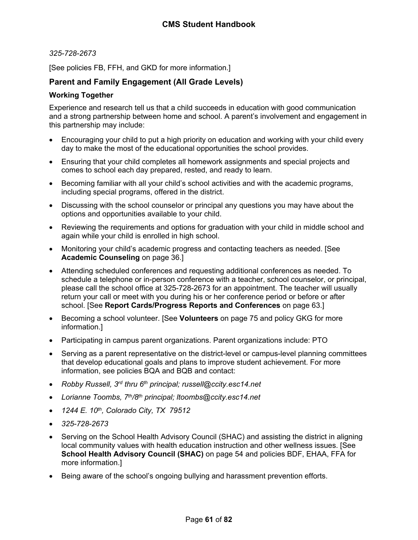#### *325-728-2673*

[See policies FB, FFH, and GKD for more information.]

## **Parent and Family Engagement (All Grade Levels)**

#### <span id="page-61-0"></span>**Working Together**

Experience and research tell us that a child succeeds in education with good communication and a strong partnership between home and school. A parent's involvement and engagement in this partnership may include:

- Encouraging your child to put a high priority on education and working with your child every day to make the most of the educational opportunities the school provides.
- Ensuring that your child completes all homework assignments and special projects and comes to school each day prepared, rested, and ready to learn.
- Becoming familiar with all your child's school activities and with the academic programs, including special programs, offered in the district.
- Discussing with the school counselor or principal any questions you may have about the options and opportunities available to your child.
- Reviewing the requirements and options for graduation with your child in middle school and again while your child is enrolled in high school.
- Monitoring your child's academic progress and contacting teachers as needed. [See **Academic Counseling** on page [36](#page-36-0).]
- Attending scheduled conferences and requesting additional conferences as needed. To schedule a telephone or in-person conference with a teacher, school counselor, or principal, please call the school office at 325-728-2673 for an appointment. The teacher will usually return your call or meet with you during his or her conference period or before or after school. [See **Report Cards/Progress Reports and Conferences** on page [63](#page-63-0).]
- Becoming a school volunteer. [See **Volunteers** on page [75](#page-75-0) and policy GKG for more information.]
- Participating in campus parent organizations. Parent organizations include: PTO
- Serving as a parent representative on the district-level or campus-level planning committees that develop educational goals and plans to improve student achievement. For more information, see policies BQA and BQB and contact:
- *Robby Russell, 3rd thru 6th principal; russell@ccity.esc14.net*
- *Lorianne Toombs, 7th/8th principal; ltoombs@ccity.esc14.net*
- *1244 E. 10th, Colorado City, TX 79512*
- *325-728-2673*
- Serving on the School Health Advisory Council (SHAC) and assisting the district in aligning local community values with health education instruction and other wellness issues. [See **School Health Advisory Council (SHAC)** on page [54](#page-54-2) and policies BDF, EHAA, FFA for more information.]
- Being aware of the school's ongoing bullying and harassment prevention efforts.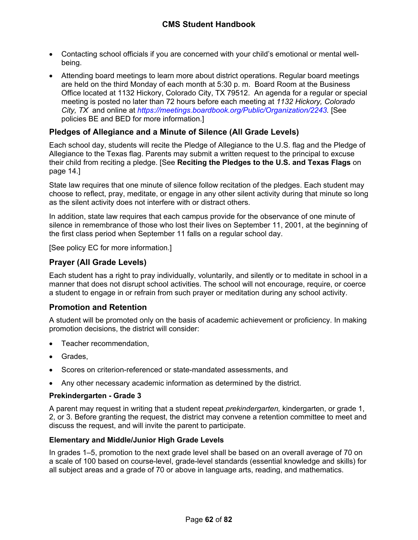- Contacting school officials if you are concerned with your child's emotional or mental wellbeing.
- Attending board meetings to learn more about district operations. Regular board meetings are held on the third Monday of each month at 5:30 p. m. Board Room at the Business Office located at 1132 Hickory, Colorado City, TX 79512. An agenda for a regular or special meeting is posted no later than 72 hours before each meeting at *1132 Hickory, Colorado City, TX* and online at *https://meetings.boardbook.org/Public/Organization/2243.* [See policies BE and BED for more information.]

# **Pledges of Allegiance and a Minute of Silence (All Grade Levels)**

Each school day, students will recite the Pledge of Allegiance to the U.S. flag and the Pledge of Allegiance to the Texas flag. Parents may submit a written request to the principal to excuse their child from reciting a pledge. [See **Reciting the Pledges to the U.S. and Texas Flags** on page [14.](#page-14-0)]

State law requires that one minute of silence follow recitation of the pledges. Each student may choose to reflect, pray, meditate, or engage in any other silent activity during that minute so long as the silent activity does not interfere with or distract others.

In addition, state law requires that each campus provide for the observance of one minute of silence in remembrance of those who lost their lives on September 11, 2001, at the beginning of the first class period when September 11 falls on a regular school day.

[See policy EC for more information.]

# **Prayer (All Grade Levels)**

Each student has a right to pray individually, voluntarily, and silently or to meditate in school in a manner that does not disrupt school activities. The school will not encourage, require, or coerce a student to engage in or refrain from such prayer or meditation during any school activity.

### **Promotion and Retention**

A student will be promoted only on the basis of academic achievement or proficiency. In making promotion decisions, the district will consider:

- Teacher recommendation,
- Grades,
- Scores on criterion-referenced or state-mandated assessments, and
- Any other necessary academic information as determined by the district.

### **Prekindergarten - Grade 3**

A parent may request in writing that a student repeat *prekindergarten,* kindergarten, or grade 1, 2, or 3. Before granting the request, the district may convene a retention committee to meet and discuss the request, and will invite the parent to participate.

#### **Elementary and Middle/Junior High Grade Levels**

In grades 1–5, promotion to the next grade level shall be based on an overall average of 70 on a scale of 100 based on course-level, grade-level standards (essential knowledge and skills) for all subject areas and a grade of 70 or above in language arts, reading, and mathematics.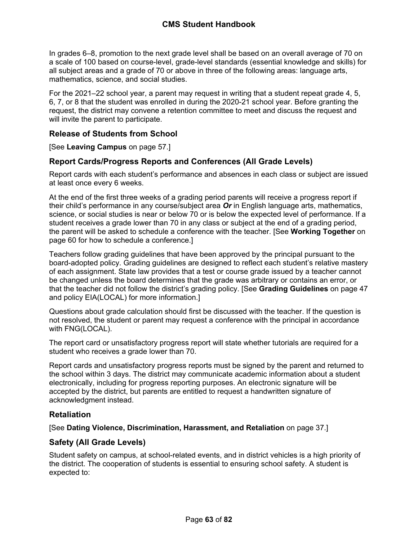In grades 6–8, promotion to the next grade level shall be based on an overall average of 70 on a scale of 100 based on course-level, grade-level standards (essential knowledge and skills) for all subject areas and a grade of 70 or above in three of the following areas: language arts, mathematics, science, and social studies.

For the 2021–22 school year, a parent may request in writing that a student repeat grade 4, 5, 6, 7, or 8 that the student was enrolled in during the 2020-21 school year. Before granting the request, the district may convene a retention committee to meet and discuss the request and will invite the parent to participate.

# **Release of Students from School**

[See **Leaving Campus** on page [57.](#page-58-0)]

# <span id="page-63-0"></span>**Report Cards/Progress Reports and Conferences (All Grade Levels)**

Report cards with each student's performance and absences in each class or subject are issued at least once every 6 weeks.

At the end of the first three weeks of a grading period parents will receive a progress report if their child's performance in any course/subject area *Or* in English language arts, mathematics, science, or social studies is near or below 70 or is below the expected level of performance. If a student receives a grade lower than 70 in any class or subject at the end of a grading period, the parent will be asked to schedule a conference with the teacher. [See **Working Together** on page [60](#page-61-0) for how to schedule a conference.]

Teachers follow grading guidelines that have been approved by the principal pursuant to the board-adopted policy. Grading guidelines are designed to reflect each student's relative mastery of each assignment. State law provides that a test or course grade issued by a teacher cannot be changed unless the board determines that the grade was arbitrary or contains an error, or that the teacher did not follow the district's grading policy. [See **Grading Guidelines** on page [47](#page-47-0) and policy EIA(LOCAL) for more information.]

Questions about grade calculation should first be discussed with the teacher. If the question is not resolved, the student or parent may request a conference with the principal in accordance with FNG(LOCAL).

The report card or unsatisfactory progress report will state whether tutorials are required for a student who receives a grade lower than 70.

Report cards and unsatisfactory progress reports must be signed by the parent and returned to the school within 3 days. The district may communicate academic information about a student electronically, including for progress reporting purposes. An electronic signature will be accepted by the district, but parents are entitled to request a handwritten signature of acknowledgment instead.

# **Retaliation**

[See **Dating Violence, Discrimination, Harassment, and Retaliation** on page [37.](#page-37-0)]

# **Safety (All Grade Levels)**

Student safety on campus, at school-related events, and in district vehicles is a high priority of the district. The cooperation of students is essential to ensuring school safety. A student is expected to: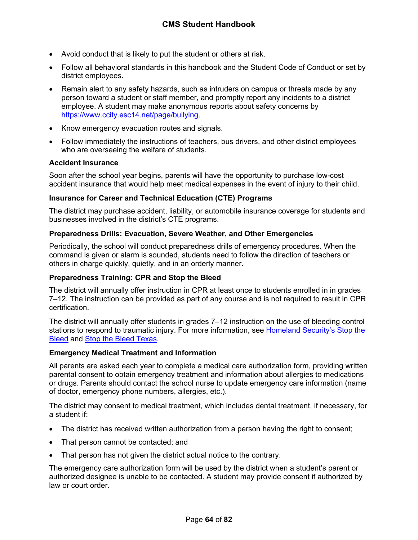- Avoid conduct that is likely to put the student or others at risk.
- Follow all behavioral standards in this handbook and the Student Code of Conduct or set by district employees.
- Remain alert to any safety hazards, such as intruders on campus or threats made by any person toward a student or staff member, and promptly report any incidents to a district employee. A student may make anonymous reports about safety concerns by https://www.ccity.esc14.net/page/bullying.
- Know emergency evacuation routes and signals.
- Follow immediately the instructions of teachers, bus drivers, and other district employees who are overseeing the welfare of students.

#### **Accident Insurance**

Soon after the school year begins, parents will have the opportunity to purchase low-cost accident insurance that would help meet medical expenses in the event of injury to their child.

#### **Insurance for Career and Technical Education (CTE) Programs**

The district may purchase accident, liability, or automobile insurance coverage for students and businesses involved in the district's CTE programs.

#### **Preparedness Drills: Evacuation, Severe Weather, and Other Emergencies**

Periodically, the school will conduct preparedness drills of emergency procedures. When the command is given or alarm is sounded, students need to follow the direction of teachers or others in charge quickly, quietly, and in an orderly manner.

### **Preparedness Training: CPR and Stop the Bleed**

The district will annually offer instruction in CPR at least once to students enrolled in in grades 7–12. The instruction can be provided as part of any course and is not required to result in CPR certification.

The district will annually offer students in grades 7–12 instruction on the use of bleeding control stations to respond to traumatic injury. For more information, see [Homeland Security's Stop the](https://www.dhs.gov/stopthebleed)  [Bleed](https://www.dhs.gov/stopthebleed) and [Stop the Bleed Texas.](https://stopthebleedtx.org/)

### **Emergency Medical Treatment and Information**

All parents are asked each year to complete a medical care authorization form, providing written parental consent to obtain emergency treatment and information about allergies to medications or drugs. Parents should contact the school nurse to update emergency care information (name of doctor, emergency phone numbers, allergies, etc.).

The district may consent to medical treatment, which includes dental treatment, if necessary, for a student if:

- The district has received written authorization from a person having the right to consent;
- That person cannot be contacted; and
- That person has not given the district actual notice to the contrary.

The emergency care authorization form will be used by the district when a student's parent or authorized designee is unable to be contacted. A student may provide consent if authorized by law or court order.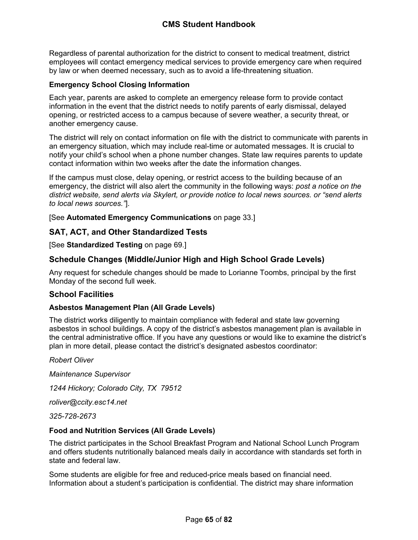Regardless of parental authorization for the district to consent to medical treatment, district employees will contact emergency medical services to provide emergency care when required by law or when deemed necessary, such as to avoid a life-threatening situation.

## **Emergency School Closing Information**

Each year, parents are asked to complete an emergency release form to provide contact information in the event that the district needs to notify parents of early dismissal, delayed opening, or restricted access to a campus because of severe weather, a security threat, or another emergency cause.

The district will rely on contact information on file with the district to communicate with parents in an emergency situation, which may include real-time or automated messages. It is crucial to notify your child's school when a phone number changes. State law requires parents to update contact information within two weeks after the date the information changes.

If the campus must close, delay opening, or restrict access to the building because of an emergency, the district will also alert the community in the following ways: *post a notice on the district website, send alerts via Skylert, or provide notice to local news sources. or "send alerts to local news sources."*].

[See **Automated Emergency Communications** on page [33.](#page-33-0)]

# **SAT, ACT, and Other Standardized Tests**

[See **Standardized Testing** on page [69](#page-69-0).]

# **Schedule Changes (Middle/Junior High and High School Grade Levels)**

Any request for schedule changes should be made to Lorianne Toombs, principal by the first Monday of the second full week.

# **School Facilities**

### **Asbestos Management Plan (All Grade Levels)**

The district works diligently to maintain compliance with federal and state law governing asbestos in school buildings. A copy of the district's asbestos management plan is available in the central administrative office. If you have any questions or would like to examine the district's plan in more detail, please contact the district's designated asbestos coordinator:

*Robert Oliver*

*Maintenance Supervisor*

*1244 Hickory; Colorado City, TX 79512*

*roliver@ccity.esc14.net*

*325-728-2673*

### **Food and Nutrition Services (All Grade Levels)**

The district participates in the School Breakfast Program and National School Lunch Program and offers students nutritionally balanced meals daily in accordance with standards set forth in state and federal law.

Some students are eligible for free and reduced-price meals based on financial need. Information about a student's participation is confidential. The district may share information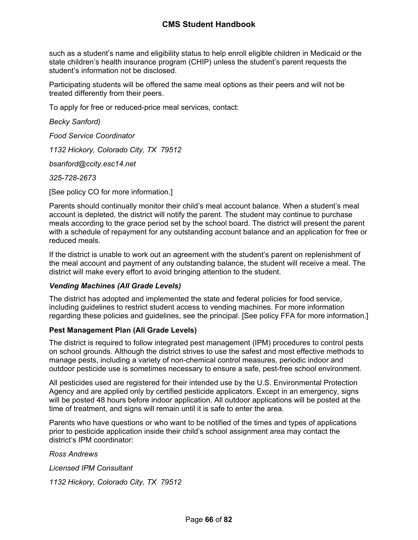# **CMS Student Handbook**

such as a student's name and eligibility status to help enroll eligible children in Medicaid or the state children's health insurance program (CHIP) unless the student's parent requests the student's information not be disclosed.

Participating students will be offered the same meal options as their peers and will not be treated differently from their peers.

To apply for free or reduced-price meal services, contact:

*Becky Sanford)*

*Food Service Coordinator*

*1132 Hickory, Colorado City, TX 79512*

*bsanford@ccity.esc14.net*

*325-728-2673*

[See policy CO for more information.]

Parents should continually monitor their child's meal account balance. When a student's meal account is depleted, the district will notify the parent. The student may continue to purchase meals according to the grace period set by the school board. The district will present the parent with a schedule of repayment for any outstanding account balance and an application for free or reduced meals.

If the district is unable to work out an agreement with the student's parent on replenishment of the meal account and payment of any outstanding balance, the student will receive a meal. The district will make every effort to avoid bringing attention to the student.

#### *Vending Machines (All Grade Levels)*

The district has adopted and implemented the state and federal policies for food service, including guidelines to restrict student access to vending machines. For more information regarding these policies and guidelines, see the principal. [See policy FFA for more information.]

#### **Pest Management Plan (All Grade Levels)**

The district is required to follow integrated pest management (IPM) procedures to control pests on school grounds. Although the district strives to use the safest and most effective methods to manage pests, including a variety of non-chemical control measures, periodic indoor and outdoor pesticide use is sometimes necessary to ensure a safe, pest-free school environment.

All pesticides used are registered for their intended use by the U.S. Environmental Protection Agency and are applied only by certified pesticide applicators. Except in an emergency, signs will be posted 48 hours before indoor application. All outdoor applications will be posted at the time of treatment, and signs will remain until it is safe to enter the area.

Parents who have questions or who want to be notified of the times and types of applications prior to pesticide application inside their child's school assignment area may contact the district's IPM coordinator:

*Ross Andrews*

*Licensed IPM Consultant 1132 Hickory, Colorado City, TX 79512*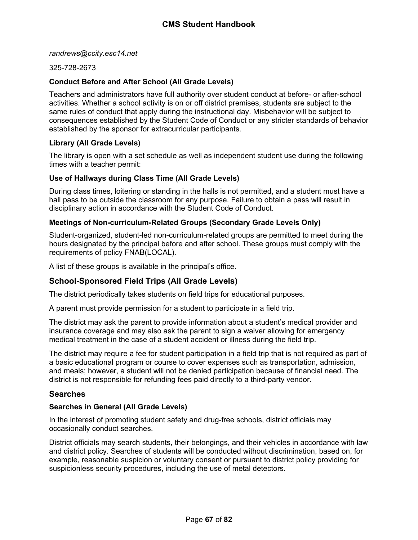*randrews@ccity.esc14.net*

#### 325-728-2673

#### **Conduct Before and After School (All Grade Levels)**

Teachers and administrators have full authority over student conduct at before- or after-school activities. Whether a school activity is on or off district premises, students are subject to the same rules of conduct that apply during the instructional day. Misbehavior will be subject to consequences established by the Student Code of Conduct or any stricter standards of behavior established by the sponsor for extracurricular participants.

#### **Library (All Grade Levels)**

The library is open with a set schedule as well as independent student use during the following times with a teacher permit:

#### **Use of Hallways during Class Time (All Grade Levels)**

During class times, loitering or standing in the halls is not permitted, and a student must have a hall pass to be outside the classroom for any purpose. Failure to obtain a pass will result in disciplinary action in accordance with the Student Code of Conduct.

#### **Meetings of Non-curriculum-Related Groups (Secondary Grade Levels Only)**

Student-organized, student-led non-curriculum-related groups are permitted to meet during the hours designated by the principal before and after school. These groups must comply with the requirements of policy FNAB(LOCAL).

A list of these groups is available in the principal's office.

# **School-Sponsored Field Trips (All Grade Levels)**

The district periodically takes students on field trips for educational purposes.

A parent must provide permission for a student to participate in a field trip.

The district may ask the parent to provide information about a student's medical provider and insurance coverage and may also ask the parent to sign a waiver allowing for emergency medical treatment in the case of a student accident or illness during the field trip.

The district may require a fee for student participation in a field trip that is not required as part of a basic educational program or course to cover expenses such as transportation, admission, and meals; however, a student will not be denied participation because of financial need. The district is not responsible for refunding fees paid directly to a third-party vendor.

### <span id="page-67-0"></span>**Searches**

#### **Searches in General (All Grade Levels)**

In the interest of promoting student safety and drug-free schools, district officials may occasionally conduct searches.

District officials may search students, their belongings, and their vehicles in accordance with law and district policy. Searches of students will be conducted without discrimination, based on, for example, reasonable suspicion or voluntary consent or pursuant to district policy providing for suspicionless security procedures, including the use of metal detectors.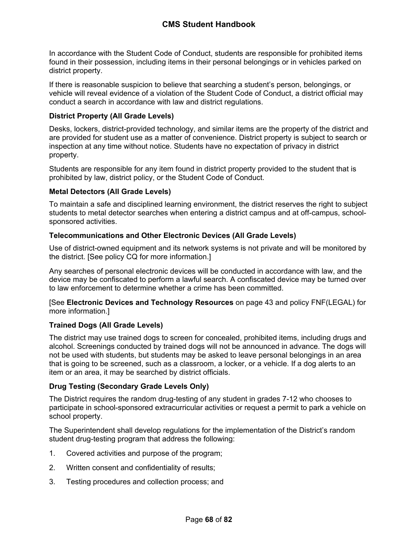In accordance with the Student Code of Conduct, students are responsible for prohibited items found in their possession, including items in their personal belongings or in vehicles parked on district property.

If there is reasonable suspicion to believe that searching a student's person, belongings, or vehicle will reveal evidence of a violation of the Student Code of Conduct, a district official may conduct a search in accordance with law and district regulations.

## **District Property (All Grade Levels)**

Desks, lockers, district-provided technology, and similar items are the property of the district and are provided for student use as a matter of convenience. District property is subject to search or inspection at any time without notice. Students have no expectation of privacy in district property.

Students are responsible for any item found in district property provided to the student that is prohibited by law, district policy, or the Student Code of Conduct.

### **Metal Detectors (All Grade Levels)**

To maintain a safe and disciplined learning environment, the district reserves the right to subject students to metal detector searches when entering a district campus and at off-campus, schoolsponsored activities.

### **Telecommunications and Other Electronic Devices (All Grade Levels)**

Use of district-owned equipment and its network systems is not private and will be monitored by the district. [See policy CQ for more information.]

Any searches of personal electronic devices will be conducted in accordance with law, and the device may be confiscated to perform a lawful search. A confiscated device may be turned over to law enforcement to determine whether a crime has been committed.

[See **Electronic Devices and Technology Resources** on page [43](#page-43-0) and policy FNF(LEGAL) for more information.]

### **Trained Dogs (All Grade Levels)**

The district may use trained dogs to screen for concealed, prohibited items, including drugs and alcohol. Screenings conducted by trained dogs will not be announced in advance. The dogs will not be used with students, but students may be asked to leave personal belongings in an area that is going to be screened, such as a classroom, a locker, or a vehicle. If a dog alerts to an item or an area, it may be searched by district officials.

### **Drug Testing (Secondary Grade Levels Only)**

The District requires the random drug-testing of any student in grades 7-12 who chooses to participate in school-sponsored extracurricular activities or request a permit to park a vehicle on school property.

The Superintendent shall develop regulations for the implementation of the District's random student drug-testing program that address the following:

- 1. Covered activities and purpose of the program;
- 2. Written consent and confidentiality of results;
- 3. Testing procedures and collection process; and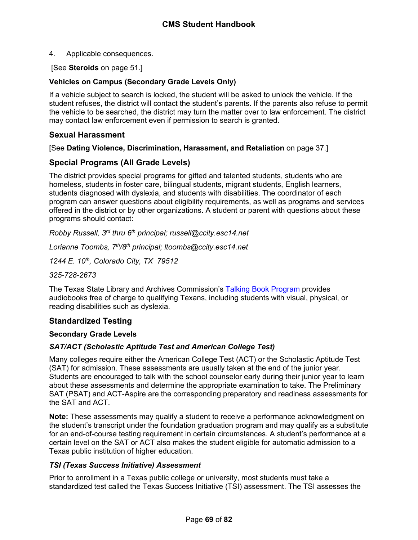4. Applicable consequences.

[See **Steroids** on page [51.](#page-51-1)]

## **Vehicles on Campus (Secondary Grade Levels Only)**

If a vehicle subject to search is locked, the student will be asked to unlock the vehicle. If the student refuses, the district will contact the student's parents. If the parents also refuse to permit the vehicle to be searched, the district may turn the matter over to law enforcement. The district may contact law enforcement even if permission to search is granted.

## **Sexual Harassment**

[See **Dating Violence, Discrimination, Harassment, and Retaliation** on page [37.](#page-37-0)]

# **Special Programs (All Grade Levels)**

The district provides special programs for gifted and talented students, students who are homeless, students in foster care, bilingual students, migrant students, English learners, students diagnosed with dyslexia, and students with disabilities. The coordinator of each program can answer questions about eligibility requirements, as well as programs and services offered in the district or by other organizations. A student or parent with questions about these programs should contact:

*Robby Russell, 3rd thru 6th principal; russell@ccity.esc14.net*

*Lorianne Toombs, 7th/8th principal; ltoombs@ccity.esc14.net*

*1244 E. 10th, Colorado City, TX 79512*

*325-728-2673*

The Texas State Library and Archives Commission's [Talking Book Program](https://www.tsl.texas.gov/tbp/index.html) provides audiobooks free of charge to qualifying Texans, including students with visual, physical, or reading disabilities such as dyslexia.

# <span id="page-69-0"></span>**Standardized Testing**

### **Secondary Grade Levels**

### *SAT/ACT (Scholastic Aptitude Test and American College Test)*

Many colleges require either the American College Test (ACT) or the Scholastic Aptitude Test (SAT) for admission. These assessments are usually taken at the end of the junior year. Students are encouraged to talk with the school counselor early during their junior year to learn about these assessments and determine the appropriate examination to take. The Preliminary SAT (PSAT) and ACT-Aspire are the corresponding preparatory and readiness assessments for the SAT and ACT.

**Note:** These assessments may qualify a student to receive a performance acknowledgment on the student's transcript under the foundation graduation program and may qualify as a substitute for an end-of-course testing requirement in certain circumstances. A student's performance at a certain level on the SAT or ACT also makes the student eligible for automatic admission to a Texas public institution of higher education.

### *TSI (Texas Success Initiative) Assessment*

Prior to enrollment in a Texas public college or university, most students must take a standardized test called the Texas Success Initiative (TSI) assessment. The TSI assesses the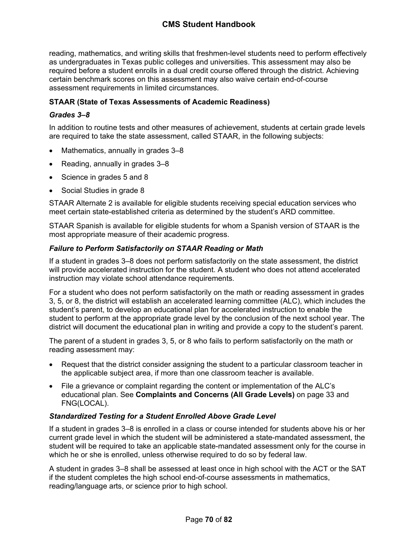reading, mathematics, and writing skills that freshmen-level students need to perform effectively as undergraduates in Texas public colleges and universities. This assessment may also be required before a student enrolls in a dual credit course offered through the district. Achieving certain benchmark scores on this assessment may also waive certain end-of-course assessment requirements in limited circumstances.

## **STAAR (State of Texas Assessments of Academic Readiness)**

## *Grades 3–8*

In addition to routine tests and other measures of achievement, students at certain grade levels are required to take the state assessment, called STAAR, in the following subjects:

- Mathematics, annually in grades 3–8
- Reading, annually in grades 3–8
- Science in grades 5 and 8
- Social Studies in grade 8

STAAR Alternate 2 is available for eligible students receiving special education services who meet certain state-established criteria as determined by the student's ARD committee.

STAAR Spanish is available for eligible students for whom a Spanish version of STAAR is the most appropriate measure of their academic progress.

### *Failure to Perform Satisfactorily on STAAR Reading or Math*

If a student in grades 3–8 does not perform satisfactorily on the state assessment, the district will provide accelerated instruction for the student. A student who does not attend accelerated instruction may violate school attendance requirements.

For a student who does not perform satisfactorily on the math or reading assessment in grades 3, 5, or 8, the district will establish an accelerated learning committee (ALC), which includes the student's parent, to develop an educational plan for accelerated instruction to enable the student to perform at the appropriate grade level by the conclusion of the next school year. The district will document the educational plan in writing and provide a copy to the student's parent.

The parent of a student in grades 3, 5, or 8 who fails to perform satisfactorily on the math or reading assessment may:

- Request that the district consider assigning the student to a particular classroom teacher in the applicable subject area, if more than one classroom teacher is available.
- File a grievance or complaint regarding the content or implementation of the ALC's educational plan. See **Complaints and Concerns (All Grade Levels)** on page [33](#page-34-0) and FNG(LOCAL).

### *Standardized Testing for a Student Enrolled Above Grade Level*

If a student in grades 3–8 is enrolled in a class or course intended for students above his or her current grade level in which the student will be administered a state-mandated assessment, the student will be required to take an applicable state-mandated assessment only for the course in which he or she is enrolled, unless otherwise required to do so by federal law.

A student in grades 3–8 shall be assessed at least once in high school with the ACT or the SAT if the student completes the high school end-of-course assessments in mathematics, reading/language arts, or science prior to high school.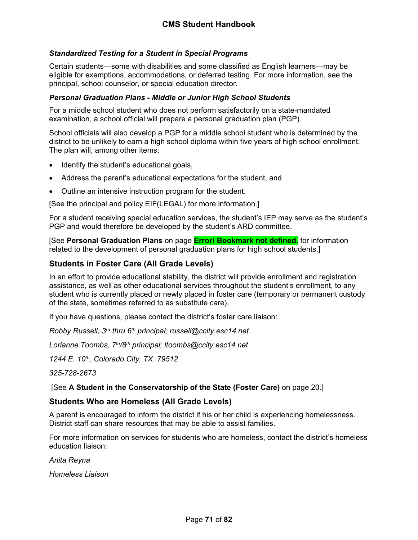## *Standardized Testing for a Student in Special Programs*

Certain students—some with disabilities and some classified as English learners—may be eligible for exemptions, accommodations, or deferred testing. For more information, see the principal, school counselor, or special education director.

### *Personal Graduation Plans - Middle or Junior High School Students*

For a middle school student who does not perform satisfactorily on a state-mandated examination, a school official will prepare a personal graduation plan (PGP).

School officials will also develop a PGP for a middle school student who is determined by the district to be unlikely to earn a high school diploma within five years of high school enrollment. The plan will, among other items;

- Identify the student's educational goals,
- Address the parent's educational expectations for the student, and
- Outline an intensive instruction program for the student.

[See the principal and policy EIF(LEGAL) for more information.]

For a student receiving special education services, the student's IEP may serve as the student's PGP and would therefore be developed by the student's ARD committee.

[See **Personal Graduation Plans** on page **Error! Bookmark not defined.** for information related to the development of personal graduation plans for high school students.]

## **Students in Foster Care (All Grade Levels)**

In an effort to provide educational stability, the district will provide enrollment and registration assistance, as well as other educational services throughout the student's enrollment, to any student who is currently placed or newly placed in foster care (temporary or permanent custody of the state, sometimes referred to as substitute care).

If you have questions, please contact the district's foster care liaison:

*Robby Russell, 3rd thru 6th principal; russell@ccity.esc14.net*

*Lorianne Toombs, 7th/8th principal; ltoombs@ccity.esc14.net*

*1244 E. 10th, Colorado City, TX 79512*

*325-728-2673*

[See **A Student in the Conservatorship of the State (Foster Care)** on page [20](#page-20-0).]

### **Students Who are Homeless (All Grade Levels)**

A parent is encouraged to inform the district if his or her child is experiencing homelessness. District staff can share resources that may be able to assist families.

For more information on services for students who are homeless, contact the district's homeless education liaison:

*Anita Reyna*

*Homeless Liaison*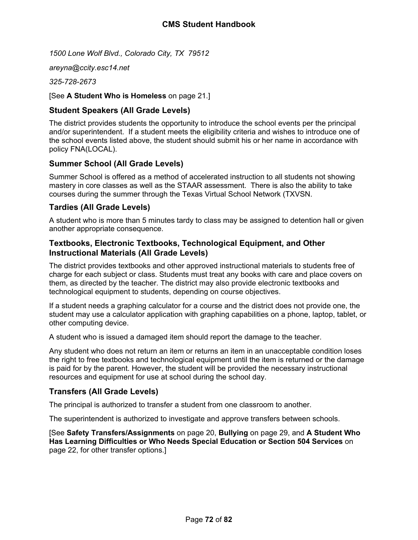*1500 Lone Wolf Blvd., Colorado City, TX 79512*

*areyna@ccity.esc14.net*

*325-728-2673*

[See **A Student Who is Homeless** on page [21.](#page-21-0)]

# **Student Speakers (All Grade Levels)**

The district provides students the opportunity to introduce the school events per the principal and/or superintendent. If a student meets the eligibility criteria and wishes to introduce one of the school events listed above, the student should submit his or her name in accordance with policy FNA(LOCAL).

# **Summer School (All Grade Levels)**

Summer School is offered as a method of accelerated instruction to all students not showing mastery in core classes as well as the STAAR assessment. There is also the ability to take courses during the summer through the Texas Virtual School Network (TXVSN.

# **Tardies (All Grade Levels)**

A student who is more than 5 minutes tardy to class may be assigned to detention hall or given another appropriate consequence.

# **Textbooks, Electronic Textbooks, Technological Equipment, and Other Instructional Materials (All Grade Levels)**

The district provides textbooks and other approved instructional materials to students free of charge for each subject or class. Students must treat any books with care and place covers on them, as directed by the teacher. The district may also provide electronic textbooks and technological equipment to students, depending on course objectives.

If a student needs a graphing calculator for a course and the district does not provide one, the student may use a calculator application with graphing capabilities on a phone, laptop, tablet, or other computing device.

A student who is issued a damaged item should report the damage to the teacher.

Any student who does not return an item or returns an item in an unacceptable condition loses the right to free textbooks and technological equipment until the item is returned or the damage is paid for by the parent. However, the student will be provided the necessary instructional resources and equipment for use at school during the school day.

# **Transfers (All Grade Levels)**

The principal is authorized to transfer a student from one classroom to another.

The superintendent is authorized to investigate and approve transfers between schools.

[See **Safety Transfers/Assignments** on page [20](#page-20-0), **Bullying** on page [29,](#page-29-0) and **A Student Who Has Learning Difficulties or Who Needs Special Education or Section 504 Services** on page [22,](#page-22-0) for other transfer options.]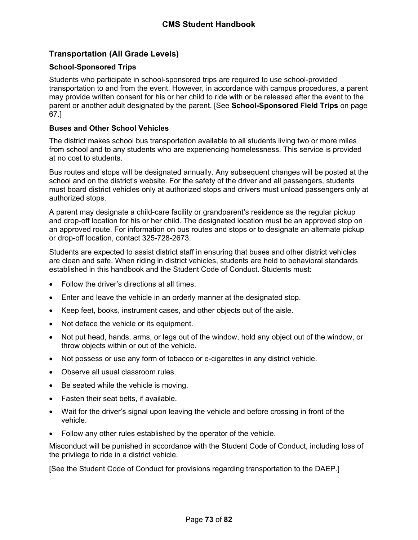# **Transportation (All Grade Levels)**

# **School-Sponsored Trips**

Students who participate in school-sponsored trips are required to use school-provided transportation to and from the event. However, in accordance with campus procedures, a parent may provide written consent for his or her child to ride with or be released after the event to the parent or another adult designated by the parent. [See **School-Sponsored Field Trips** on page [67](#page-67-0).]

## **Buses and Other School Vehicles**

The district makes school bus transportation available to all students living two or more miles from school and to any students who are experiencing homelessness. This service is provided at no cost to students.

Bus routes and stops will be designated annually. Any subsequent changes will be posted at the school and on the district's website. For the safety of the driver and all passengers, students must board district vehicles only at authorized stops and drivers must unload passengers only at authorized stops.

A parent may designate a child-care facility or grandparent's residence as the regular pickup and drop-off location for his or her child. The designated location must be an approved stop on an approved route. For information on bus routes and stops or to designate an alternate pickup or drop-off location, contact 325-728-2673.

Students are expected to assist district staff in ensuring that buses and other district vehicles are clean and safe. When riding in district vehicles, students are held to behavioral standards established in this handbook and the Student Code of Conduct. Students must:

- Follow the driver's directions at all times.
- Enter and leave the vehicle in an orderly manner at the designated stop.
- Keep feet, books, instrument cases, and other objects out of the aisle.
- Not deface the vehicle or its equipment.
- Not put head, hands, arms, or legs out of the window, hold any object out of the window, or throw objects within or out of the vehicle.
- Not possess or use any form of tobacco or e-cigarettes in any district vehicle.
- Observe all usual classroom rules.
- Be seated while the vehicle is moving.
- Fasten their seat belts, if available.
- Wait for the driver's signal upon leaving the vehicle and before crossing in front of the vehicle.
- Follow any other rules established by the operator of the vehicle.

Misconduct will be punished in accordance with the Student Code of Conduct, including loss of the privilege to ride in a district vehicle.

[See the Student Code of Conduct for provisions regarding transportation to the DAEP.]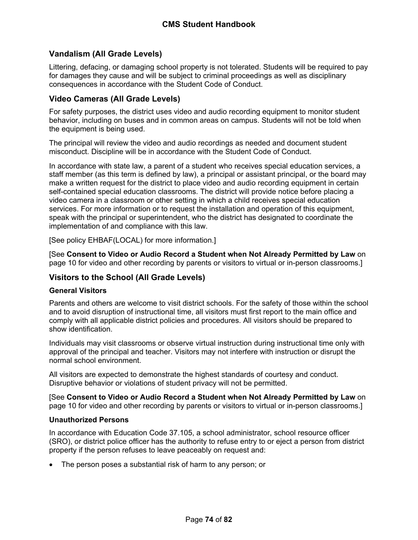# **Vandalism (All Grade Levels)**

Littering, defacing, or damaging school property is not tolerated. Students will be required to pay for damages they cause and will be subject to criminal proceedings as well as disciplinary consequences in accordance with the Student Code of Conduct.

# **Video Cameras (All Grade Levels)**

For safety purposes, the district uses video and audio recording equipment to monitor student behavior, including on buses and in common areas on campus. Students will not be told when the equipment is being used.

The principal will review the video and audio recordings as needed and document student misconduct. Discipline will be in accordance with the Student Code of Conduct.

In accordance with state law, a parent of a student who receives special education services, a staff member (as this term is defined by law), a principal or assistant principal, or the board may make a written request for the district to place video and audio recording equipment in certain self-contained special education classrooms. The district will provide notice before placing a video camera in a classroom or other setting in which a child receives special education services. For more information or to request the installation and operation of this equipment, speak with the principal or superintendent, who the district has designated to coordinate the implementation of and compliance with this law.

[See policy EHBAF(LOCAL) for more information.]

[See **Consent to Video or Audio Record a Student when Not Already Permitted by Law** on page [10](#page-10-0) for video and other recording by parents or visitors to virtual or in-person classrooms.]

# **Visitors to the School (All Grade Levels)**

### **General Visitors**

Parents and others are welcome to visit district schools. For the safety of those within the school and to avoid disruption of instructional time, all visitors must first report to the main office and comply with all applicable district policies and procedures. All visitors should be prepared to show identification.

Individuals may visit classrooms or observe virtual instruction during instructional time only with approval of the principal and teacher. Visitors may not interfere with instruction or disrupt the normal school environment.

All visitors are expected to demonstrate the highest standards of courtesy and conduct. Disruptive behavior or violations of student privacy will not be permitted.

[See **Consent to Video or Audio Record a Student when Not Already Permitted by Law** on page [10](#page-10-0) for video and other recording by parents or visitors to virtual or in-person classrooms.]

### **Unauthorized Persons**

In accordance with Education Code 37.105, a school administrator, school resource officer (SRO), or district police officer has the authority to refuse entry to or eject a person from district property if the person refuses to leave peaceably on request and:

The person poses a substantial risk of harm to any person; or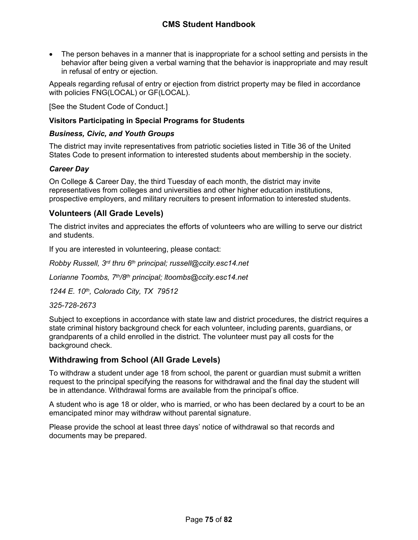The person behaves in a manner that is inappropriate for a school setting and persists in the behavior after being given a verbal warning that the behavior is inappropriate and may result in refusal of entry or ejection.

Appeals regarding refusal of entry or ejection from district property may be filed in accordance with policies FNG(LOCAL) or GF(LOCAL).

[See the Student Code of Conduct.]

# **Visitors Participating in Special Programs for Students**

## *Business, Civic, and Youth Groups*

The district may invite representatives from patriotic societies listed in Title 36 of the United States Code to present information to interested students about membership in the society.

## *Career Day*

On College & Career Day, the third Tuesday of each month, the district may invite representatives from colleges and universities and other higher education institutions, prospective employers, and military recruiters to present information to interested students.

# **Volunteers (All Grade Levels)**

The district invites and appreciates the efforts of volunteers who are willing to serve our district and students.

If you are interested in volunteering, please contact:

*Robby Russell, 3rd thru 6th principal; russell@ccity.esc14.net*

*Lorianne Toombs, 7th/8th principal; ltoombs@ccity.esc14.net*

*1244 E. 10th, Colorado City, TX 79512*

*325-728-2673*

Subject to exceptions in accordance with state law and district procedures, the district requires a state criminal history background check for each volunteer, including parents, guardians, or grandparents of a child enrolled in the district. The volunteer must pay all costs for the background check.

# **Withdrawing from School (All Grade Levels)**

To withdraw a student under age 18 from school, the parent or guardian must submit a written request to the principal specifying the reasons for withdrawal and the final day the student will be in attendance. Withdrawal forms are available from the principal's office.

A student who is age 18 or older, who is married, or who has been declared by a court to be an emancipated minor may withdraw without parental signature.

Please provide the school at least three days' notice of withdrawal so that records and documents may be prepared.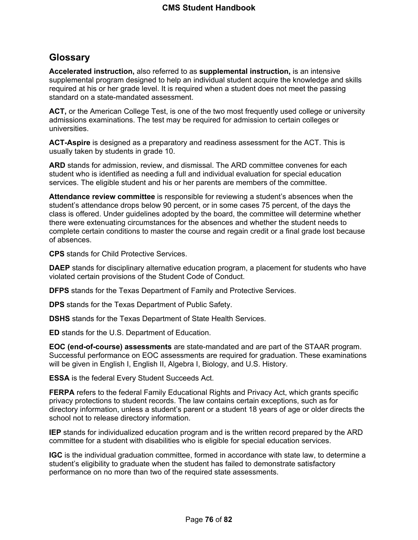# **Glossary**

**Accelerated instruction,** also referred to as **supplemental instruction,** is an intensive supplemental program designed to help an individual student acquire the knowledge and skills required at his or her grade level. It is required when a student does not meet the passing standard on a state-mandated assessment.

**ACT,** or the American College Test, is one of the two most frequently used college or university admissions examinations. The test may be required for admission to certain colleges or universities.

**ACT-Aspire** is designed as a preparatory and readiness assessment for the ACT. This is usually taken by students in grade 10.

**ARD** stands for admission, review, and dismissal. The ARD committee convenes for each student who is identified as needing a full and individual evaluation for special education services. The eligible student and his or her parents are members of the committee.

**Attendance review committee** is responsible for reviewing a student's absences when the student's attendance drops below 90 percent, or in some cases 75 percent, of the days the class is offered. Under guidelines adopted by the board, the committee will determine whether there were extenuating circumstances for the absences and whether the student needs to complete certain conditions to master the course and regain credit or a final grade lost because of absences.

**CPS** stands for Child Protective Services.

**DAEP** stands for disciplinary alternative education program, a placement for students who have violated certain provisions of the Student Code of Conduct.

**DFPS** stands for the Texas Department of Family and Protective Services.

**DPS** stands for the Texas Department of Public Safety.

**DSHS** stands for the Texas Department of State Health Services.

**ED** stands for the U.S. Department of Education.

**EOC (end-of-course) assessments** are state-mandated and are part of the STAAR program. Successful performance on EOC assessments are required for graduation. These examinations will be given in English I, English II, Algebra I, Biology, and U.S. History.

**ESSA** is the federal Every Student Succeeds Act.

**FERPA** refers to the federal Family Educational Rights and Privacy Act, which grants specific privacy protections to student records. The law contains certain exceptions, such as for directory information, unless a student's parent or a student 18 years of age or older directs the school not to release directory information.

**IEP** stands for individualized education program and is the written record prepared by the ARD committee for a student with disabilities who is eligible for special education services.

**IGC** is the individual graduation committee, formed in accordance with state law, to determine a student's eligibility to graduate when the student has failed to demonstrate satisfactory performance on no more than two of the required state assessments.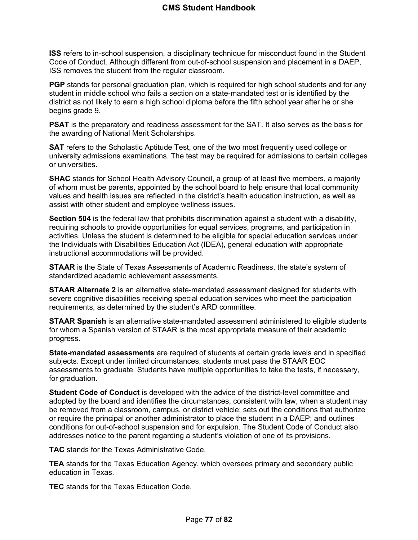**ISS** refers to in-school suspension, a disciplinary technique for misconduct found in the Student Code of Conduct. Although different from out-of-school suspension and placement in a DAEP, ISS removes the student from the regular classroom.

**PGP** stands for personal graduation plan, which is required for high school students and for any student in middle school who fails a section on a state-mandated test or is identified by the district as not likely to earn a high school diploma before the fifth school year after he or she begins grade 9.

**PSAT** is the preparatory and readiness assessment for the SAT. It also serves as the basis for the awarding of National Merit Scholarships.

**SAT** refers to the Scholastic Aptitude Test, one of the two most frequently used college or university admissions examinations. The test may be required for admissions to certain colleges or universities.

**SHAC** stands for School Health Advisory Council, a group of at least five members, a majority of whom must be parents, appointed by the school board to help ensure that local community values and health issues are reflected in the district's health education instruction, as well as assist with other student and employee wellness issues.

**Section 504** is the federal law that prohibits discrimination against a student with a disability, requiring schools to provide opportunities for equal services, programs, and participation in activities. Unless the student is determined to be eligible for special education services under the Individuals with Disabilities Education Act (IDEA), general education with appropriate instructional accommodations will be provided.

**STAAR** is the State of Texas Assessments of Academic Readiness, the state's system of standardized academic achievement assessments.

**STAAR Alternate 2** is an alternative state-mandated assessment designed for students with severe cognitive disabilities receiving special education services who meet the participation requirements, as determined by the student's ARD committee.

**STAAR Spanish** is an alternative state-mandated assessment administered to eligible students for whom a Spanish version of STAAR is the most appropriate measure of their academic progress.

**State-mandated assessments** are required of students at certain grade levels and in specified subjects. Except under limited circumstances, students must pass the STAAR EOC assessments to graduate. Students have multiple opportunities to take the tests, if necessary, for graduation.

**Student Code of Conduct** is developed with the advice of the district-level committee and adopted by the board and identifies the circumstances, consistent with law, when a student may be removed from a classroom, campus, or district vehicle; sets out the conditions that authorize or require the principal or another administrator to place the student in a DAEP; and outlines conditions for out-of-school suspension and for expulsion. The Student Code of Conduct also addresses notice to the parent regarding a student's violation of one of its provisions.

**TAC** stands for the Texas Administrative Code.

**TEA** stands for the Texas Education Agency, which oversees primary and secondary public education in Texas.

**TEC** stands for the Texas Education Code.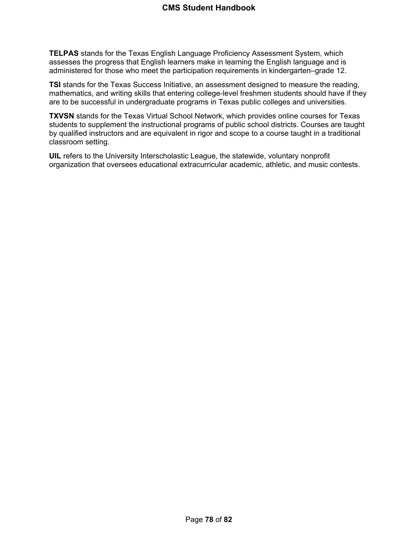**TELPAS** stands for the Texas English Language Proficiency Assessment System, which assesses the progress that English learners make in learning the English language and is administered for those who meet the participation requirements in kindergarten–grade 12.

**TSI** stands for the Texas Success Initiative, an assessment designed to measure the reading, mathematics, and writing skills that entering college-level freshmen students should have if they are to be successful in undergraduate programs in Texas public colleges and universities.

**TXVSN** stands for the Texas Virtual School Network, which provides online courses for Texas students to supplement the instructional programs of public school districts. Courses are taught by qualified instructors and are equivalent in rigor and scope to a course taught in a traditional classroom setting.

**UIL** refers to the University Interscholastic League, the statewide, voluntary nonprofit organization that oversees educational extracurricular academic, athletic, and music contests.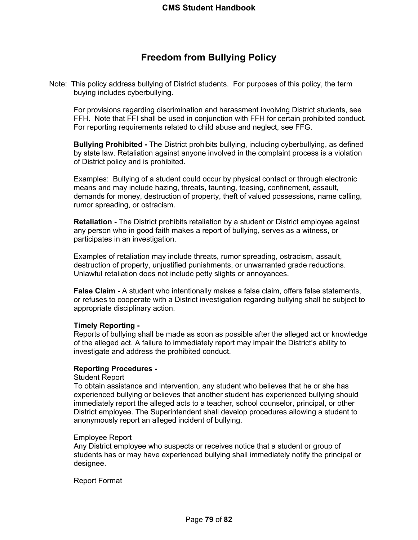# **Freedom from Bullying Policy**

Note: This policy address bullying of District students. For purposes of this policy, the term buying includes cyberbullying.

For provisions regarding discrimination and harassment involving District students, see FFH. Note that FFI shall be used in conjunction with FFH for certain prohibited conduct. For reporting requirements related to child abuse and neglect, see FFG.

**Bullying Prohibited -** The District prohibits bullying, including cyberbullying, as defined by state law. Retaliation against anyone involved in the complaint process is a violation of District policy and is prohibited.

Examples: Bullying of a student could occur by physical contact or through electronic means and may include hazing, threats, taunting, teasing, confinement, assault, demands for money, destruction of property, theft of valued possessions, name calling, rumor spreading, or ostracism.

**Retaliation -** The District prohibits retaliation by a student or District employee against any person who in good faith makes a report of bullying, serves as a witness, or participates in an investigation.

Examples of retaliation may include threats, rumor spreading, ostracism, assault, destruction of property, unjustified punishments, or unwarranted grade reductions. Unlawful retaliation does not include petty slights or annoyances.

**False Claim -** A student who intentionally makes a false claim, offers false statements, or refuses to cooperate with a District investigation regarding bullying shall be subject to appropriate disciplinary action.

### **Timely Reporting -**

Reports of bullying shall be made as soon as possible after the alleged act or knowledge of the alleged act. A failure to immediately report may impair the District's ability to investigate and address the prohibited conduct.

### **Reporting Procedures -**

#### Student Report

To obtain assistance and intervention, any student who believes that he or she has experienced bullying or believes that another student has experienced bullying should immediately report the alleged acts to a teacher, school counselor, principal, or other District employee. The Superintendent shall develop procedures allowing a student to anonymously report an alleged incident of bullying.

### Employee Report

Any District employee who suspects or receives notice that a student or group of students has or may have experienced bullying shall immediately notify the principal or designee.

### Report Format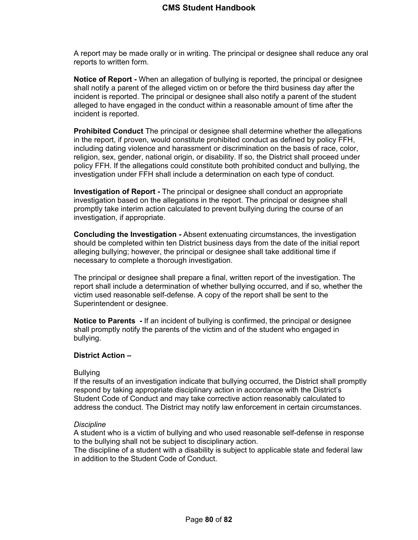A report may be made orally or in writing. The principal or designee shall reduce any oral reports to written form.

**Notice of Report -** When an allegation of bullying is reported, the principal or designee shall notify a parent of the alleged victim on or before the third business day after the incident is reported. The principal or designee shall also notify a parent of the student alleged to have engaged in the conduct within a reasonable amount of time after the incident is reported.

**Prohibited Conduct** The principal or designee shall determine whether the allegations in the report, if proven, would constitute prohibited conduct as defined by policy FFH, including dating violence and harassment or discrimination on the basis of race, color, religion, sex, gender, national origin, or disability. If so, the District shall proceed under policy FFH. If the allegations could constitute both prohibited conduct and bullying, the investigation under FFH shall include a determination on each type of conduct.

**Investigation of Report -** The principal or designee shall conduct an appropriate investigation based on the allegations in the report. The principal or designee shall promptly take interim action calculated to prevent bullying during the course of an investigation, if appropriate.

**Concluding the Investigation -** Absent extenuating circumstances, the investigation should be completed within ten District business days from the date of the initial report alleging bullying; however, the principal or designee shall take additional time if necessary to complete a thorough investigation.

The principal or designee shall prepare a final, written report of the investigation. The report shall include a determination of whether bullying occurred, and if so, whether the victim used reasonable self-defense. A copy of the report shall be sent to the Superintendent or designee.

**Notice to Parents -** If an incident of bullying is confirmed, the principal or designee shall promptly notify the parents of the victim and of the student who engaged in bullying.

# **District Action –**

### **Bullving**

If the results of an investigation indicate that bullying occurred, the District shall promptly respond by taking appropriate disciplinary action in accordance with the District's Student Code of Conduct and may take corrective action reasonably calculated to address the conduct. The District may notify law enforcement in certain circumstances.

### *Discipline*

A student who is a victim of bullying and who used reasonable self-defense in response to the bullying shall not be subject to disciplinary action.

The discipline of a student with a disability is subject to applicable state and federal law in addition to the Student Code of Conduct.